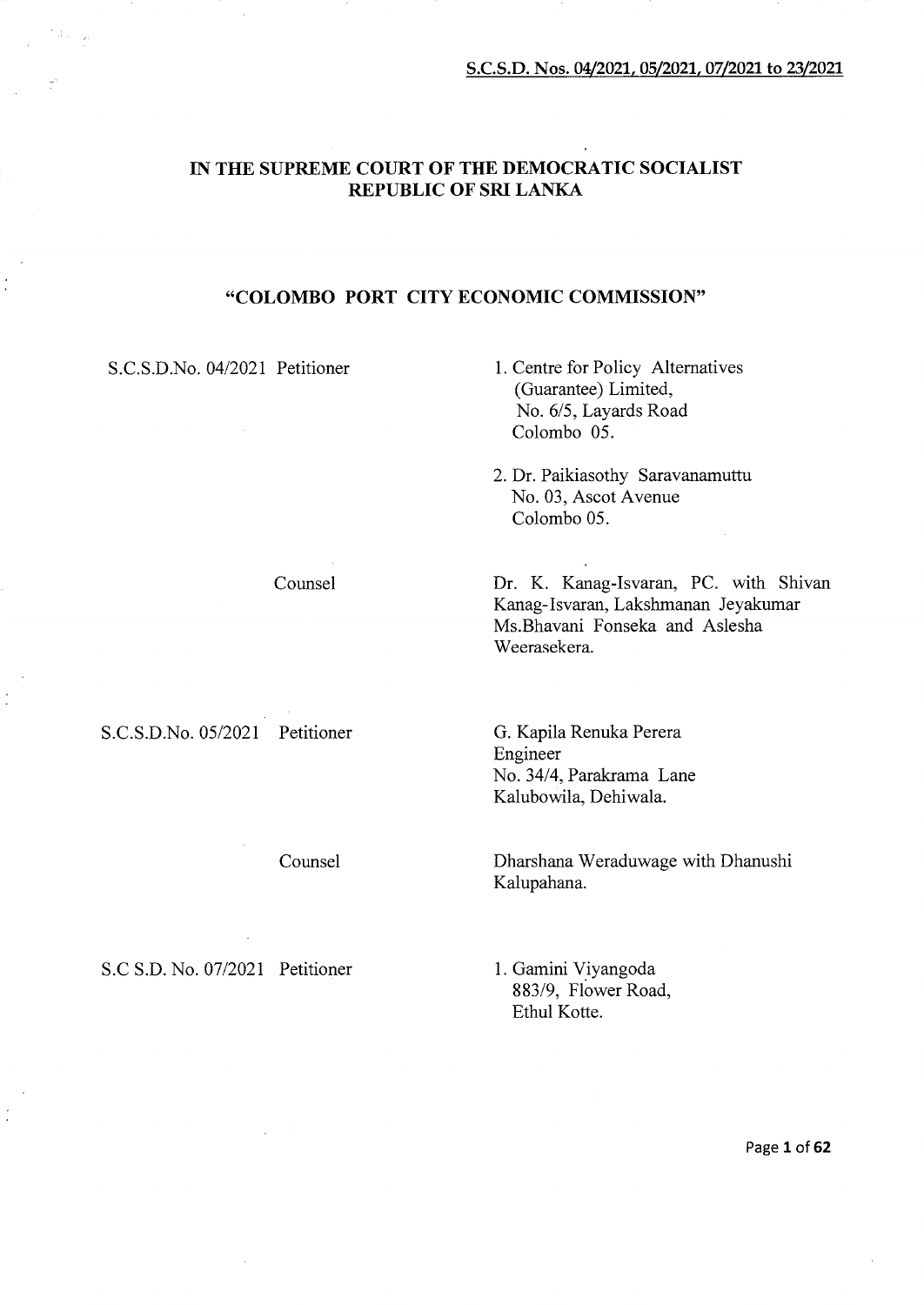# IN THE SUPREME COURT OF THE DEMOCRATIC SOCIALIST REPUBLIC OF SRI LANKA

# "COLOMBO PORT CITY ECONOMIC COMMISSION"

S.C.S.D.No. 04/2021 Petitioner

- 1. Centre for Policy Alternatives (Guarantee) Limited, No. 6/5, Layards Road Colombo 05.
- 2. Dr. Paikiasothy Saravanamuttu No. 03, Ascot Avenue Colombo 05.

Dr. K. Kanag-Isvaran, PC. with Shivan Kanag-Isvaran, Lakshmanan Jeyakumar Ms.Bhavani Fonseka and Aslesha Weerasekera.

S.C.S.D.No. 05/2021 Petitioner

 $\frac{1}{2}$ 

Counsel

Counsel

G. Kapila Renuka Perera Engineer No. 34/4, Parakrama Lane Kalubowila, Dehiwala.

Dharshana Weraduwage with Dhanushi Kalupahana.

S.C S.D. No. 07/2021 Petitioner

1. Gamini Y\_iyangoda 883/9, Flower Road, Ethul Kotte.

Page 1 of 62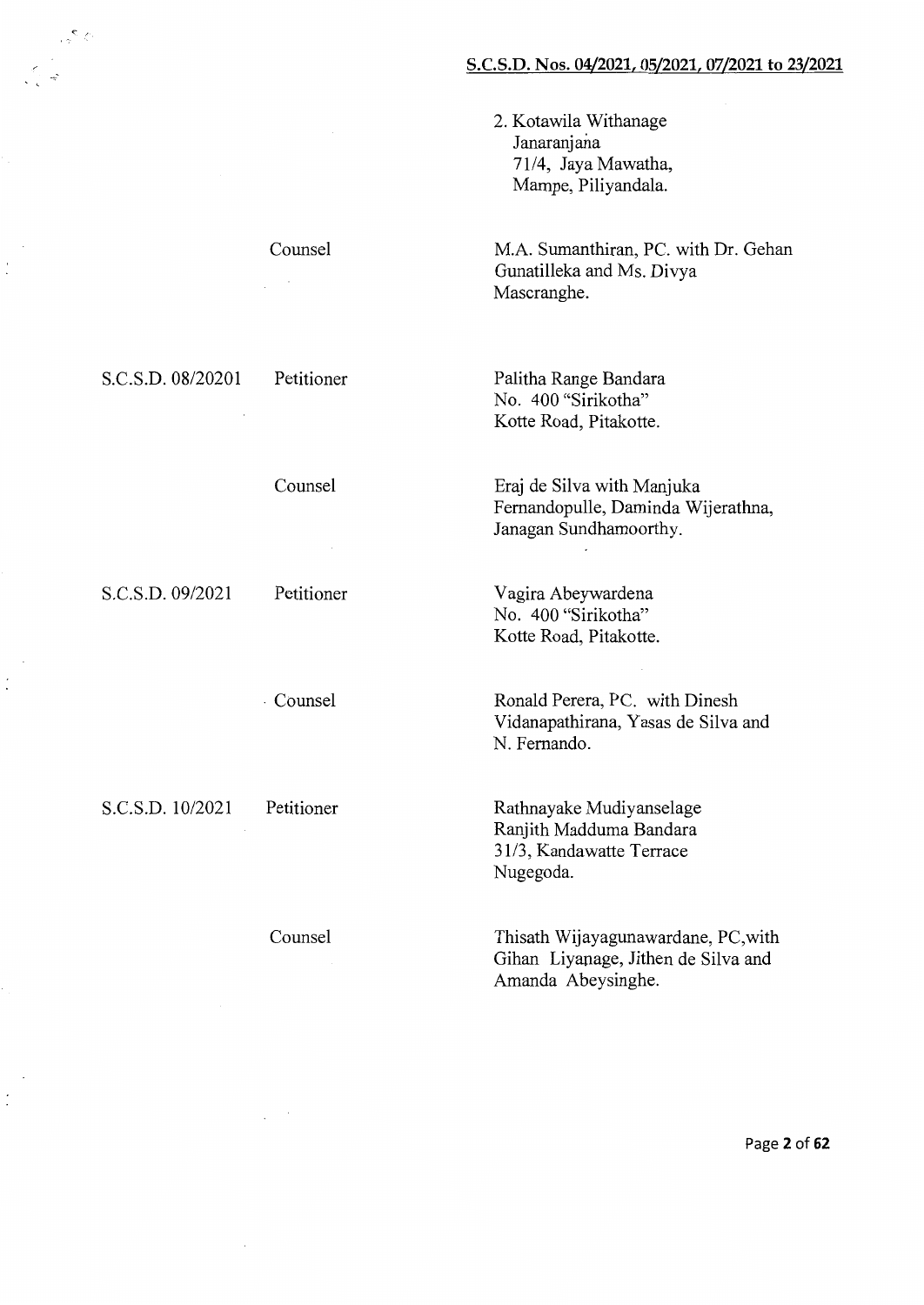2. Kotawila Withanage Janaranjana 71/4, Jaya Mawatha, Mampe, Piliyandala.

M.A. Sumanthiran, PC. with Dr. Gehan Gunatilleka and Ms. Divya Mascranghe.

Palitha Range Bandara No. 400 "Sirikotha" Kotte Road, Pitakotte.

Eraj de Silva with Manjuka Femandopulle, Daminda Wijerathna, Janagan Sundhamoorthy.

Vagira Abeywardena No. 400 "Sirikotha" Kotte Road, Pitakotte.

Ronald Perera, PC. with Dinesh Vidanapathirana, Y asas de Silva and N. Fernando.

Rathnayake Mudiyanselage Ranjith Maddurna Bandara 31/3, Kandawatte Terrace Nugegoda.

Thisath Wijayagunawardane, PC,with Gihan Liyapage, Jithen de Silva and Amanda Abeysinghe.

S.C.S.D. 08/20201 Petitioner

 $\epsilon$  .

 $\ddot{\phantom{1}}$ 

Counsel

Counsel

S.C.S.D. 09/2021 Petitioner

· Counsel

S.C.S.D. 10/2021 Petitioner

Counsel

Page 2 of 62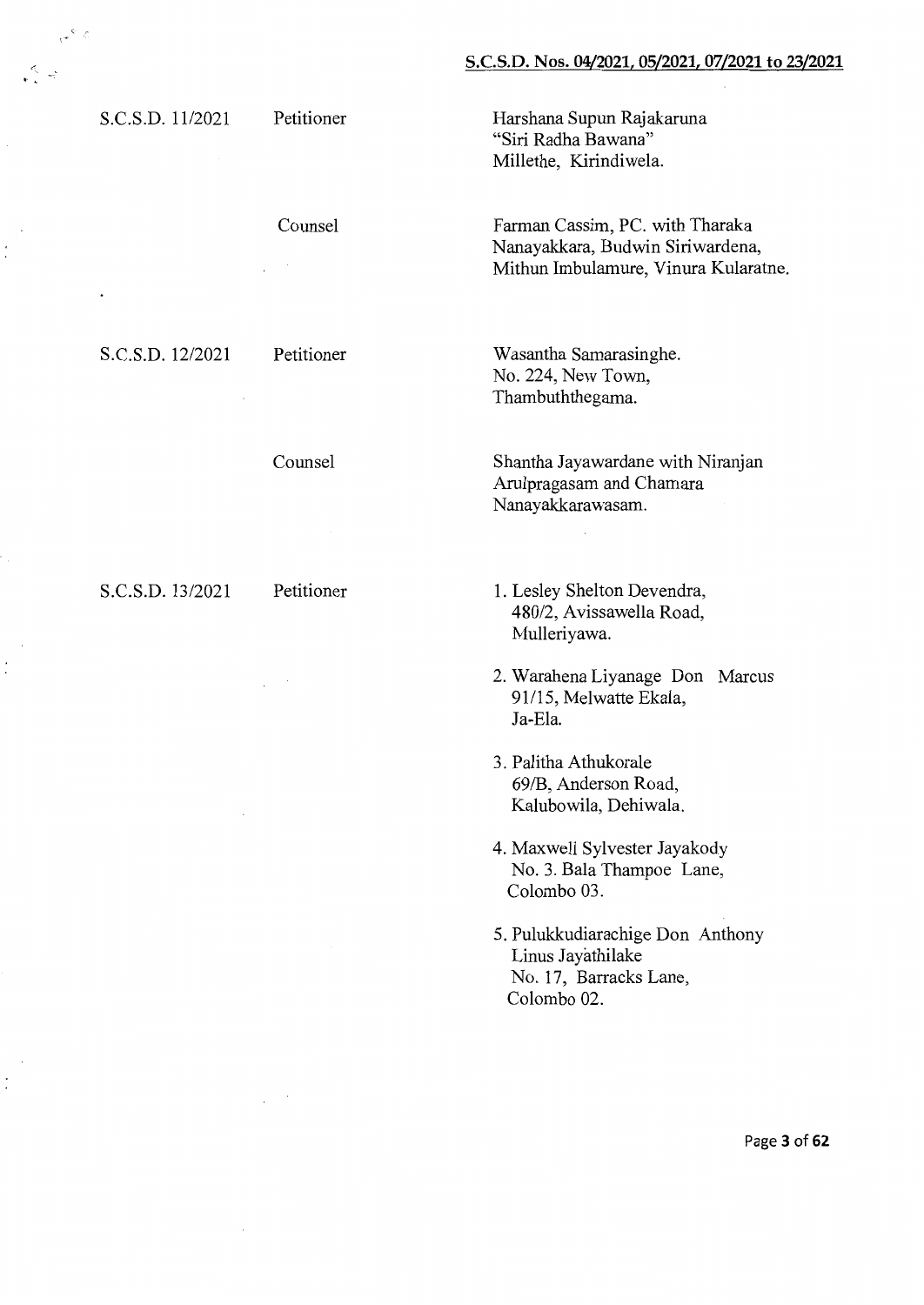# S.C.S.D. 11/2021 Petitioner Harshana Supun Rajakaruna "Siri Radha Bawana" Millethe, Kirindiwela. Counsel Farman Cassim, PC. with Tharaka Nanayakkara, Budwin Siriwardena, Mithun Imbulamure, Vinura Kularatne.  $\sim$ Wasantha Samarasinghe. S.C.S.D. 12/2021 Petitioner No. 224, New Town, Thambuththegama. Counsel Shantha Jayawardane with Niranjan Arulpragasam and Chamara Nanayakkarawasam. S.C.S.D. 13/2021 Petitioner 1. Lesley Shelton Devendra, 480/2, Avissawella Road, Mulleriyawa.

. '

 $\dot{.}$ 

 $\sim$   $^{\circ}$   $\sigma$ 

2. Warahena Liyanage Don Marcus 91115, Melwatte Ekala, Ja-Ela.

- 3. Palitha Athukorale 69/B, Anderson Road, Kalubowila, Dehiwala.
- 4. Maxwell Sylvester Jayakody No.3. Bala Thampoe Lane, Colombo 03.
- 5. Pulukkudiarachige Don Anthony Linus Jayathilake No. 17, Barracks Lane, Colombo 02.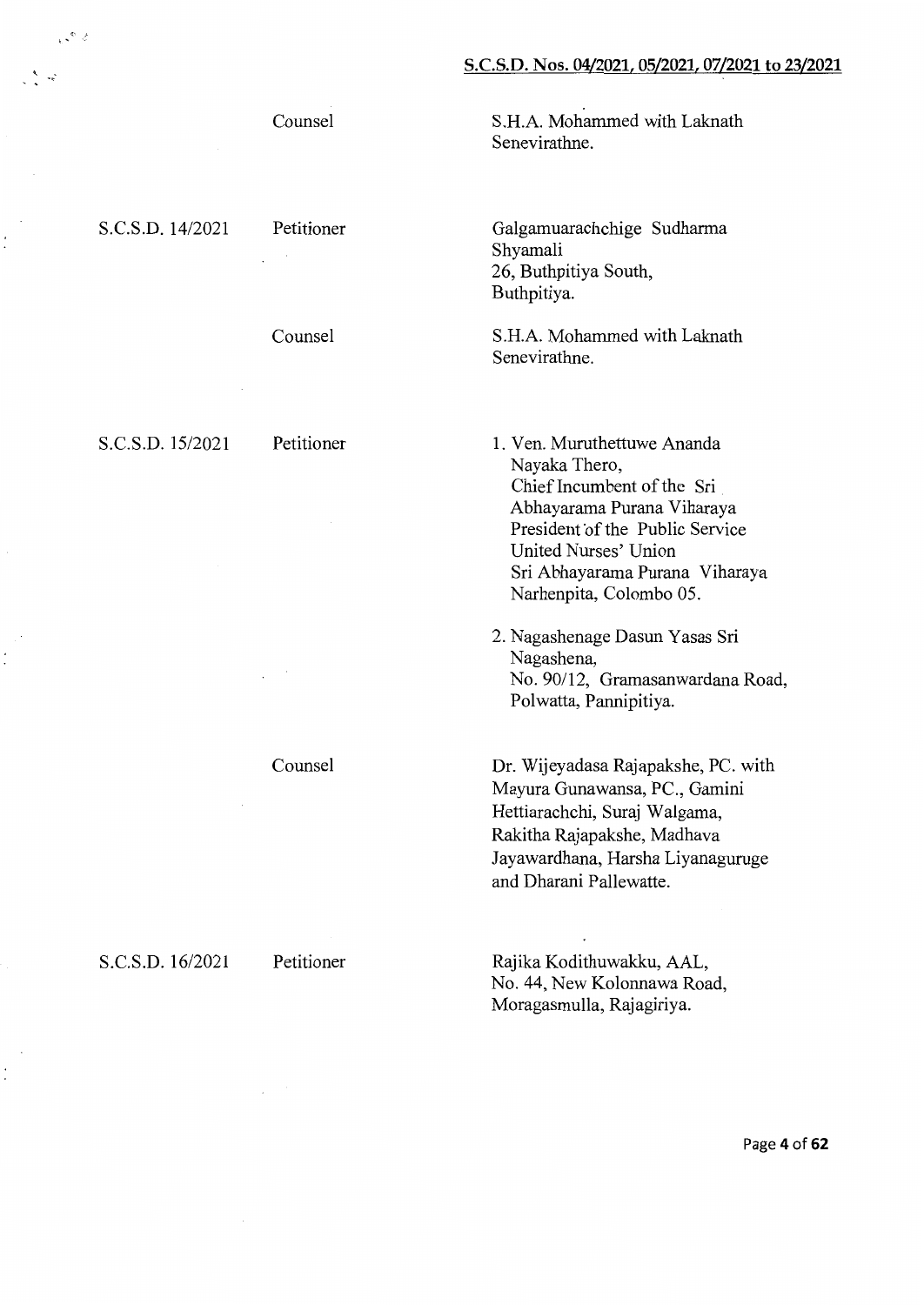S.H.A. Mohammed with Laknath

Galgamuarachchige Sudharma

S.H.A. Mohammed with Laknath

1. Ven. Muruthettuwe Ananda

Chief Incumbent of the Sri Abhayarama Purana Viharaya President of the Public Service

Sri Abhayarama Purana Viharaya

No. 90/12, Gramasanwardana Road,

United Nurses' Union

Polwatta, Pannipitiya.

Narhenpita, Colombo 05.

2. Nagashenage Dasun Yasas Sri

26, Buthpitiya South,

Senevirathne.

Shyamali

Buthpitiya.

Senevirathne.

Nayaka Thero,

Nagashena,

Counsel

S.C.S.D. 14/2021 Petitioner

 $\sim$   $^{\circ}$   $\sim$ 

'

:<br>  $\dot{.}$ 

 $\dot{.}$ 

Counsel

S.C.S.D. 15/2021 Petitioner

Counsel

Dr. Wijeyadasa Rajapakshe, PC. with Mayura Gunawansa, PC., Gamini Hettiarachchi, Suraj Walgama, Rakitha Rajapakshe, Madhava Jayawardhana, Harsha Liyanaguruge and Dharani Pallewatte.

S.C.S.D. 16/2021 Petitioner

Rajika Kodithuwakku, AAL, No. 44, New Kolonnawa Road, Moragasmulla, Rajagiriya.

Page **4** of **62**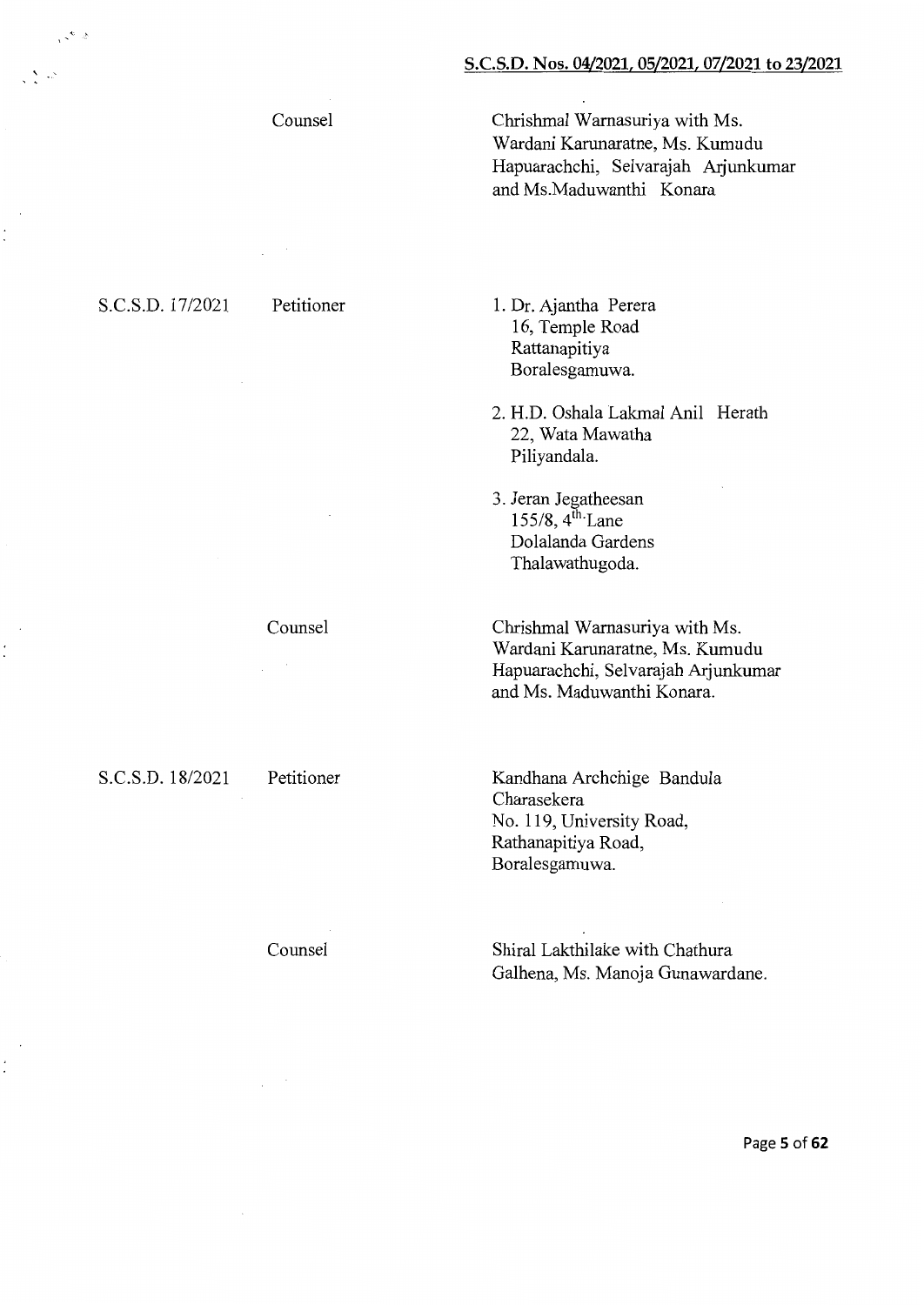Counsel

S.C.S.D. 17/2021 Petitioner

 $\cdot$   $\cdot$ 

Chrishmal Warnasuriya with Ms. Wardani Karunaratne, Ms. Kumudu Hapuarachchi, Selvarajah Arjunkumar and Ms.Maduwanthi Konara

1. Dr. Ajantha Perera 16, Temple Road Rattanapitiya Boralesgamuwa.

2. H.D. Oshala Lakmal Anil Herath 22, Wata Mawatha Piliyandala.

3. Jeran Jegatheesan 155/8, 4<sup>th</sup> Lane Dolalanda Gardens Thalawathugoda.

Chrishmal Warnasuriya with Ms. Wardani Karunaratne, Ms. Kumudu Hapuarachchi, Selvarajah Arjunkumar and Ms. Maduwanthi Konara.

Kandhana Archchige Bandula Charasekera No. 119, University Road, Rathanapitiya Road, Boralesgamuwa.

Counsel

Shirai Lakthilake with Chathura Galhena, Ms. Manoja Gunawardane.

Counsel

S.C.S.D. 18/2021 Petitioner

 $\dot{\cdot}$ 

Page **5 of 62**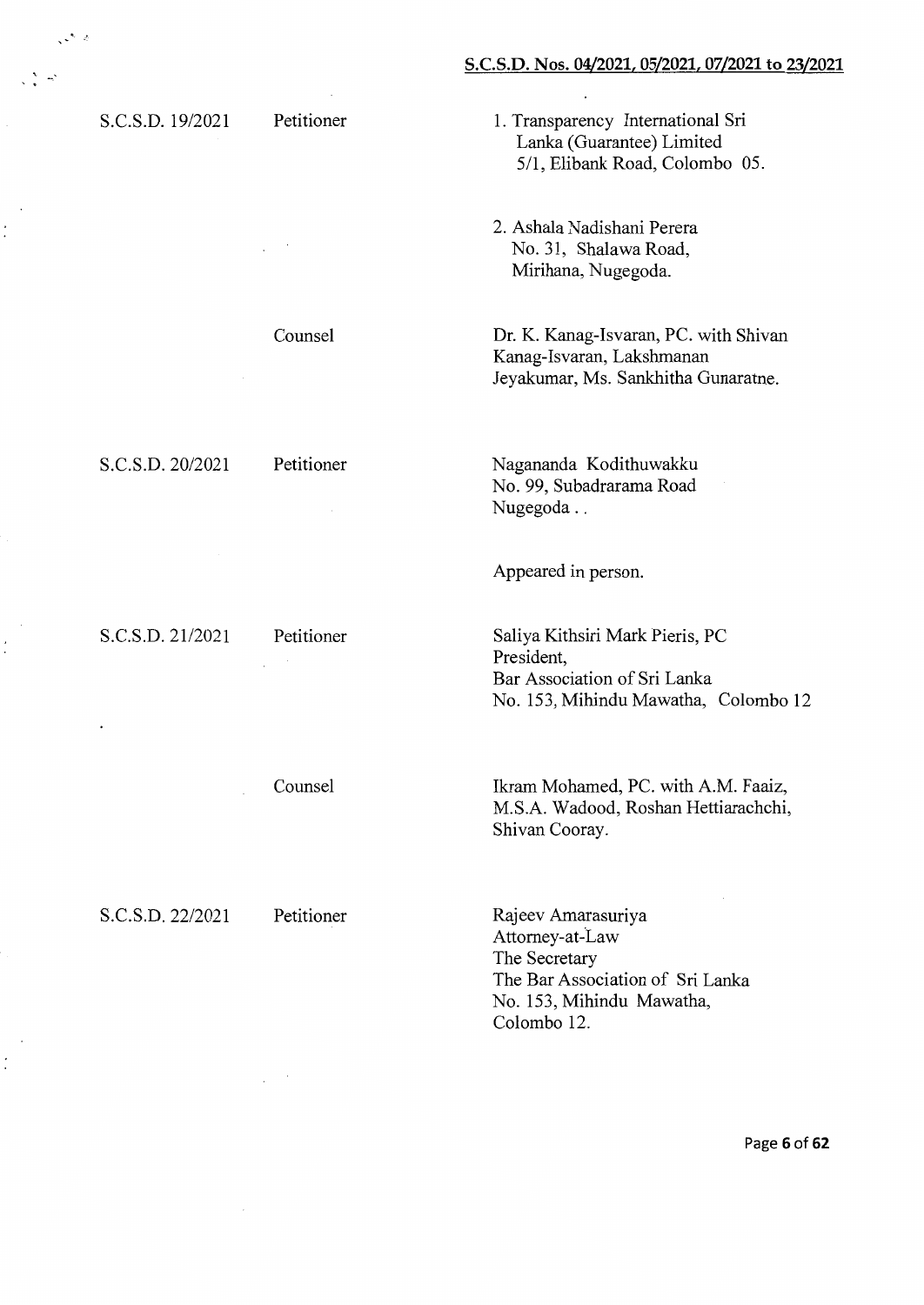| S.C.S.D. 19/2021 | Petitioner | 1. Transparency International Sri<br>Lanka (Guarantee) Limited<br>5/1, Elibank Road, Colombo 05.                                       |
|------------------|------------|----------------------------------------------------------------------------------------------------------------------------------------|
|                  |            | 2. Ashala Nadishani Perera<br>No. 31, Shalawa Road,<br>Mirihana, Nugegoda.                                                             |
|                  | Counsel    | Dr. K. Kanag-Isvaran, PC. with Shivan<br>Kanag-Isvaran, Lakshmanan<br>Jeyakumar, Ms. Sankhitha Gunaratne.                              |
| S.C.S.D. 20/2021 | Petitioner | Nagananda Kodithuwakku<br>No. 99, Subadrarama Road<br>Nugegoda                                                                         |
|                  |            | Appeared in person.                                                                                                                    |
| S.C.S.D. 21/2021 | Petitioner | Saliya Kithsiri Mark Pieris, PC<br>President,<br>Bar Association of Sri Lanka<br>No. 153, Mihindu Mawatha, Colombo 12                  |
|                  | Counsel    | Ikram Mohamed, PC. with A.M. Faaiz,<br>M.S.A. Wadood, Roshan Hettiarachchi,<br>Shivan Cooray.                                          |
| S.C.S.D. 22/2021 | Petitioner | Rajeev Amarasuriya<br>Attorney-at-Law<br>The Secretary<br>The Bar Association of Sri Lanka<br>No. 153, Mihindu Mawatha,<br>Colombo 12. |

 $\mathcal{S}^{\mathcal{O}}$ 

Ξ.

 $\mathbf{r}$  .

 $\ddot{\cdot}$ 

 $\dot{\cdot}$ 

 $\dot{\cdot}$ 

 $\ddot{\phantom{0}}$ 

Page **6 of 62**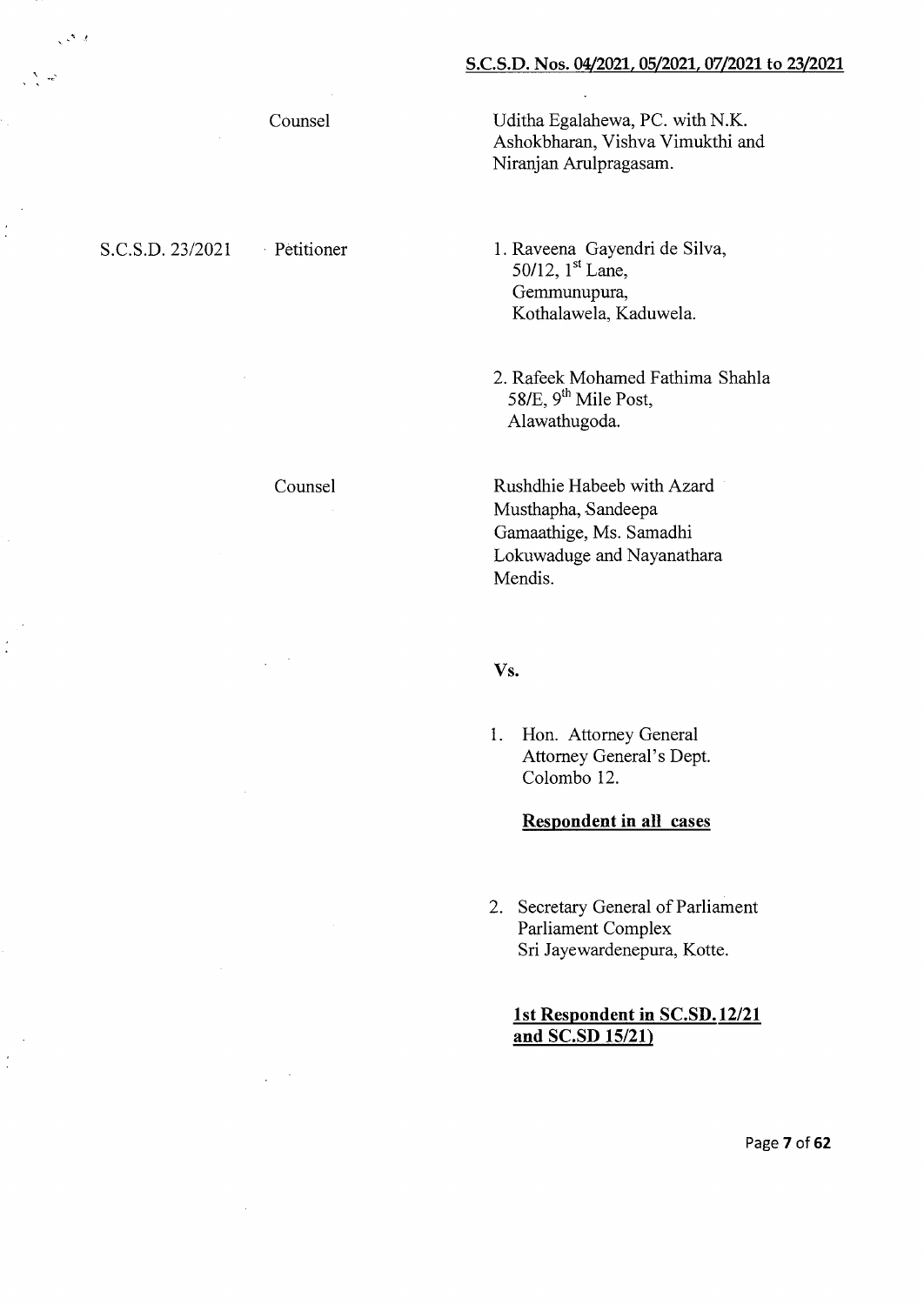Counsel

# S.C.S.D. 23/2021 Petitioner

 $\mathbb{R}^{\mathcal{N}}$  and

Counsel

Uditha Egalahewa, PC. with N.K. Ashokbharan, Vishva Vimukthi and Niranjan Arulpragasam.

1. Raveena Gayendri de Silva, 50/12, 1<sup>st</sup> Lane, Gemmunupura, Kothalawela, Kaduwela.

2. Rafeek Mohamed Fathima Shahla 58/E, 9<sup>th</sup> Mile Post, Alawathugoda.

Rushdhie Habeeb with Azard Musthapha, Sandeepa Gamaathige, Ms. Samadhi Lokuwaduge and Nayanathara Mendis.

#### Vs.

1. Hon. Attorney General Attorney General's Dept. Colombo 12.

# **Respondent in all cases**

2. Secretary General of Parliament Parliament Complex Sri Jayewardenepura, Korte.

# **1st Respondent in SC.SD.12/21 and SC.SD 15/21)**

Page **7 of 62**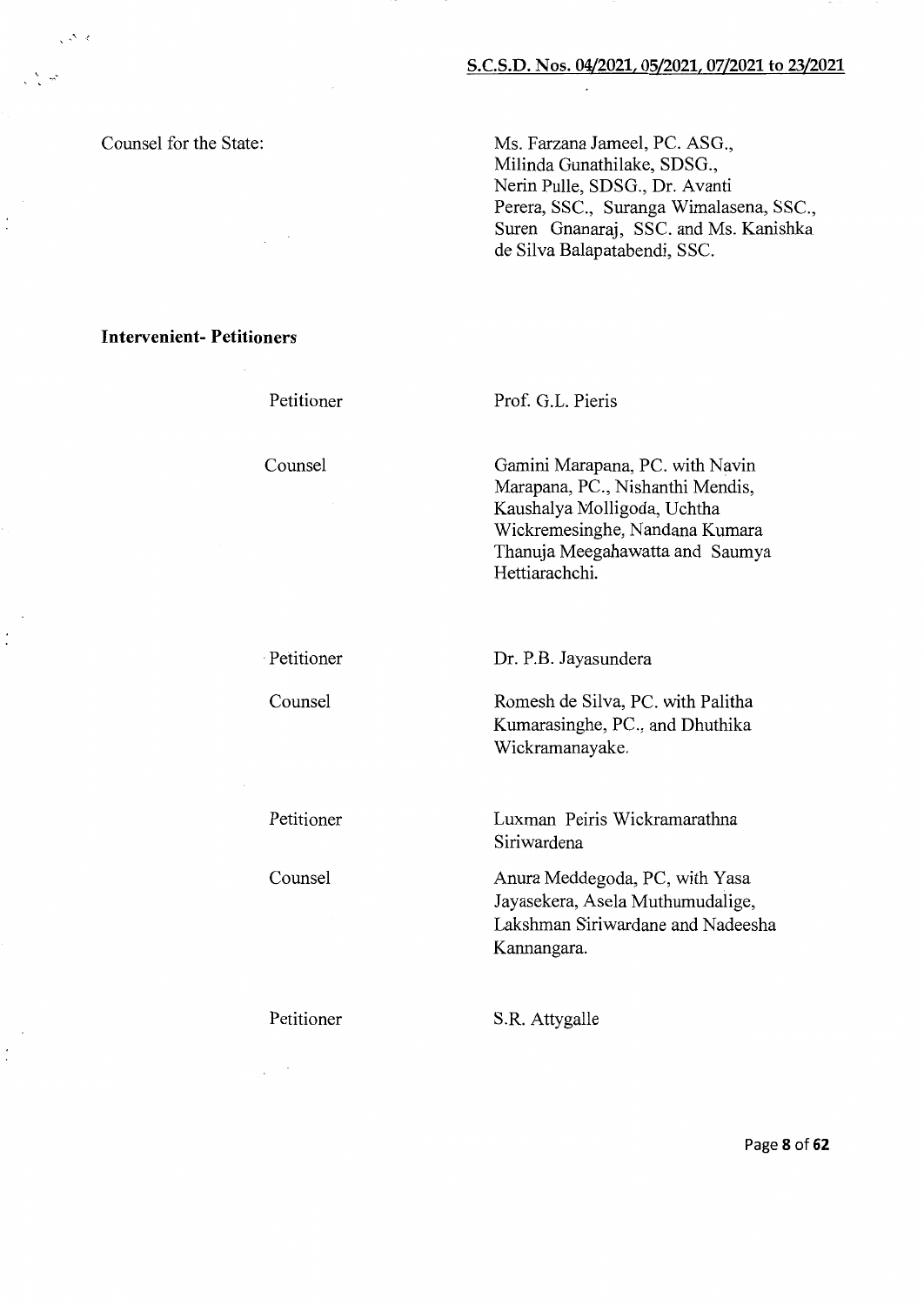Counsel for the State:

 $\sim$ 

Ms. Farzana Jameel, PC. ASG., Milinda Gunathilake, SDSG., Nerin Pulle, SDSG., Dr. Avanti Perera, SSC., Suranga Wimalasena, SSC., Suren Gnanaraj, SSC. and Ms. Kanishka de Silva Balapatabendi, SSC.

**Intervenient- Petitioners** 

Petitioner

Counsel

Prof. G.L. Pieris

Gamini Marapana, PC. with Navin Marapana, PC., Nishanthi Mendis, Kaushalya Molligoda, Uchtha Wickremesinghe, Nandana Kumara Thanuja Meegahawatta and Saumya Hettiarachchi.

· Petitioner

Counsel

Petitioner

Counsel

Dr. P.B. Jayasundera

Romesh de Silva, PC. with Palitha Kumarasinghe, PC., and Dhuthika Wickramanayake.

Luxman Peiris Wickramarathna Siriwardena

Anura Meddegoda, PC, with Yasa Jayasekera, Asela Muthumudalige, Lakshman Siriwardane and Nadeesha Kannangara.

Petitioner

S.R. Attygalle

Page **8 of 62**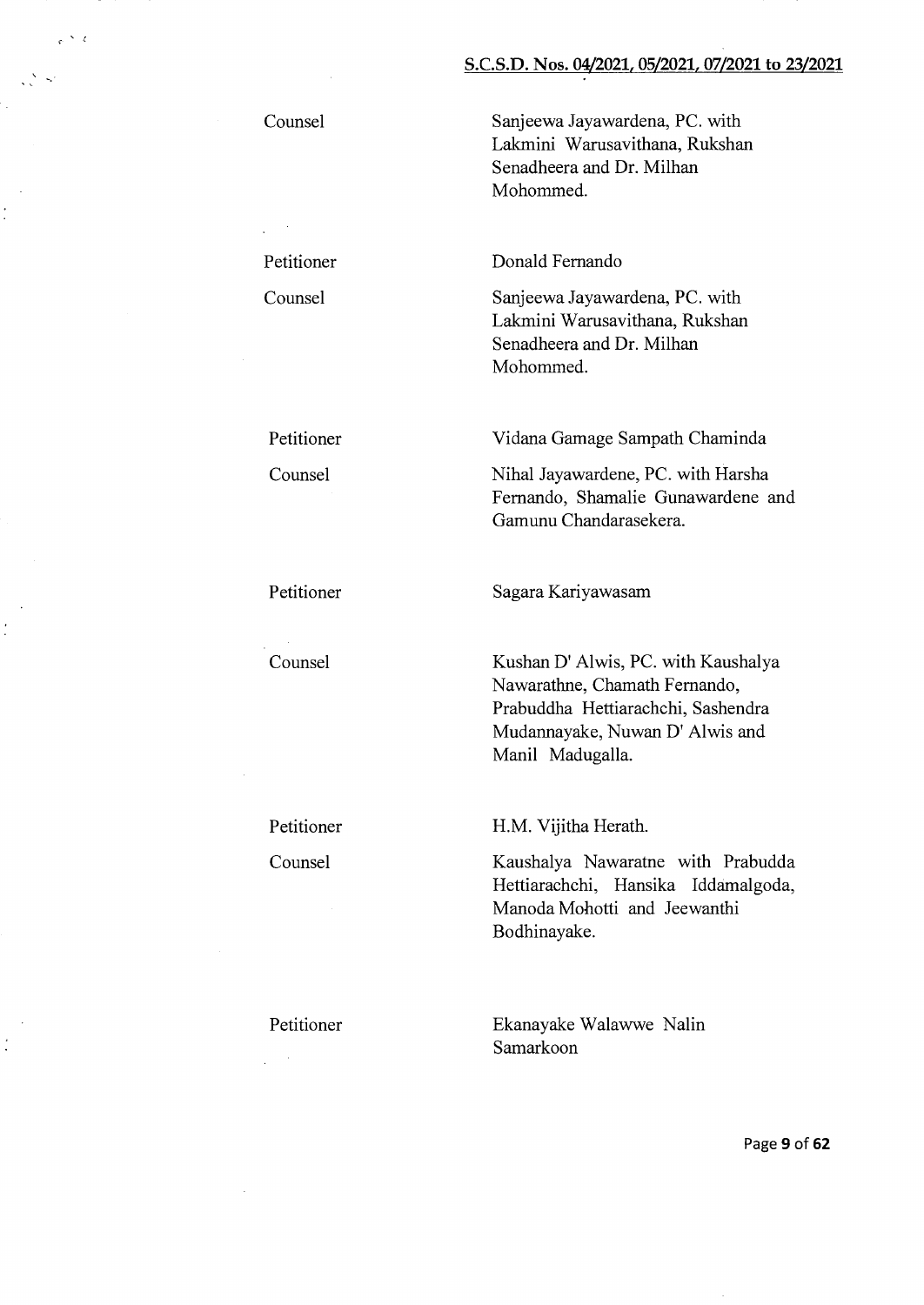Sanjeewa Jayawardena, PC. with Lakmini Warusavithana, Rukshan Senadheera and Dr. Milhan Mohommed.

Donald Fernando

Sanjeewa Jayawardena, PC. with Lakmini Warusavithana, Rukshan Senadheera and Dr. Milhan Mohommed.

Vidana Gamage Sampath Chaminda

Nihal Jayawardene, PC. with Harsha Fernando, Shamalie Gunawardene and Gamunu Chandarasekera.

Petitioner

Counsel

Kushan D' Alwis, PC. with Kaushalya Nawarathne, Chamath Fernando, Prabuddha Hettiarachchi, Sashendra Mudannayake, Nuwan D' Alwis and Manil Madugalla.

Petitioner

Counsel

H.M. Vijitha Herath.

Sagara Kariyawasam

Kaushalya Nawaratne with Prabudda Hettiarachchi, Hansika Iddamalgoda, Manoda Mohotti and Jeewanthi Bodhinayake.

Petitioner

Ekanayake Walawwe Nalin Samarkoon

Page **9 of62** 

Counsel

 $\frac{1}{2}$ 

-,.·

÷.

 $\ddot{\cdot}$ 

Petitioner Counsel

Petitioner

Counsel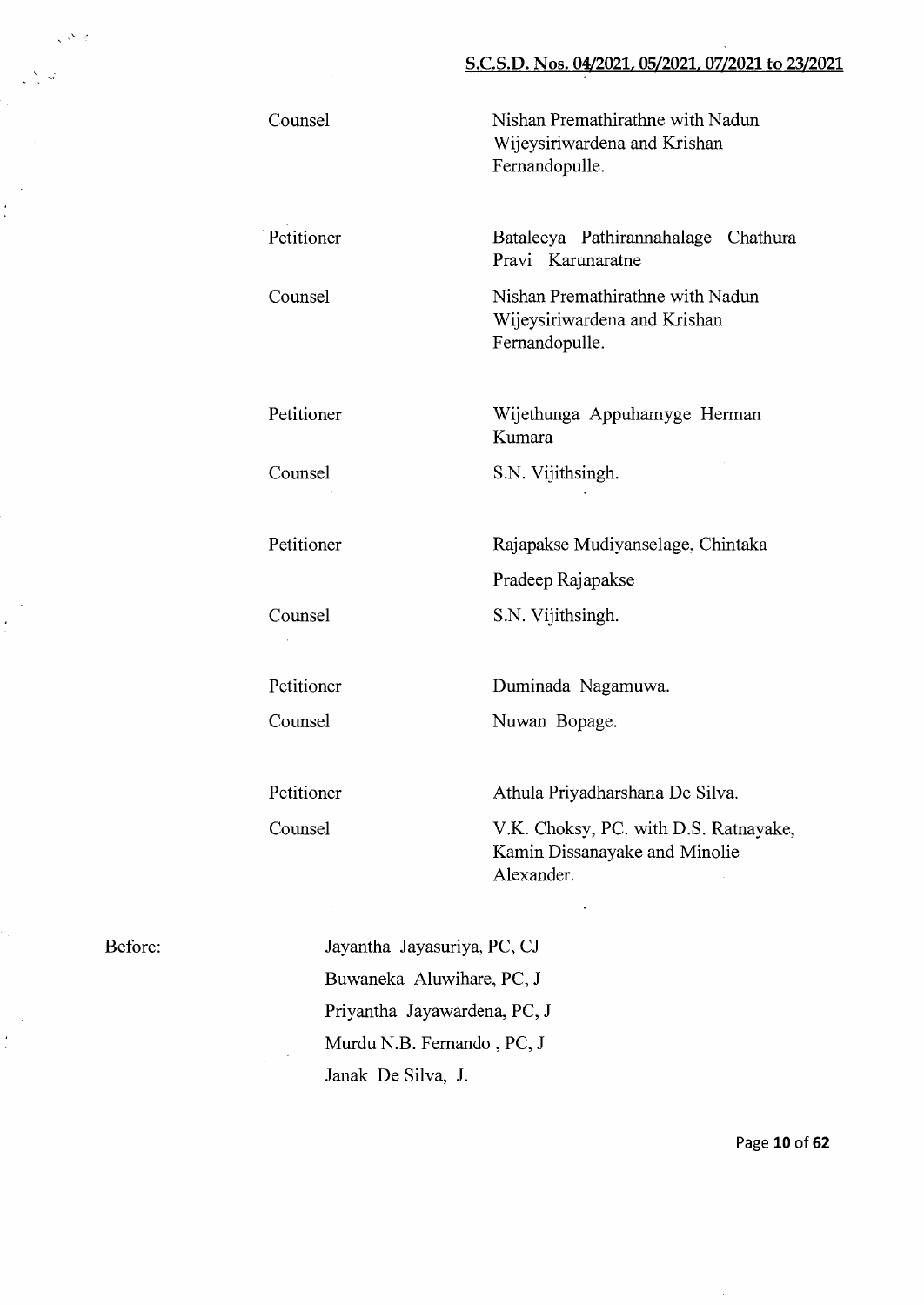Nishan Premathirathne with Nadun Wijeysiriwardena and Krishan Fernandopulle.

Bataleeya Pathirannahalage Chathura Pravi Karunaratne

Nishan Premathirathne with Nadun Wijeysiriwardena and Krishan Fernandopulle.

Wijethunga Appuhamyge Herman Kumara

S.N. Vijithsingh.

Rajapakse Mudiyanselage, Chintaka Pradeep Rajapakse S.N. Vijithsingh.

Duminada Nagamuwa.

Nuwan Bopage.

Athula Priyadharshana De Silva.

V.K. Choksy, PC. with D.S. Ratnayake, Kamin Dissanayake and Minolie Alexander.

Before:

,'

 $\ddot{\cdot}$ 

 $\frac{1}{2}$ 

 $\frac{1}{2}$ 

Jayantha Jayasuriya, PC, CJ Buwaneka Aluwihare, PC, J Priyantha Jayawardena, PC, J Murdu N.B. Fernando , PC, J Janak De Silva, J.

Page 10 of 62

Counsel

Petitioner

Counsel

Petitioner

Counsel

Petitioner Counsel

Counsel

·Petitioner

Counsel

Petitioner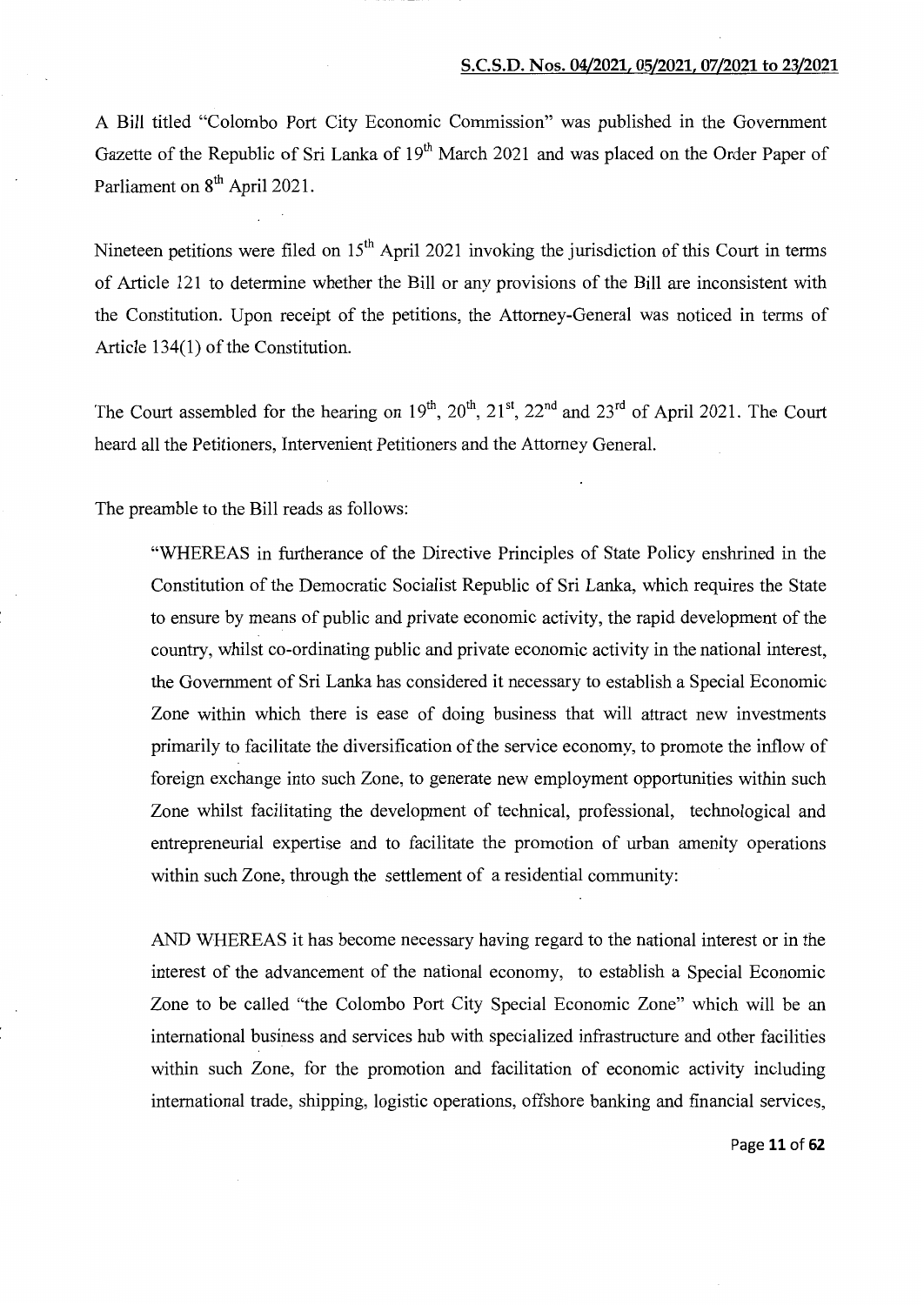A Bill titled "Colombo Port City Economic Commission" was published in the Government Gazette of the Republic of Sri Lanka of 19<sup>th</sup> March 2021 and was placed on the Order Paper of Parliament on 8<sup>th</sup> April 2021.

Nineteen petitions were filed on  $15<sup>th</sup>$  April 2021 invoking the jurisdiction of this Court in terms of Article 121 to determine whether the Bill or any provisions of the Bill are inconsistent with the Constitution. Upon receipt of the petitions, the Attorney-General was noticed in terms of Article  $134(1)$  of the Constitution.

The Court assembled for the hearing on  $19<sup>th</sup>$ ,  $20<sup>th</sup>$ ,  $21<sup>st</sup>$ ,  $22<sup>nd</sup>$  and  $23<sup>rd</sup>$  of April 2021. The Court heard all the Petitioners, Intervenient Petitioners and the Attorney General.

The preamble to the Bill reads as follows:

"WHEREAS in furtherance of the Directive Principles of State Policy enshrined in the Constitution of the Democratic Socialist Republic of Sri Lanka, which requires the State to ensure by means of public and private economic activity, the rapid development of the country, whilst co-ordinating public and private economic activity in the national interest, the Government of Sri Lanka has considered it necessary to establish a Special Economic Zone within which there is ease of doing business that will attract new investments primarily to facilitate the diversification of the service economy, to promote the inflow of foreign exchange into such Zone, to generate new employment opportunities within such Zone whilst facilitating the development of technical, professional, technological and entrepreneurial expertise and to facilitate the promotion of urban amenity operations within such Zone, through the settlement of a residential community:

AND WHEREAS it has become necessary having regard to the national interest or in the interest of the advancement of the national economy, to establish a Special Economic Zone to be called "the Colombo Port City Special Economic Zone" which will be an international business and services hub with specialized infrastructure and other facilities within such Zone, for the promotion and facilitation of economic activity including international trade, shipping, logistic operations, offshore banking and financial services,

Page 11 of 62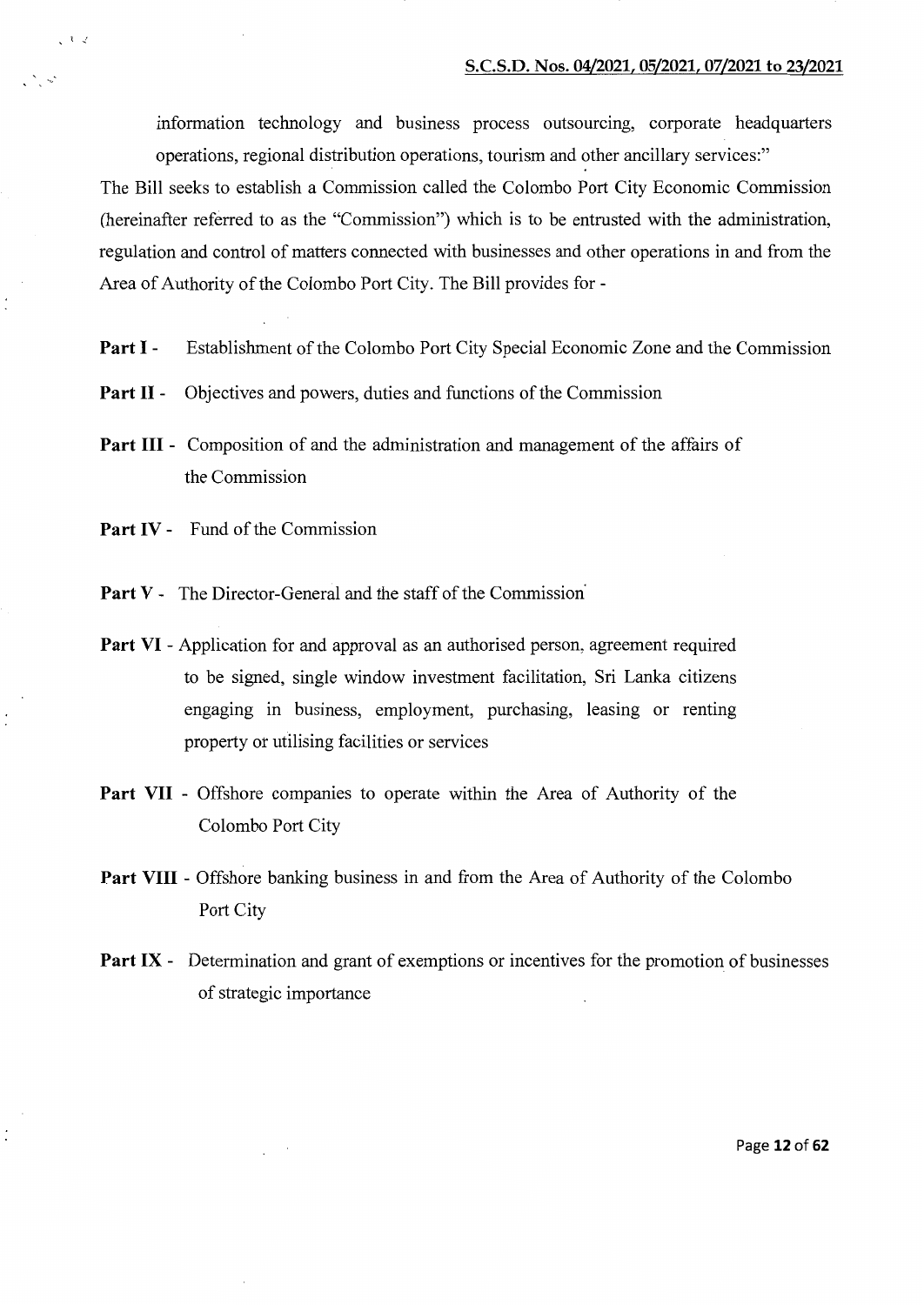information technology and business process outsourcing, corporate headquarters operations, regional distribution operations, tourism and other ancillary services:"

The Bill seeks to establish a Commission called the Colombo Port City Economic Commission (hereinafter referred to as the "Commission") which is to be entrusted with the administration, regulation and control of matters connected with businesses and other operations in and from the Area of Authority of the Colombo Port City. The Bill provides for-

- **Part I** Establishment of the Colombo Port City Special Economic Zone and the Commission
- **Part II** Objectives and powers, duties and functions of the Commission
- **Part III**  Composition of and the administration and management of the affairs of the Commission
- Part IV Fund of the Commission

' \ ./

- Part V The Director-General and the staff of the Commission<sup>1</sup>
- **Part VI**  Application for and approval as an authorised person, agreement required to be signed, single window investment facilitation, Sri Lanka citizens engaging in business, employment, purchasing, leasing or renting property or utilising facilities or services
- **Part VII**  Offshore companies to operate within the Area of Authority of the Colombo Port City
- **Part VIII** Offshore banking business in and from the Area of Authority of the Colombo Port City
- **Part IX** Determination and grant of exemptions or incentives for the promotion of businesses of strategic importance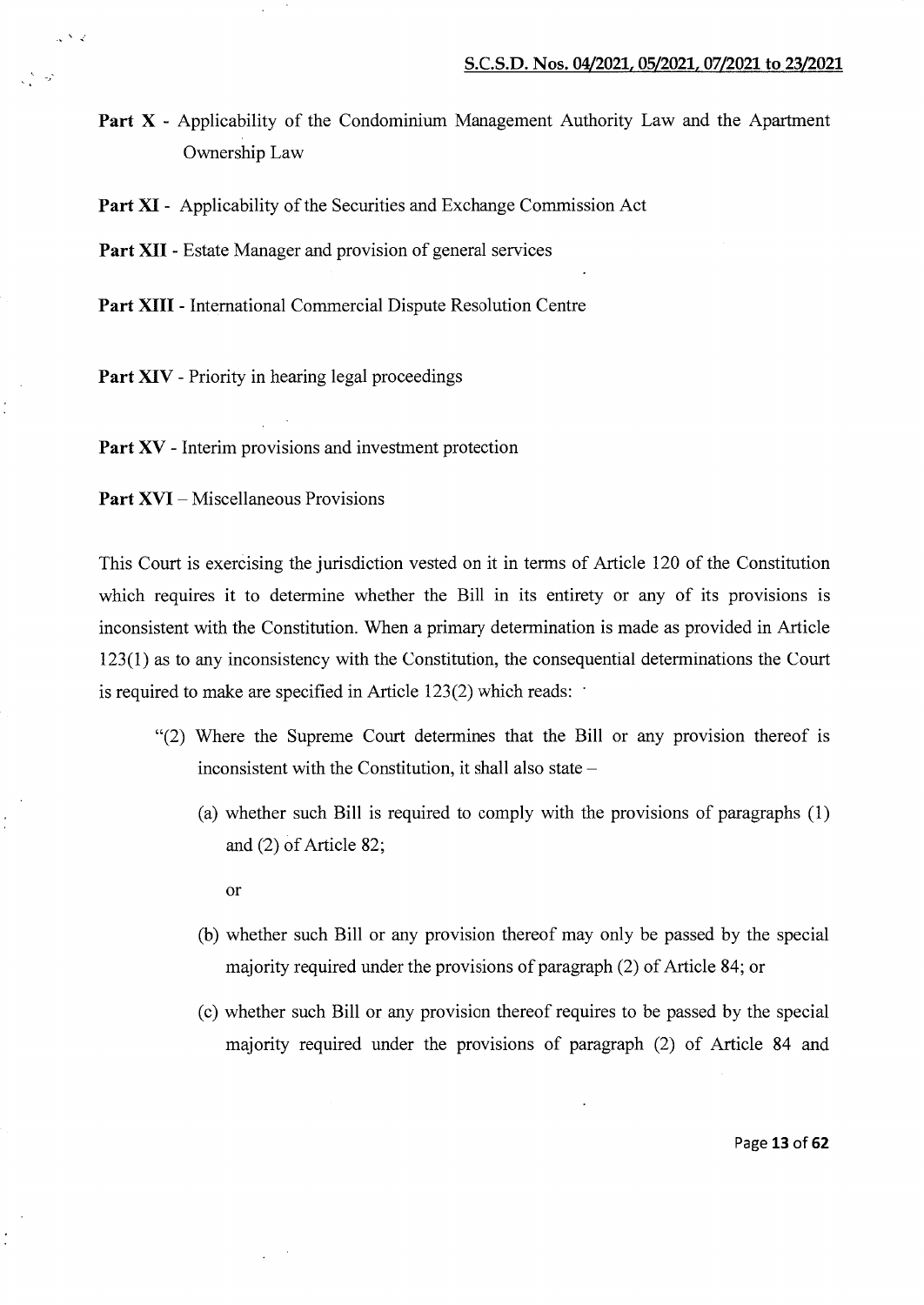Part X - Applicability of the Condominium Management Authority Law and the Apartment Ownership Law

Part **XI** - Applicability of the Securities and Exchange Commission Act

**Part XII** - Estate Manager and provision of general services

**Part XIII** - International Commercial Dispute Resolution Centre

Part XIV - Priority in hearing legal proceedings

Part XV - Interim provisions and investment protection

**Part XVI** – Miscellaneous Provisions

*..:* 

-\_,

This Court is exercising the jurisdiction vested on it in terms of Article 120 of the Constitution which requires it to determine whether the Bill in its entirety or any of its provisions is inconsistent with the Constitution. When a primary determination is made as provided in Article 123(1) as to any inconsistency with the Constitution, the consequential determinations the Court is required to make are specified in Article  $123(2)$  which reads:

- "(2) Where the Supreme Court determines that the Bill or any provision thereof is inconsistent with the Constitution, it shall also state  $-$ 
	- (a) whether such Bill is required to comply with the provisions of paragraphs (1) and (2) of Article 82;

or

- (b) whether such Bill or any provision thereof may only be passed by the special majority required under the provisions of paragraph (2) of Article 84; or
- (c) whether such Bill or any provision thereof requires to be passed by the special majority required under the provisions of paragraph (2) of Article 84 and

Page **13 of62**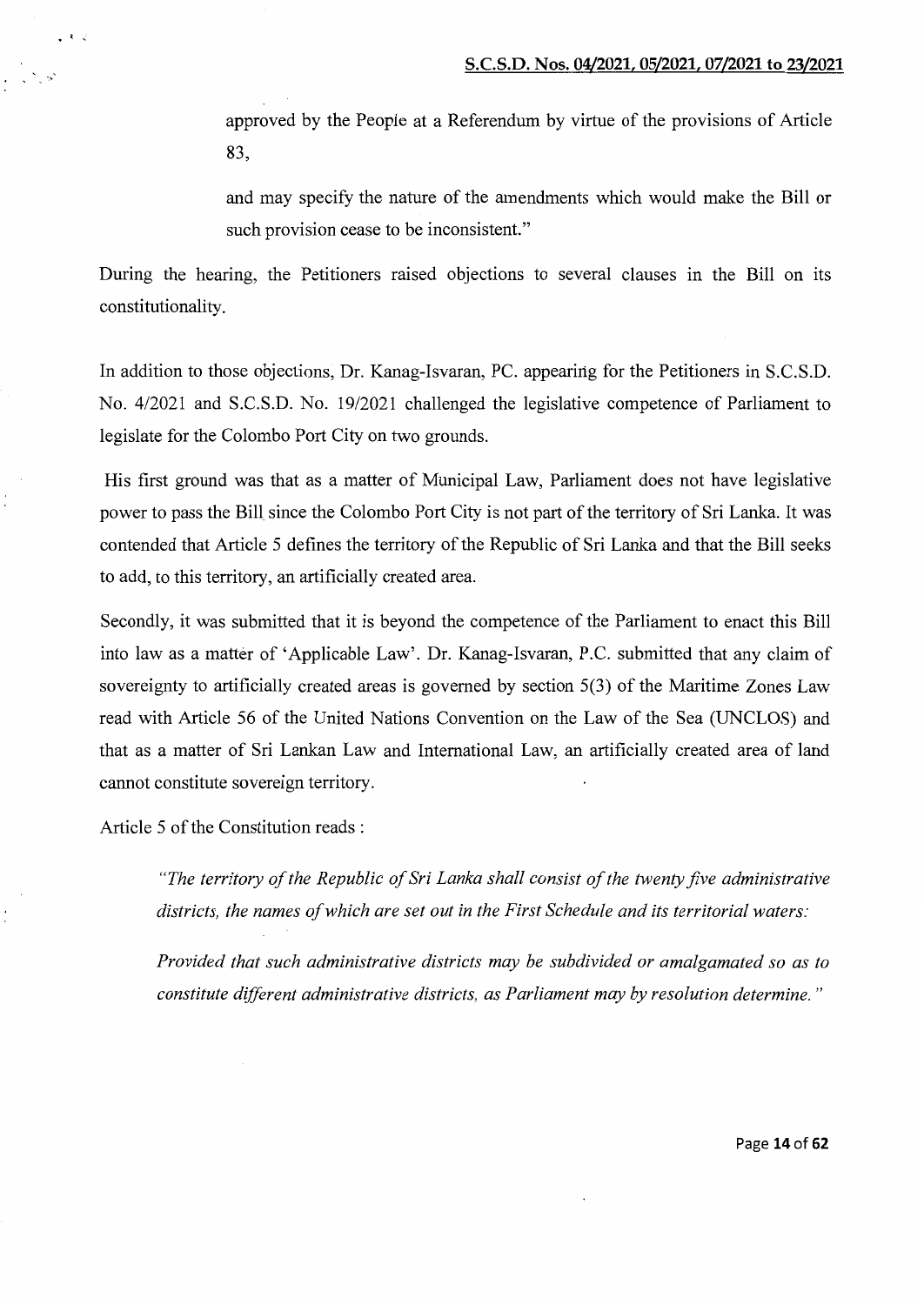approved by the People at a Referendum by virtue of the provisions of Article 83,

and may specify the nature of the amendments which would make the Bill or such provision cease to be inconsistent."

During the hearing, the Petitioners raised objections to several clauses in the Bill on its constitutionality.

In addition to those objections, Dr. Kanag-Isvaran, PC. appearing for the Petitioners in S.C.S.D. No. 4/2021 and S.C.S.D. No. 19/2021 challenged the legislative competence of Parliament to legislate for the Colombo Port City on two grounds.

His first ground was that as a matter of Municipal Law, Parliament does not have legislative power to pass the Bill since the Colombo Port City is not part of the territory of Sri Lanka. It was contended that Article 5 defines the territory of the Republic of Sri Lanka and that the Bill seeks to add, to this territory, an artificially created area.

Secondly, it was submitted that it is beyond the competence of the Parliament to enact this Bill into law as a matter of 'Applicable Law'. Dr. Kanag-Isvaran, P.C. submitted that any claim of sovereignty to artificially created areas is governed by section 5(3) of the Maritime Zones Law read with Article 56 of the United Nations Convention on the Law of the Sea (UNCLOS) and that as a matter of Sri Lankan Law and International Law, an artificially created area of land cannot constitute sovereign territory.

Article 5 of the Constitution reads :

 $\cdot$  .  $\cdot$ 

*"The territory of the Republic of Sri Lanka shall consist of the twenty five administrative districts, the names of which are set out in the First Schedule and its territorial waters:* 

*Provided that such administrative districts may be subdivided or amalgamated so as to constitute different administrative districts, as Parliament may by resolution determine.* "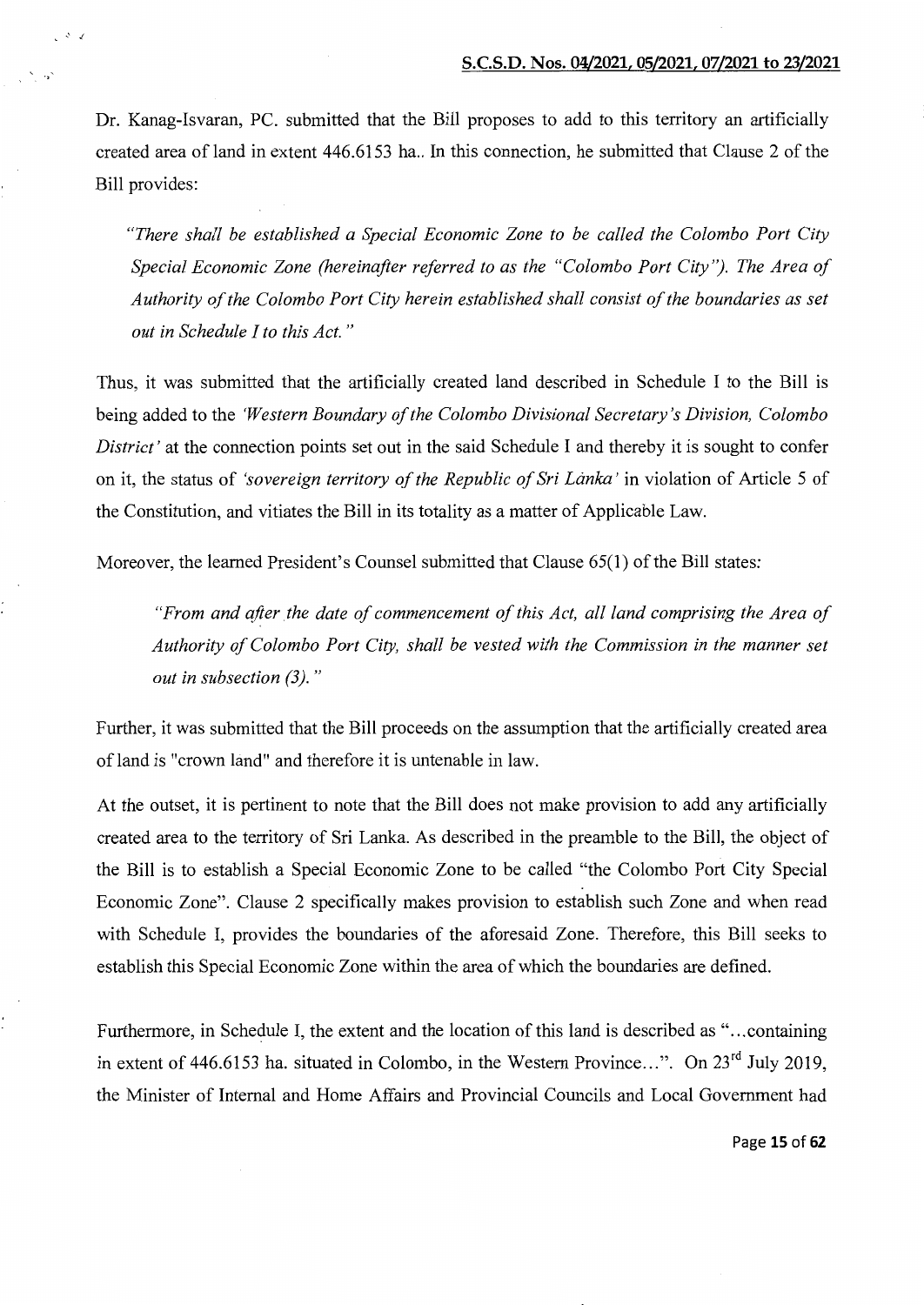Dr. Kanag-Isvaran, PC. submitted that the Bill proposes to add to this territory an artificially created area of land in extent 446.6153 ha.. In this connection, he submitted that Clause 2 of the Bill provides:

./

*"There shall be established a Special Economic Zone to be called the Colombo Port City Special Economic Zone (hereinafter referred to as the "Colombo Port City''). The Area of Authority of the Colombo Port City herein established shall consist of the boundaries as set out in Schedule I to this Act.* "

Thus, it was submitted that the artificially created land described in Schedule I to the Bill is being added to the *'Western Boundary of the Colombo Divisional Secretary's Division, Colombo District'* at the connection points set out in the said Schedule I and thereby it is sought to confer on it, the status of *'sovereign territory of the Republic of Sri Lanka'* in violation of Article 5 of the Constitution, and vitiates the Bill in its totality as a matter of Applicable Law.

Moreover, the learned President's Counsel submitted that Clause 65(1) of the Bill states:

*"From and after the date of commencement of this Act, all land comprising the Area of Authority of Colombo Port City, shall be vested with the Commission in the manner set out in subsection (3)."* 

Further, it was submitted that the Bill proceeds on the assumption that the artificially created area of land is "crown land" and therefore it is untenable in law.

At the outset, it is pertinent to note that the Bill does not make provision to add any artificially created area to the territory of Sri Lanka. As described in the preamble to the Bill, the object of the Bill is to establish a Special Economic Zone to be called "the Colombo Port City Special Economic Zone". Clause 2 specifically makes provision to establish such Zone and when read with Schedule I, provides the boundaries of the aforesaid Zone. Therefore, this Bill seeks to establish this Special Economic Zone within the area of which the boundaries are defined.

Furthermore, in Schedule I, the extent and the location of this land is described as "... containing in extent of 446.6153 ha. situated in Colombo, in the Western Province...". On  $23<sup>rd</sup>$  July 2019, the Minister of Internal and Home Affairs and Provincial Councils and Local Government had

Page **15 of62**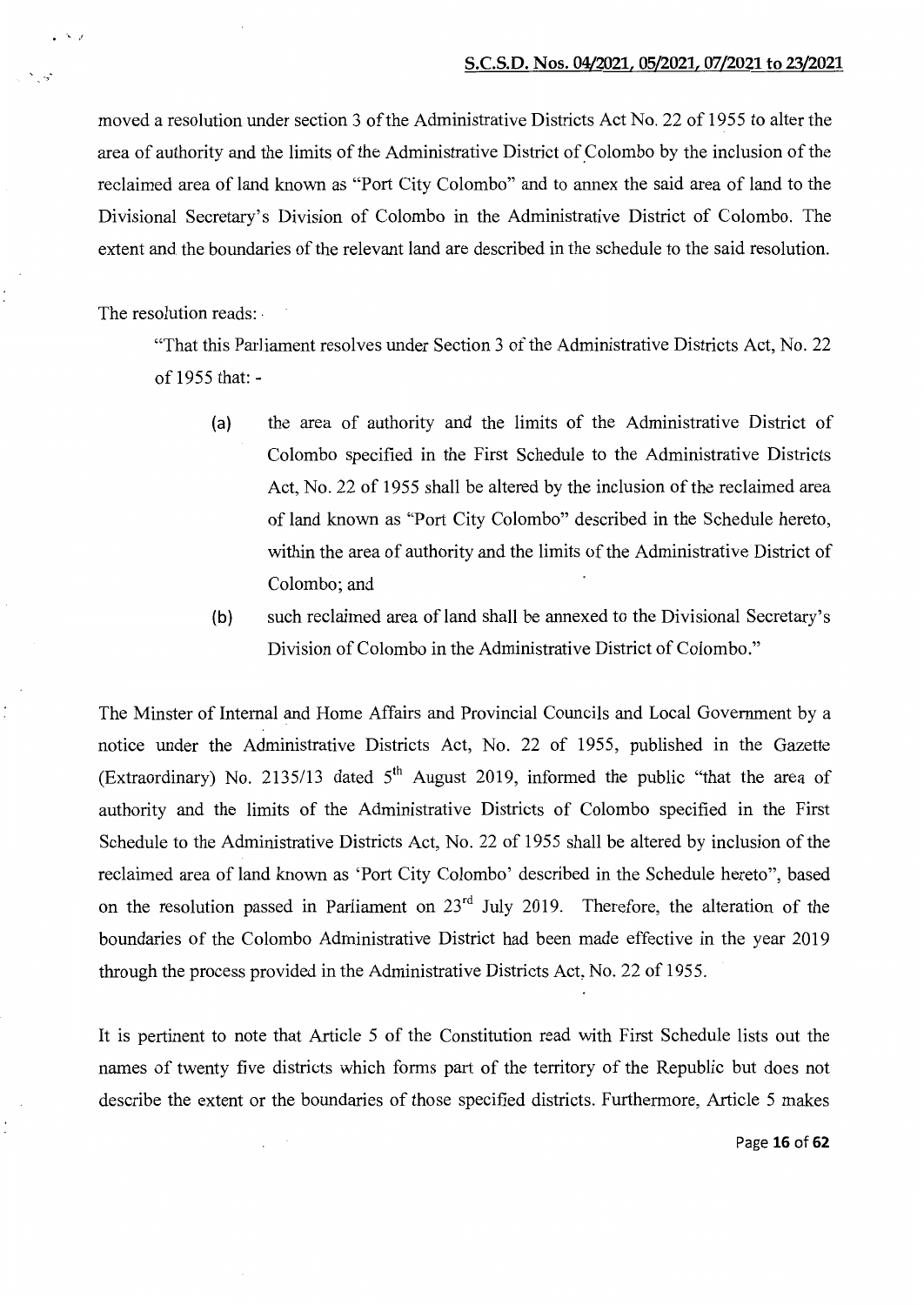moved a resolution under section 3 of the Administrative Districts Act No. 22 of 1955 to alter the area of authority and the limits of the Administrative District of\_Colombo by the inclusion of the reclaimed area of land known as "Port City Colombo" and to annex the said area of land to the Divisional Secretary's Division of Colombo in the Administrative District of Colombo. The extent and the boundaries of the relevant land are described in the schedule to the said resolution.

The resolution reads: ·

·'

"That this Parliament resolves under Section 3 of the Administrative Districts Act, No. 22 of 1955 that: -

- (a) the area of authority and the limits of the Administrative District of Colombo specified in the First Schedule to the Administrative Districts Act, No. 22 of 1955 shall be altered by the inclusion of the reclaimed area of land known as "Port City Colombo" described in the Schedule hereto, within the area of authority and the limits of the Administrative District of Colombo; and
- (b) such reclaimed area of land shall be annexed to the Divisional Secretary's Division of Colombo in the Administrative District of Colombo."

The Minster of Internal and Home Affairs and Provincial Councils and Local Government by a notice under the Administrative Districts Act, No. 22 of 1955, published in the Gazette (Extraordinary) No. 2135/13 dated  $5<sup>th</sup>$  August 2019, informed the public "that the area of authority and the limits of the Administrative Districts of Colombo specified in the First Schedule to the Administrative Districts Act, No. 22 of 1955 shall be altered by inclusion of the reclaimed area of land known as 'Port City Colombo' described in the Schedule hereto", based on the resolution passed in Parliament on  $23<sup>rd</sup>$  July 2019. Therefore, the alteration of the boundaries of the Colombo Administrative District had been made effective in the year 2019 through the process provided in the Administrative Districts Act, No. 22 of 1955.

It is pertinent to note that Article 5 of the Constitution read with First Schedule lists out the names of twenty five districts which forms part of the territory of the Republic but does not describe the extent or the boundaries of those specified districts. Furthermore, Article 5 makes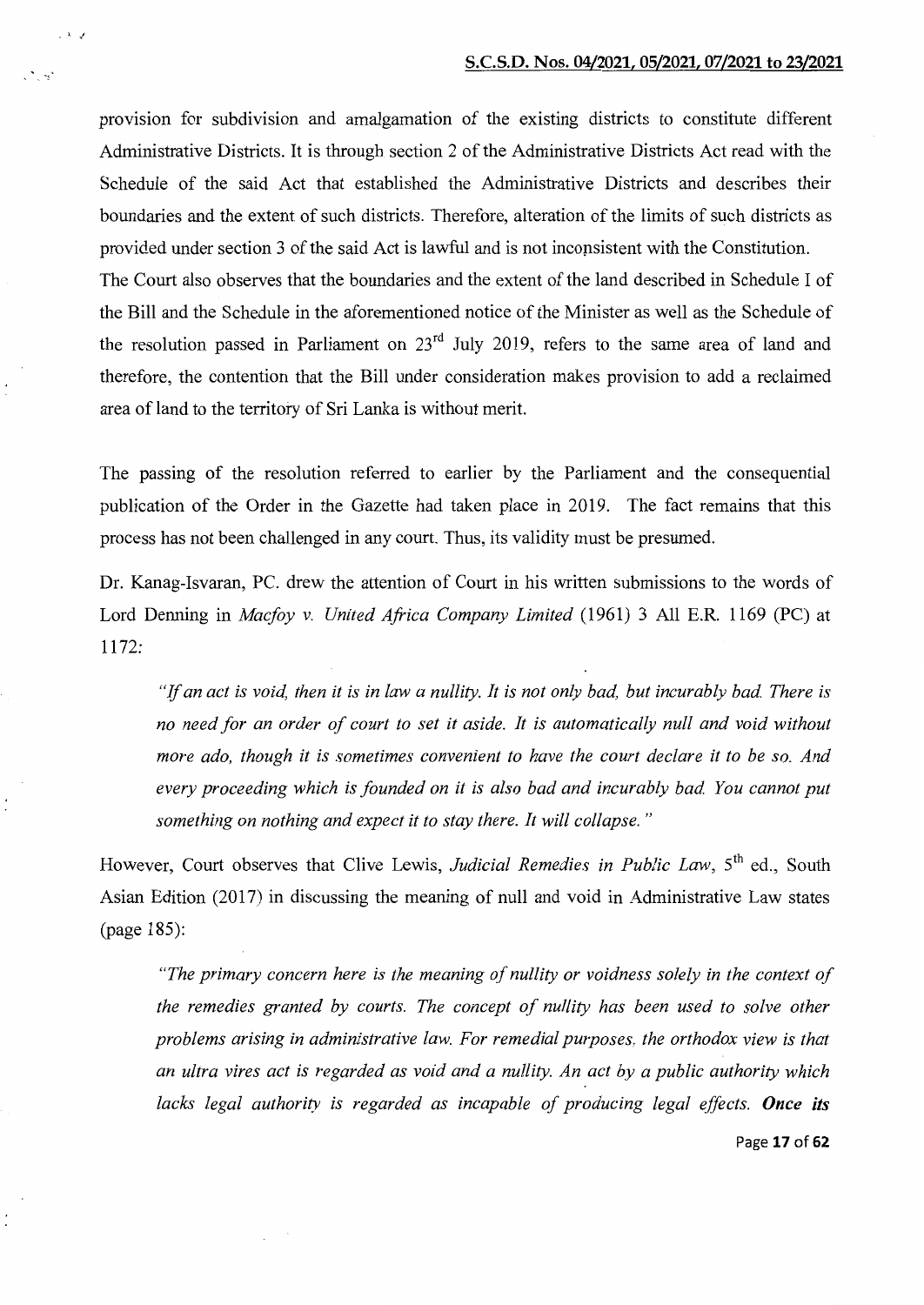provision for subdivision and amalgamation of the existing districts to constitute different Administrative Districts. It is through section 2 of the Administrative Districts Act read with the Schedule of the said Act that established the Administrative Districts and describes their boundaries and the extent of such districts. Therefore, alteration of the limits of such districts as provided under section 3 of the said Act is lawful and is not inconsistent with the Constitution. The Court also observes that the boundaries and the extent of the land described in Schedule I of the Bill and the Schedule in the aforementioned notice of the Minister as well as the Schedule of the resolution passed in Parliament on  $23<sup>rd</sup>$  July 2019, refers to the same area of land and therefore, the contention that the Bill under consideration makes provision to add a reclaimed area of land to the territory of Sri Lanka is without merit.

'' ./

The passing of the resolution referred to earlier by the Parliament and the consequential publication of the Order in the Gazette had taken place in 2019. The fact remains that this process has not been challenged in any court. Thus, its validity must be presumed.

Dr. Kanag-Isvaran, PC. drew the attention of Court in his written submissions to the words of Lord Denning in *Macfoy v. United Africa Company Limited* (1961) 3 All E.R. 1169 (PC) at 1172:

"If *an act is void, then it is in law a nullity. It is not only bad, but incurably bad. There is*  no need for an order of court to set it aside. It is automatically null and void without *more ado, though it is sometimes convenient to have the court declare it to be so. And every proceeding which is founded on it is also bad and incurably bad. You cannot put something on nothing and expect it to stay there. It will collapse.* "

However, Court observes that Clive Lewis, *Judicial Remedies in Public Law*, 5<sup>th</sup> ed., South Asian Edition (2017) in discussing the meaning of null and void in Administrative Law states (page 185):

*"The primary concern here is the meaning of nullity or voidness solely in the context of the remedies granted by courts. The concept of nullity has been used to solve other problems arising in administrative law. For remedial purposes, the orthodox view is that an ultra vires act is regarded as void and a nullity. An act by a public authority which lacks legal authority is regarded as incapable of producing legal effects. Once its* 

Page **17 of 62**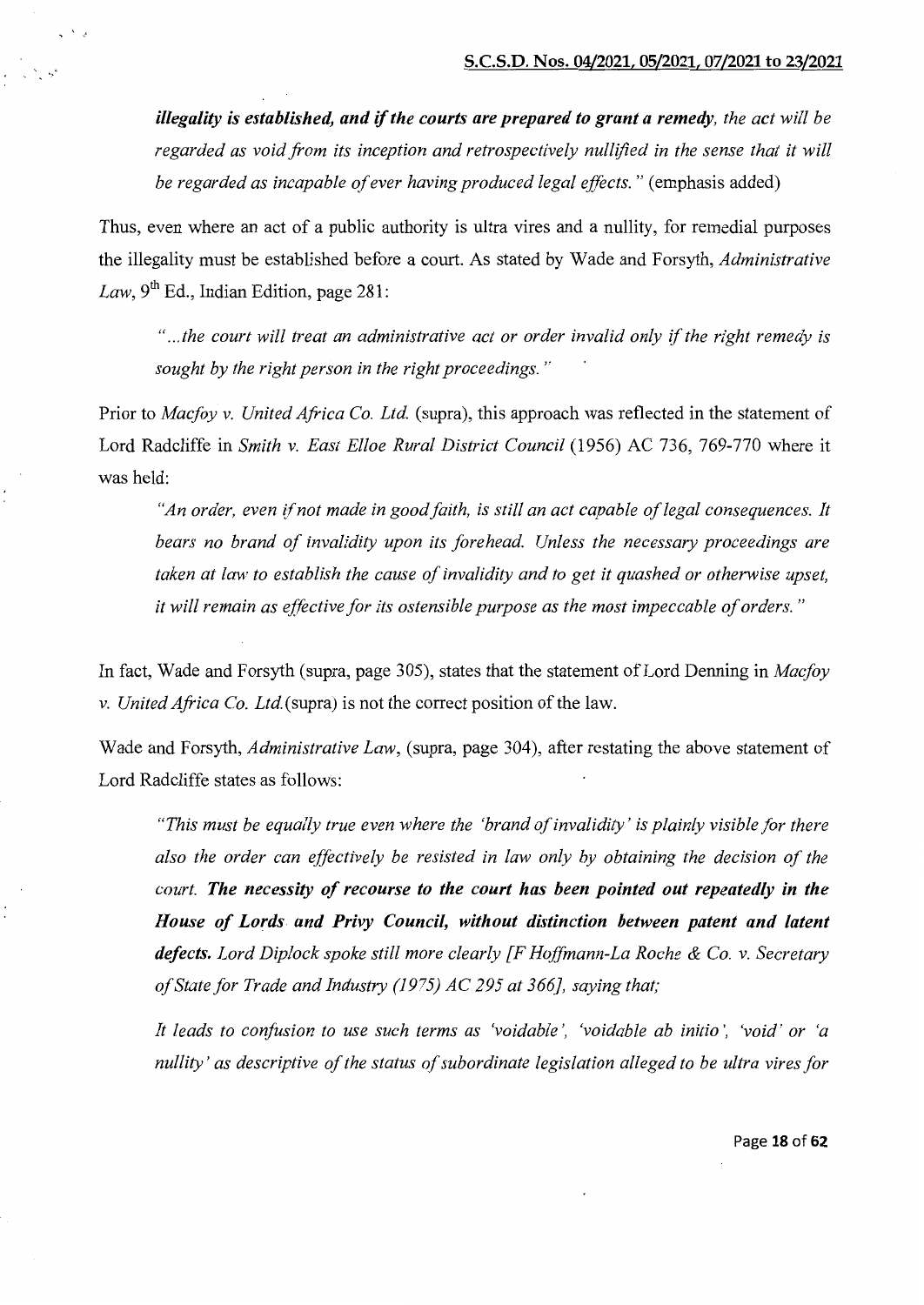*illegality is established, and if the courts are prepared to grant a remedy, the act will be regarded as void from its inception and retrospectively nullified in the sense that it will be regarded as incapable of ever having produced legal effects.* " (emphasis added)

Thus, even where an act of a public authority is ultra vires and a nullity, for remedial purposes the illegality must be established before a court. As stated by Wade and Forsyth, *Administrative Law*,  $9<sup>th</sup>$  Ed., Indian Edition, page 281:

*" ... the court will treat an administrative act or order invalid only* if *the right remedy is sought by the right person in the right proceedings.* "

Prior to *Macfoy v. United Africa Co. Ltd.* (supra), this approach was reflected in the statement of Lord Radcliffe in *Smith v. East Elloe Rural District Council* (1956) AC 736, 769-770 where it was held:

*"An order, even* if *not made in good faith, is still an act capable of legal consequences. It bears no brand of invalidity upon its forehead. Unless the necessary proceedings are taken at law to establish the cause of invalidity and to get it quashed or otherwise upset, it will remain as effective for its ostensible purpose as the most impeccable of orders.* "

In fact, Wade and Forsyth (supra, page 305), states that the statement of Lord Denning in *Macfoy v. United Africa Co.* Ltd.(supra) is not the correct position of the law.

Wade and Forsyth, *Administrative Law,* (supra, page 304), after restating the above statement of Lord Radcliffe states as follows:

*"This must be equally true even where the 'brand of invalidity' is plainly visible for there also the order can effectively be resisted in law only by obtaining the decision of the court. The necessity of recourse to the court has been pointed out repeatedly in the House of Lords and Privy Council, without distinction between patent and latent defects. Lord Diplock spoke still more clearly [F Hoffmann-La Roche* & *Co. v. Secretary of State for Trade and Industry (1975) AC 295 at 366], saying that;* 

*It leads to confusion to use such terms as 'voidable', 'voidable ab initio', 'void' or 'a nullity' as descriptive of the status of subordinate legislation alleged to be ultra vires for* 

Page **18 of 62**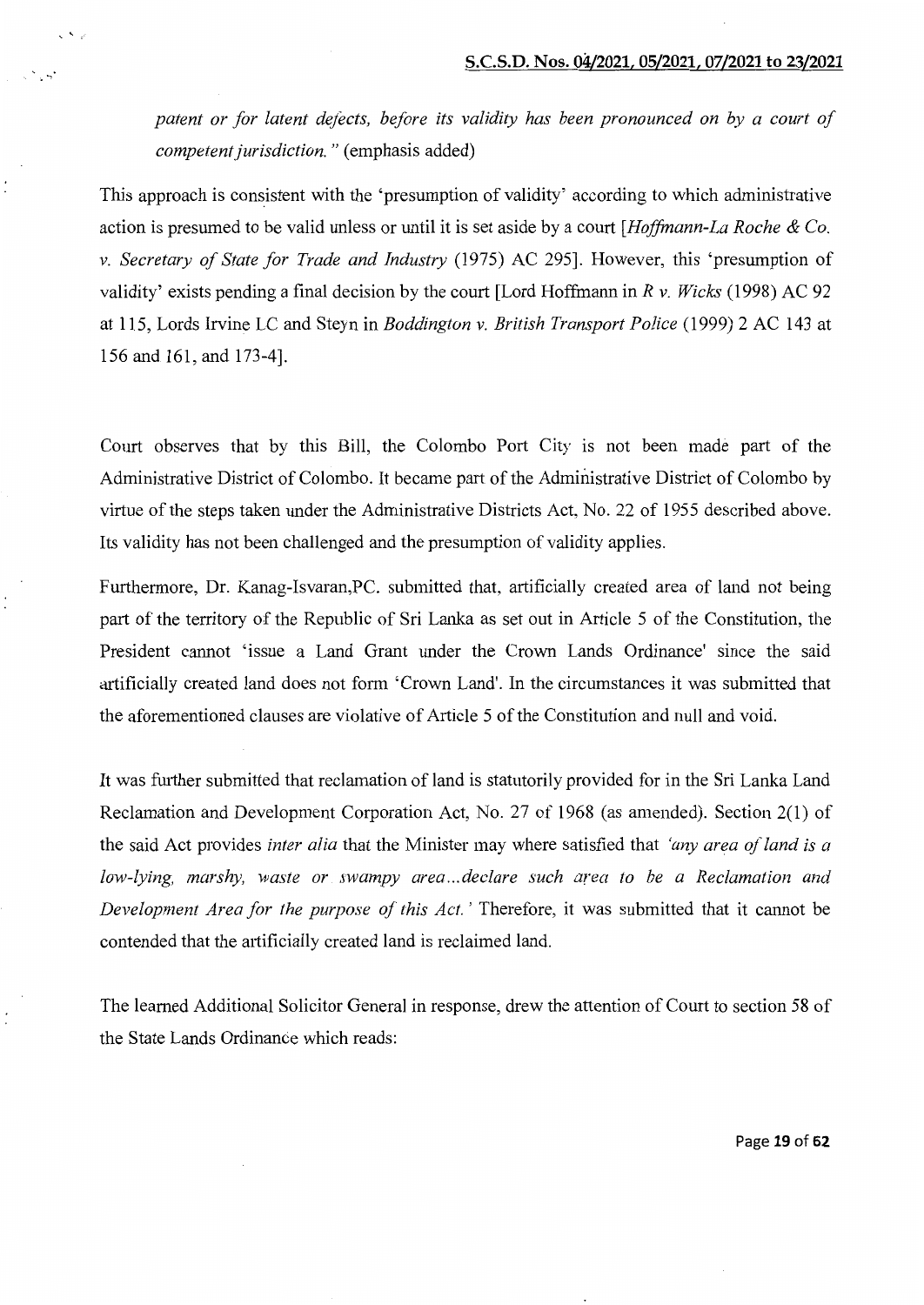*patent or for latent defects, before its validity has been pronounced on by a court of competent jurisdiction.* " (emphasis added)

 $\mathbf{v}$   $\mathbf{v}$ 

~·

This approach is consistent with the 'presumption of validity' according to which administrative action is presumed to be valid unless or until it is set aside by a court *[Hoffmann-La Roche* & *Co. v. Secretary of State for Trade and Industry* (1975) AC 295]. However, this 'presumption of validity' exists pending a final decision by the court [Lord Hoffmann in *R* v. *Wicks* (1998) AC 92 at 115, Lords Irvine LC and Steyn in *Boddington v. British Transport Police* (1999) 2 AC 143 at 156 and 161, and 173-4].

Court observes that by this Bill, the Colombo Port City is not been made part of the Administrative District of Colombo. It became part of the Administrative District of Colombo by virtue of the steps taken under the Administrative Districts Act, No. 22 of 1955 described above. Its validity has not been challenged and the presumption of validity applies.

Furthermore, Dr. Kanag-Isvaran,PC. submitted that, artificially created area of land not being part of the territory of the Republic of Sri Lanka as set out in Article 5 of the Constitution, the President cannot 'issue a Land Grant under the Crown Lands Ordinance' since the said artificially created land does not form 'Crown Land'. In the circumstances it was submitted that the aforementioned clauses are violative of Article 5 of the Constitution and null and void.

It was further submitted that reclamation of land is statutorily provided for in the Sri Lanka Land Reclamation and Development Corporation Act, No. 27 of 1968 (as amended). Section 2(1) of the said Act provides *inter alia* that the Minister may where satisfied that *'any area of land is a low-lying, marshy, waste or swampy area ... declare such area to be a Reclamation and Development Area for the purpose of this Act.* ' Therefore, it was submitted that it cannot be contended that the artificially created land is reclaimed land.

The learned Additional Solicitor General in response, drew the attention of Court to section 58 of the State Lands Ordinance which reads:

Page **19 of 62**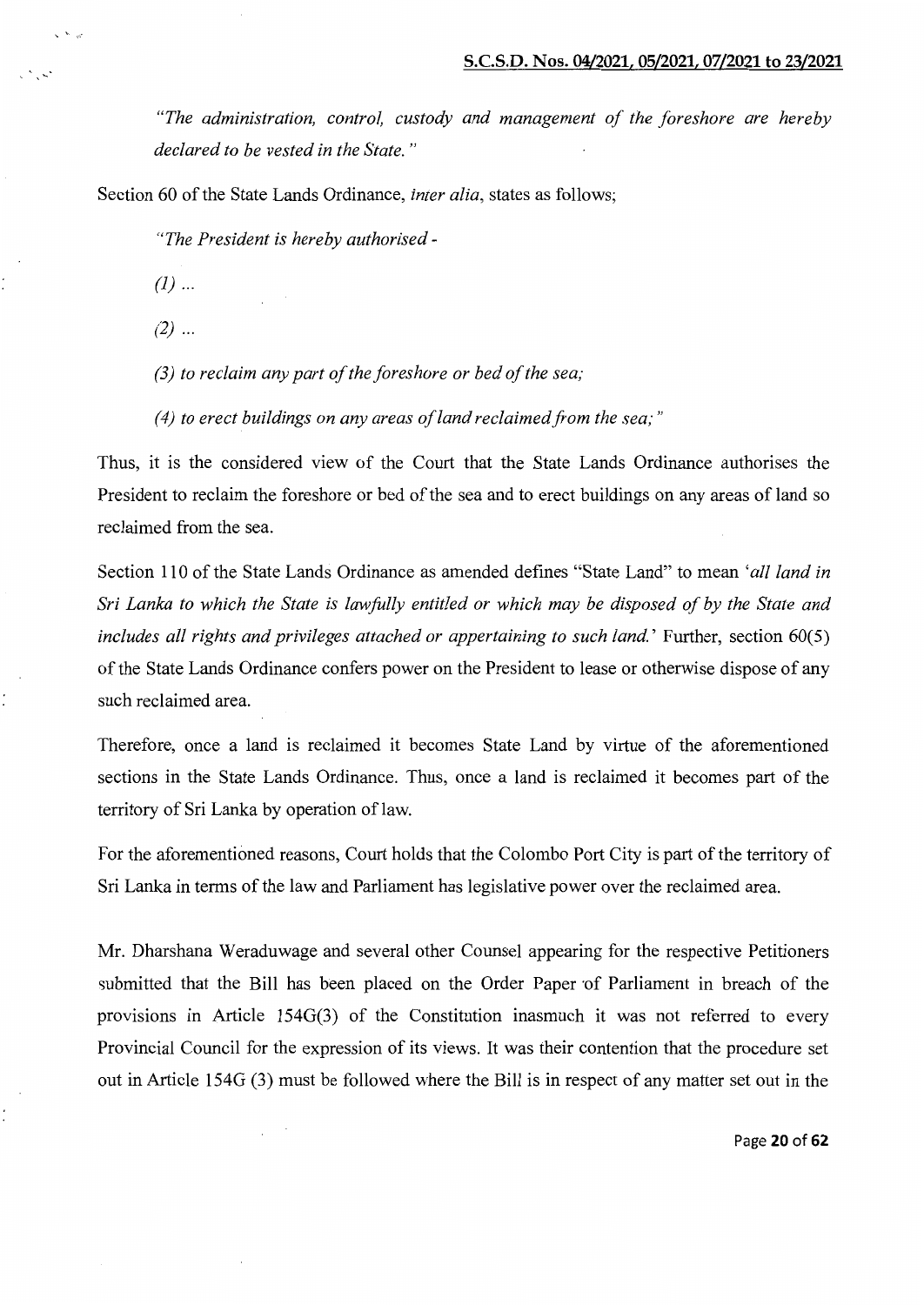*"The administration, control, custody and management of the foreshore are hereby declared to be vested in the State.* "

Section 60 of the State Lands Ordinance, *inter alia,* states as follows;

*"The President is hereby authorised-*

 $(l)$  ...

""-,,

<sup>~</sup>

 $(2)$  ...

*(3) to reclaim any part of the foreshore or bed of the sea;* 

*(4) to erect buildings on any areas of land reclaimed from the sea,·"* 

Thus, it is the considered view of the Court that the State Lands Ordinance authorises the President to reclaim the foreshore or bed of the sea and to erect buildings on any areas of land so reclaimed from the sea.

Section 110 of the State Lands Ordinance as amended defines "State Land" to mean *'all land in Sri Lanka to which the State is lawfUlly entitled or which may be disposed of by the State and*  includes all rights and privileges attached or appertaining to such land.' Further, section 60(5) of the State Lands Ordinance confers power on the President to lease or otherwise dispose of any such reclaimed area.

Therefore, once a land is reclaimed it becomes State Land by virtue of the aforementioned sections in the State Lands Ordinance. Thus, once a land is reclaimed it becomes part of the territory of Sri Lanka by operation of law.

For the aforementioned reasons, Court holds that the Colombo Port City is part of the territory of Sri Lanka in terms of the law and Parliament has legislative power over the reclaimed area.

Mr. Dharshana Weraduwage and several other Counsel appearing for the respective Petitioners submitted that the Bill has been placed on the Order Paper of Parliament in breach of the provisions in Article 154G(3) of the Constitution inasmuch it was not referred to every Provincial Council for the expression of its views. It was their contention that the procedure set out in Article 154G (3) must be followed where the Bill is in respect of any matter set out in the

Page **20 of 62**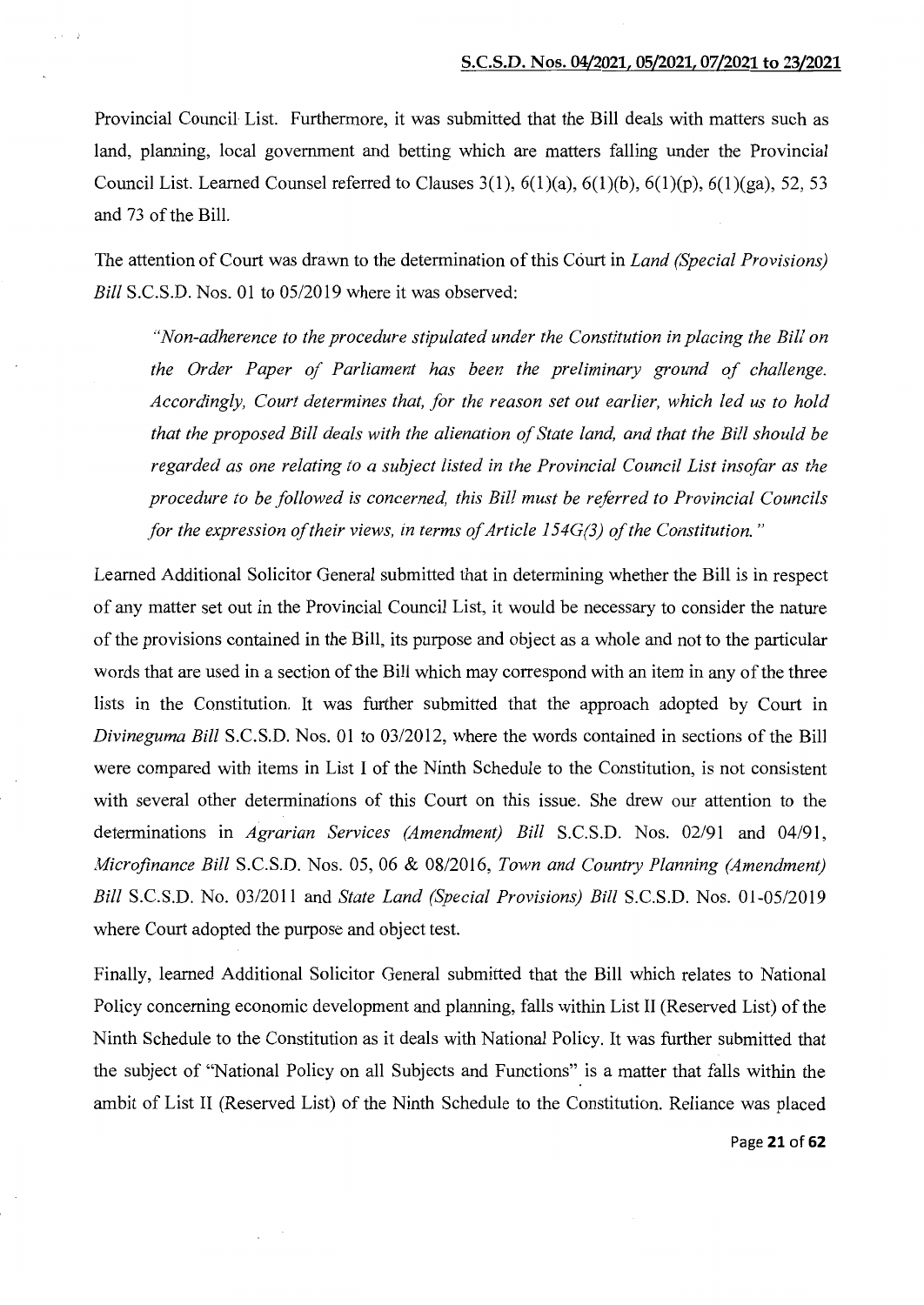Provincial Council List. Furthermore, it was submitted that the Bill deals with matters such as land, planning, local government and betting which are matters falling under the Provincial Council List. Learned Counsel referred to Clauses  $3(1)$ ,  $6(1)(a)$ ,  $6(1)(b)$ ,  $6(1)(p)$ ,  $6(1)(ga)$ ,  $52$ ,  $53$ and 73 of the Bill.

The attention of Court was drawn to the determination of this Court in *Land (Special Provisions) Bill* S.C.S.D. Nos. 01 to 05/2019 where it was observed:

*"Non-adherence to the procedure stipulated under the Constitution in placing the Bill on the Order Paper of Parliament has been the preliminary ground of challenge. Accordingly, Court determines that, for the reason set out earlier, which led us to hold that the proposed Bill deals with the alienation of State land, and that the Bill should be regarded as one relating to a subject listed in the Provincial Council List insofar as the procedure to be followed is concerned, this Bill must be referred to Provincial Councils for the expression of their views, in terms of Article 154G(3) of the Constitution.* "

Learned Additional Solicitor General submitted that in determining whether the Bill is in respect of any matter set out in the Provincial Council List, it would be necessary to consider the nature of the provisions contained in the Bill, its purpose and object as a whole and not to the particular words that are used in a section of the Bill which may correspond with an item in any of the three lists in the Constitution. It was further submitted that the approach adopted by Court in *Divineguma Bill* S.C.S.D. Nos. 01 to 03/2012, where the words contained in sections of the Bill were compared with items in List I of the Ninth Schedule to the Constitution, is not consistent with several other determinations of this Court on this issue. She drew our attention to the determinations in *Agrarian Services (Amendment) Bill* S.C.S.D. Nos. 02/91 and 04/91, *Microfinance Bill* S.C.S.D. Nos. 05, 06 & 08/2016, *Town and Country Planning (Amendment) Bill* S.C.S.D. No. 03/2011 and *State Land (Special Provisions) Bill* S.C.S.D. Nos. 01-05/2019 where Court adopted the purpose and object test.

Finally, learned Additional Solicitor General submitted that the Bill which relates to National Policy concerning economic development and planning, falls within List II (Reserved List) of the Ninth Schedule to the Constitution as it deals with National Policy. It was further submitted that the subject of "National Policy on all Subjects and Functions" is a matter that falls within the ambit of List II (Reserved List) of the Ninth Schedule to the Constitution. Reliance was placed

Page 21 of 62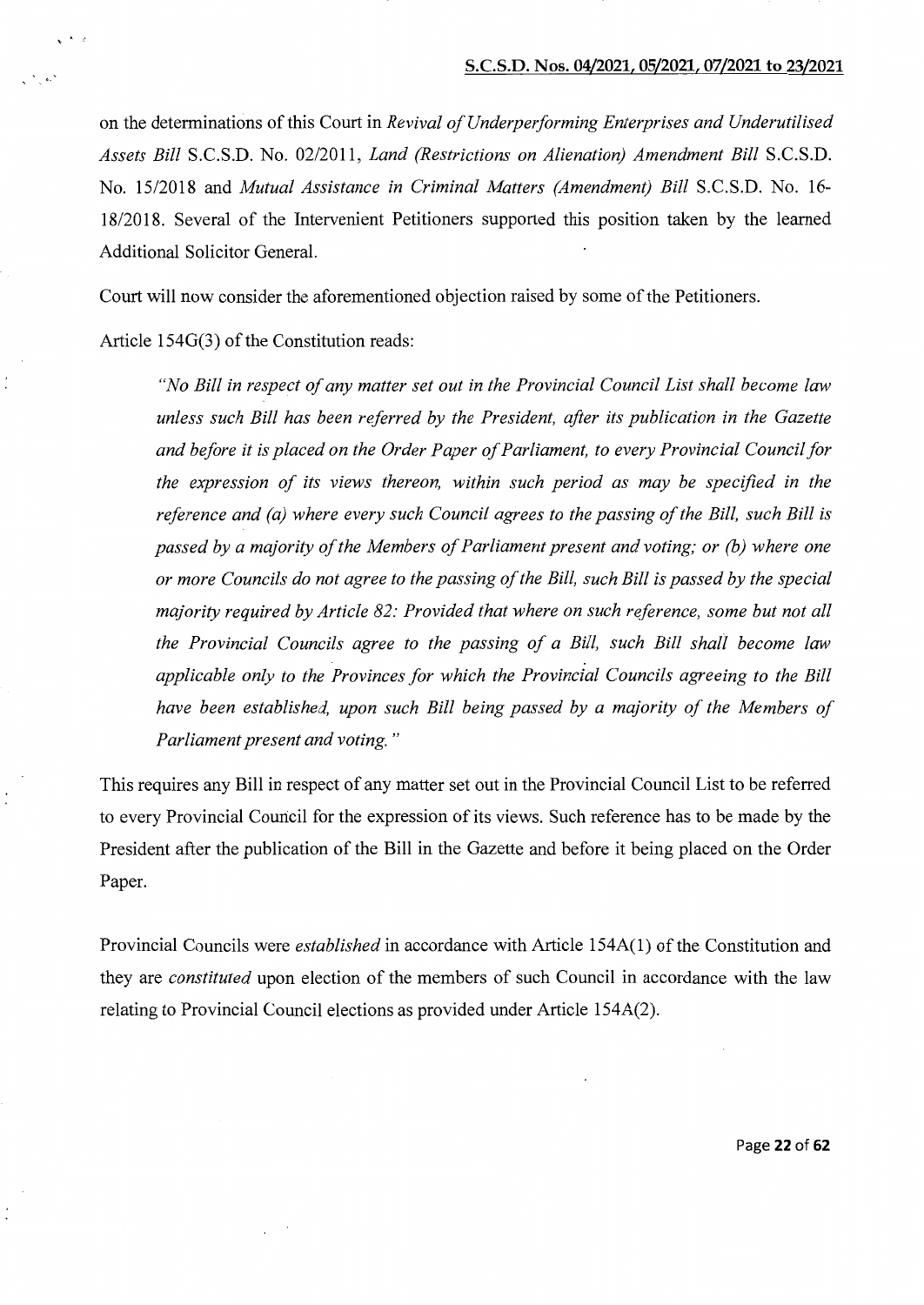on the determinations of this Court in *Revival of Underperforming Enterprises and Underutilised Assets Bill* S.C.S.D. No. 02/2011, *Land (Restrictions on Alienation) Amendment Bill* S.C.S.D. No. 15/2018 and *Mutual Assistance in Criminal Matters (Amendment) Bill* S.C.S.D. No. 16- 18/2018. Several of the Intervenient Petitioners supported this position taken by the learned Additional Solicitor General.

Court will now consider the aforementioned objection raised by some of the Petitioners.

Article 154G(3) of the Constitution reads:

 $\cdot$   $\cdot$ 

*"No Bill in respect of any matter set out in the Provincial Council List shall become law unless such Bill has been referred by the President, after its publication in the Gazette and before it is placed on the Order Paper of Parliament, to every Provincial Council for the expression of its views thereon, within such period as may be specified in the reference and (a) where every such Council agrees to the passing of the Bill, such Bill is passed by a majority of the Members of Parliament present and voting; or (b) where one or more Councils do not agree to the passing of the Bill, such Bill is passed by the special majority required by Article 82: Provided that where on such reference, some but not all the Provincial Councils agree to the passing of a Bill, such Bill shall become law applicable only to the Provinces for which the Provincial Councils agreeing to the Bill*  have been established, upon such Bill being passed by a majority of the Members of *Parliament present and voting."* 

This requires any Bill in respect of any matter set out in the Provincial Council List to be referred to every Provincial Council for the expression of its views. Such reference has to be made by the President after the publication of the Bill in the Gazette and before it being placed on the Order Paper.

Provincial Councils were *established* in accordance with Article 154A(l) of the Constitution and they are *constituted* upon election of the members of such Council in accordance with the law relating to Provincial Council elections as provided under Article 154A(2).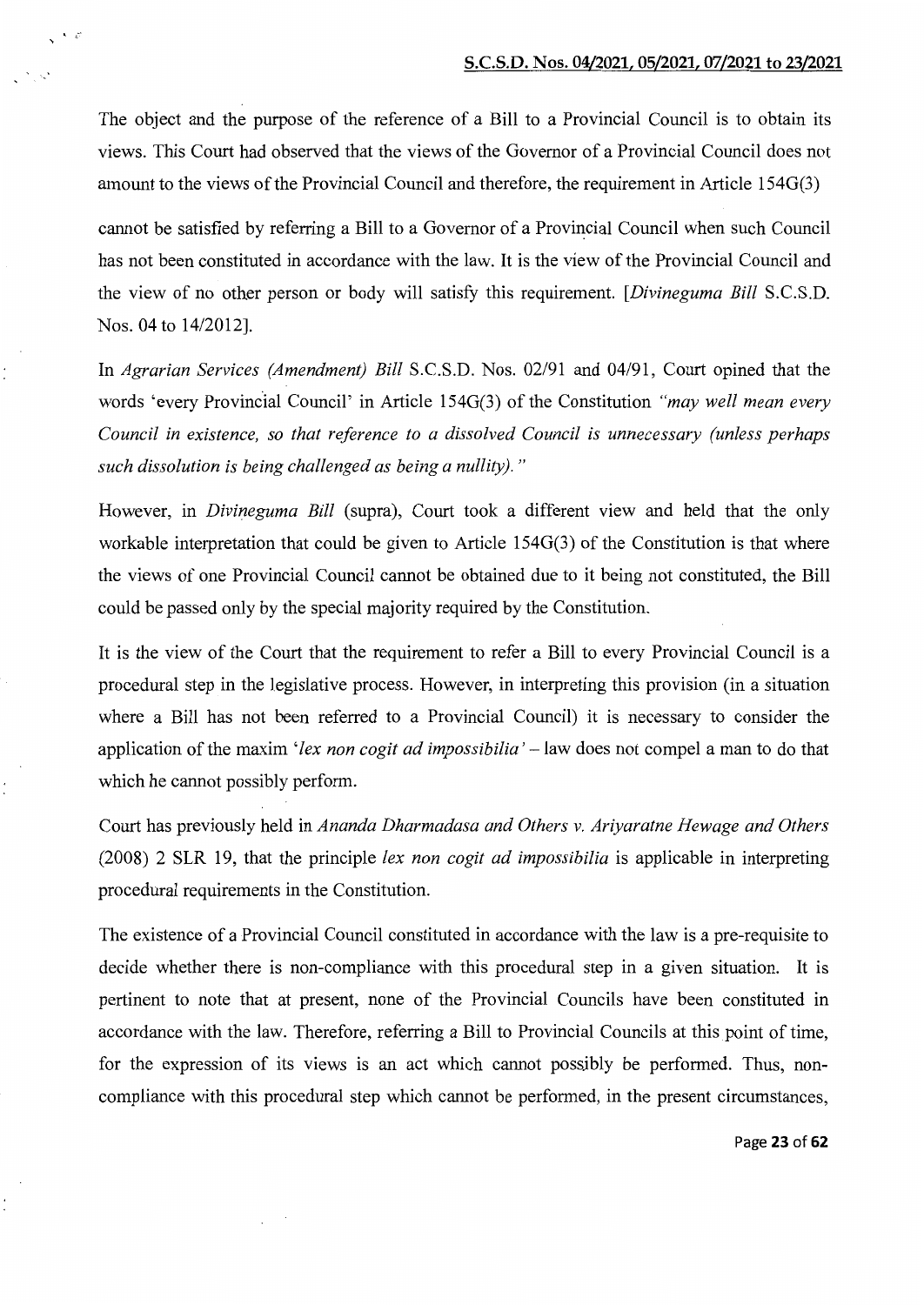The object and the purpose of the reference of a Bill to a Provincial Council is to obtain its views. This Court had observed that the views of the Governor of a Provincial Council does not amount to the views of the Provincial Council and therefore, the requirement in Article 154G(3)

 $\mathcal{N}=\mathcal{L}^2$ 

cannot be satisfied by referring a Bill to a Governor of a Provincial Council when such Council has not been constituted in accordance with the law. It is the view of the Provincial Council and the view of no other person or body will satisfy this requirement. *[Divineguma Bill* S.C.S.D. Nos. 04 to 14/2012].

In *Agrarian Services (Amendment) Bill* S.C.S.D. Nos. 02/91 and 04/91, Court opined that the words 'every Provincial Council' in Article 154G(3) of the Constitution *"may well mean every Council in existence, so that reference to a dissolved Council is unnecessary (unless perhaps such dissolution is being challenged as being a nullity)."* 

However, in *Divineguma Bill* (supra), Court took a different view and held that the only workable interpretation that could be given to Article 154G(3) of the Constitution is that where the views of one Provincial Council cannot be obtained due to it being not constituted, the Bill could be passed only by the special majority required by the Constitution.

It is the view of the Court that the requirement to refer a Bill to every Provincial Council is a procedural step in the legislative process. However, in interpreting this provision (in a situation where a Bill has not been referred to a Provincial Council) it is necessary to consider the application of the maxim *'lex non cogit ad impossibilia'-* law does not compel a man to do that which he cannot possibly perform.

Court has previously held in *Ananda Dharmadasa and Others v. Ariyaratne Hewage and Others*  (2008) 2 SLR 19, that the principle *lex non cogit ad impossibilia* is applicable in interpreting procedural requirements in the Constitution.

The existence of a Provincial Council constituted in accordance with the law is a pre-requisite to decide whether there is non-compliance with this procedural step in a given situation. It is pertinent to note that at present, none of the Provincial Councils have been constituted in accordance with the law. Therefore, referring a Bill to Provincial Councils at this point of time, for the expression of its views is an act which cannot possjbly be performed. Thus, noncompliance with this procedural step which cannot be performed, in the present circumstances,

Page 23 of 62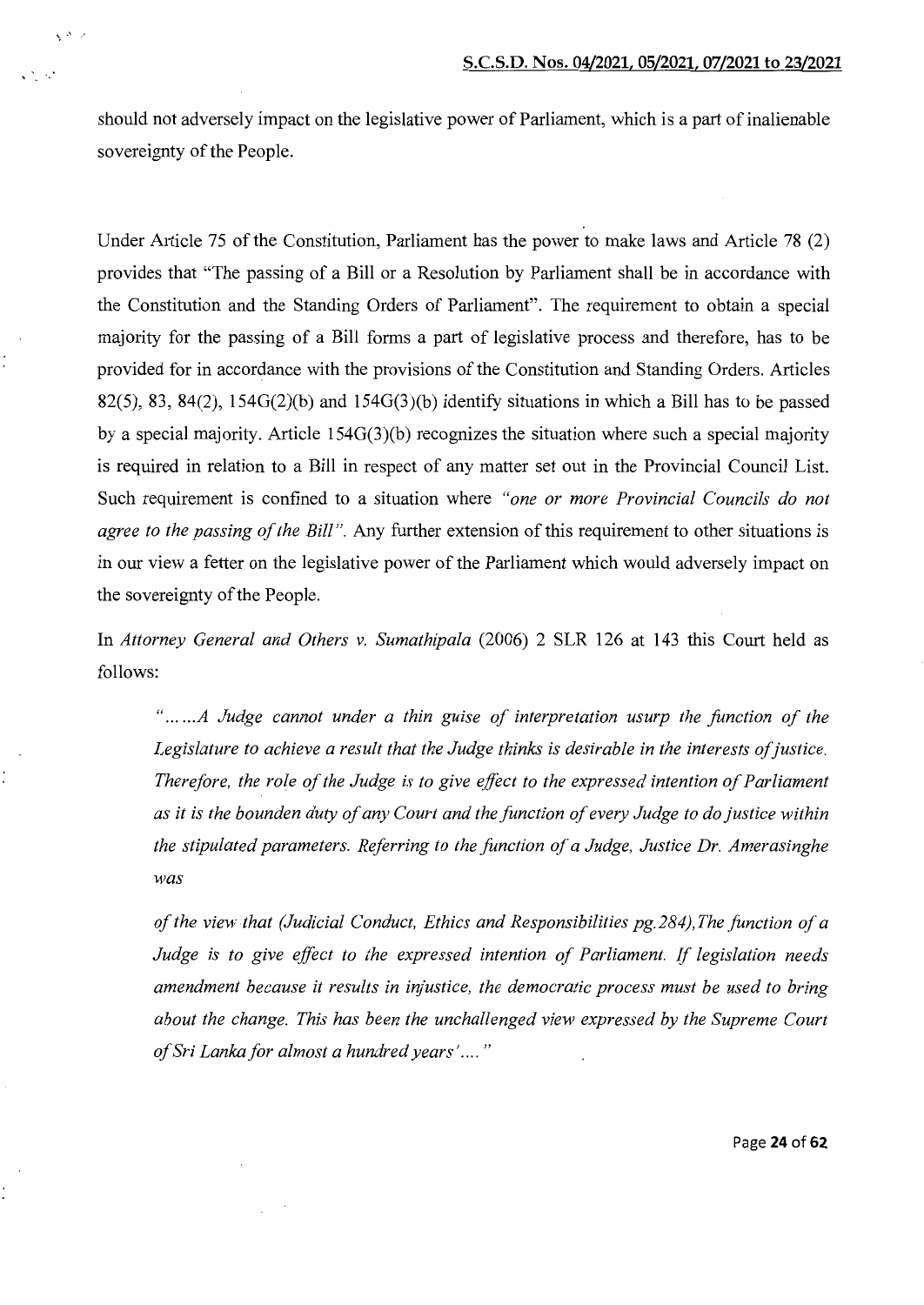should not adversely impact on the legislative power of Parliament, which is a part of inalienable sovereignty of the People.

 $\chi^{(\Delta)}$  at

'

Under Article 75 of the Constitution, Parliament has the power to make laws and Article 78 (2) provides that "The passing of a Bill or a Resolution by Parliament shall be in accordance with the Constitution and the Standing Orders of Parliament". The requirement to obtain a special majority for the passing of a Bill forms a part of legislative process and therefore, has to be provided for in accordance with the provisions of the Constitution and Standing Orders. Articles  $82(5)$ ,  $83$ ,  $84(2)$ ,  $154G(2)(b)$  and  $154G(3)(b)$  identify situations in which a Bill has to be passed by a special majority. Article 154G(3)(b) recognizes the situation where such a special majority is required in relation to a Bill in respect of any matter set out in the Provincial Council List. Such requirement is confined to a situation where *"one or more Provincial Councils do not agree to the passing of the Bill".* Any further extension of this requirement to other situations is in our view a fetter on the legislative power of the Parliament which would adversely impact on the sovereignty of the People.

In *Attorney General and Others v. Sumathipala* (2006) 2 SLR 126 at 143 this Court held as follows:

" ... *... A Judge cannot under a thin guise of interpretation usurp the function of the*  Legislature to achieve a result that the Judge thinks is desirable in the interests of justice. *Therefore, the role of the Judge is to give effect to the expressed intention of Parliament as it is the bounden duty of any Court and the function of every Judge to do justice within the stipulated parameters. Referring to the function of a Judge, Justice Dr. Amerasinghe was* 

*of the view that (Judicial Conduct, Ethics and Responsibilities pg. 284), The function of a Judge is to give effect to the expressed intention of Parliament. If legislation needs amendment because it results in injustice, the democratic process must be used to bring about the change. This has been the unchallenged view expressed by the Supreme Court of Sri Lanka for almost a hundred years' ....* "

Page 24 of 62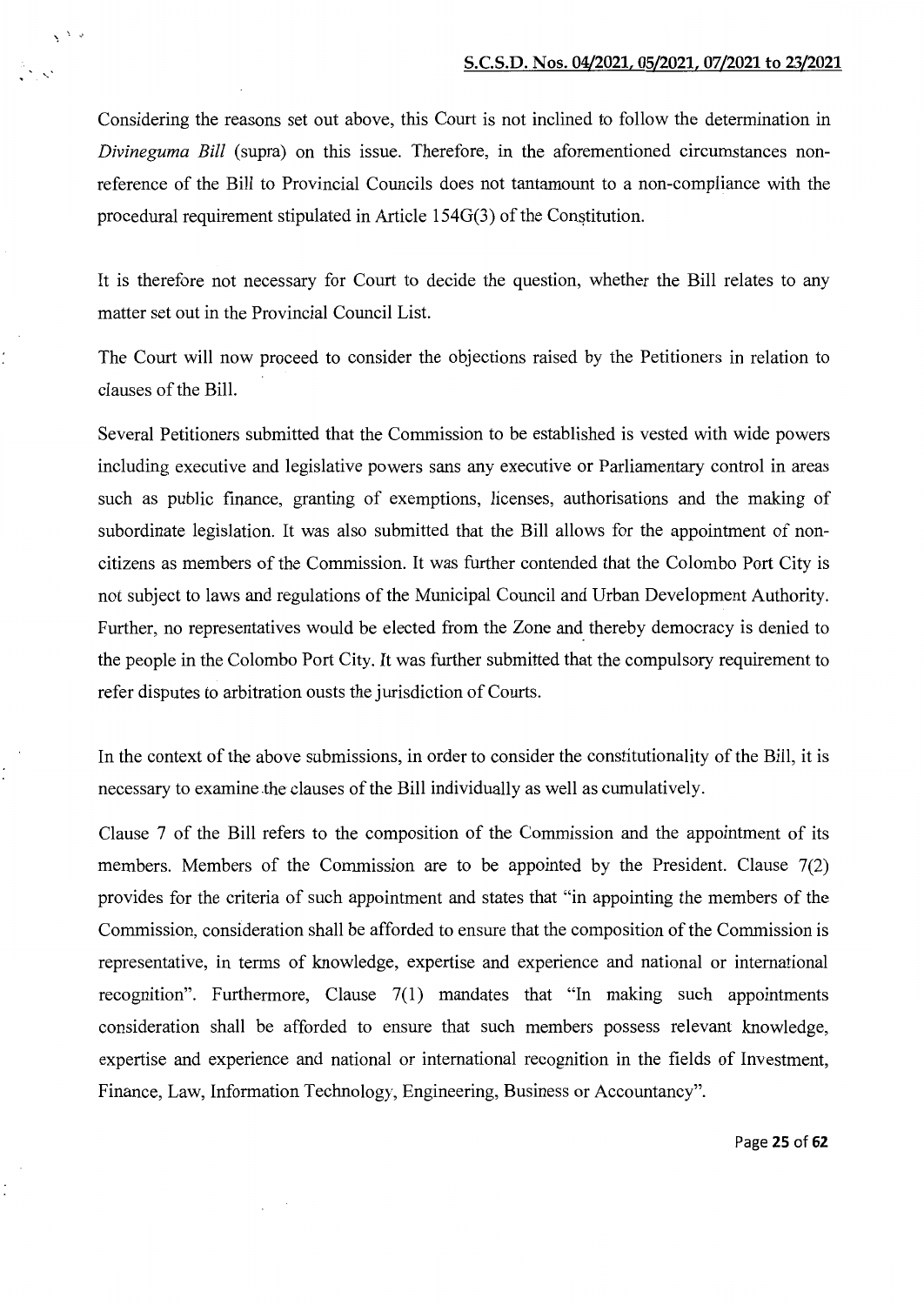Considering the reasons set out above, this Court is not inclined to follow the determination in *Divineguma Bill* (supra) on this issue. Therefore, in the aforementioned circumstances nonreference of the Bill to Provincial Councils does not tantamount to a non-compliance with the procedural requirement stipulated in Article  $154G(3)$  of the Constitution.

 $\lambda$ 

It is therefore not necessary for Court to decide the question, whether the Bill relates to any matter set out in the Provincial Council List.

The Court will now proceed to consider the objections raised by the Petitioners in relation to clauses of the Bill.

Several Petitioners submitted that the Commission to be established is vested with wide powers including executive and legislative powers sans any executive or Parliamentary control in areas such as public finance, granting of exemptions, licenses, authorisations and the making of subordinate legislation. It was also submitted that the Bill allows for the appointment of noncitizens as members of the Commission. It was further contended that the Colombo Port City is not subject to laws and regulations of the Municipal Council and Urban Development Authority. Further, no representatives would be elected from the Zone and thereby democracy is denied to the people in the Colombo Port City. It was further submitted that the compulsory requirement to refer disputes to arbitration ousts the jurisdiction of Courts.

In the context of the above submissions, in order to consider the constitutionality of the Bill, it is necessary to examine the clauses of the Bill individually as well as cumulatively.

Clause 7 of the Bill refers to the composition of the Commission and the appointment of its members. Members of the Commission are to be appointed by the President. Clause 7(2) provides for the criteria of such appointment and states that "in appointing the members of the Commission, consideration shall be afforded to ensure that the composition of the Commission is representative, in terms of knowledge, expertise and experience and national or international recognition". Furthermore, Clause 7(1) mandates that "In making such appointments consideration shall be afforded to ensure that such members possess relevant knowledge, expertise and experience and national or international recognition in the fields of Investment, Finance, Law, Information Technology, Engineering, Business or Accountancy".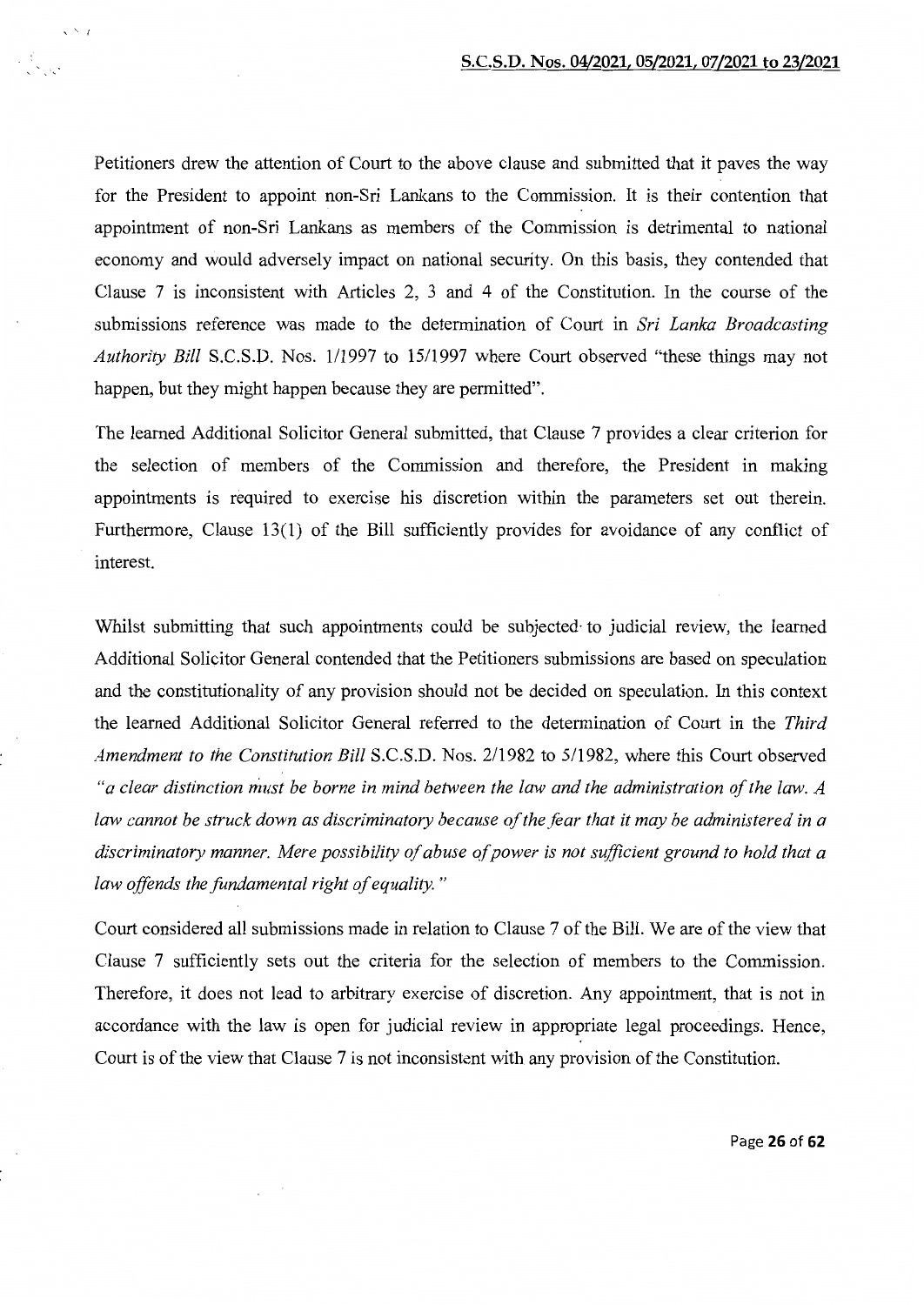Petitioners drew the attention of Court to the above clause and submitted that it paves the way for the President to appoint non-Sri Lankans to the Commission. It is their contention that appointment of non-Sri Lankans as members of the Commission is detrimental to national economy and would adversely impact on national security. On this basis, they contended that Clause 7 is inconsistent with Articles 2, 3 and 4 of the Constitution. In the course of the submissions reference was made to the determination of Court in *Sri Lanka Broadcasting Authority Bill S.C.S.D. Nos. 1/1997 to 15/1997 where Court observed "these things may not* happen, but they might happen because they are permitted".

' ' I

The learned Additional Solicitor General submitted, that Clause 7 provides a clear criterion for the selection of members of the Commission and therefore, the President in making appointments is required to exercise his discretion within the parameters set out therein. Furthermore, Clause 13(1) of the Bill sufficiently provides for avoidance of any conflict of interest.

Whilst submitting that such appointments could be subjected· to judicial review, the learned Additional Solicitor General contended that the Petitioners submissions are based on speculation and the constitutionality of any provision should not be decided on speculation. In this context the learned Additional Solicitor General referred to the determination of Court in the *Third Amendment to the Constitution Bill* S.C.S.D. Nos. 2/1982 to 5/1982, where this Court observed *"a clear distinction must be borne in mind between the law and the administration of the law. A law cannot be struck down as discriminatory because of the fear that it may be administered in a discriminatory manner. Mere possibility of abuse of power is not sufficient ground to hold that a law offends the fundamental right of equality.* "

Court considered all submissions made in relation to Clause 7 of the Bill. We are of the view that Clause 7 sufficiently sets out the criteria for the selection of members to the Commission. Therefore, it does not lead to arbitrary exercise of discretion. Any appointment, that is not in accordance with the law is open for judicial review in appropriate legal proceedings. Hence, Court is of the view that Clause 7 is not inconsistent with any provision of the Constitution.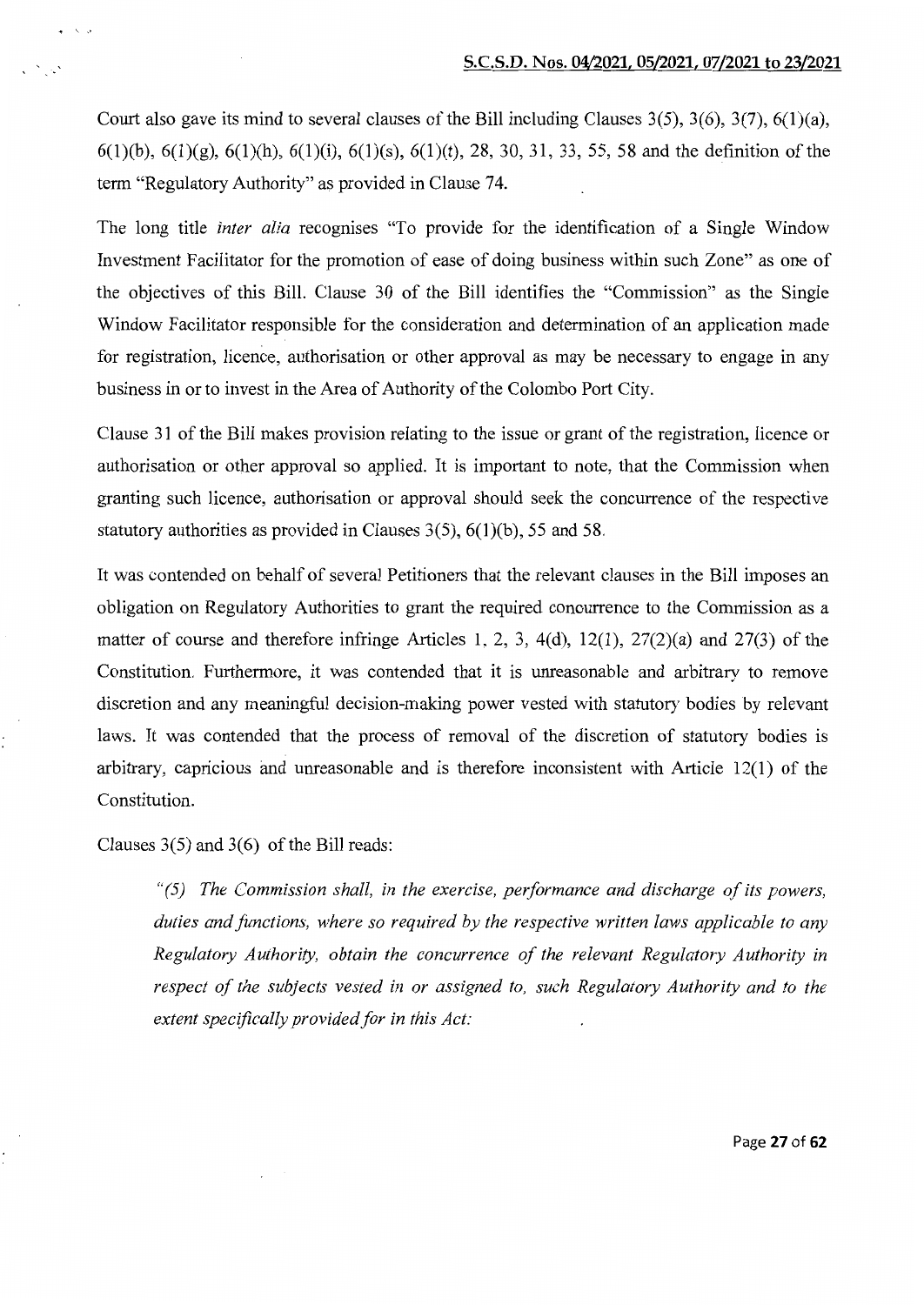Court also gave its mind to several clauses of the Bill including Clauses  $3(5)$ ,  $3(6)$ ,  $3(7)$ ,  $6(1)(a)$ ,  $6(1)(b)$ ,  $6(1)(g)$ ,  $6(1)(h)$ ,  $6(1)(i)$ ,  $6(1)(s)$ ,  $6(1)(t)$ , 28, 30, 31, 33, 55, 58 and the definition of the term "Regulatory Authority" as provided in Clause 74.

The long title *inter alia* recognises "To provide for the identification of a Single Window Investment Facilitator for the promotion of ease of doing business within such Zone" as one of the objectives of this Bill. Clause 30 of the Bill identifies the "Commission" as the Single Window Facilitator responsible for the consideration and determination of an application made for registration, licence, authorisation or other approval as may be necessary to engage in any business in or to invest in the Area of Authority of the Colombo Port City.

Clause 31 of the Bill makes provision relating to the issue or grant of the registration, licence or authorisation or other approval so applied. It is important to note, that the Commission when granting such licence, authorisation or approval should seek the concurrence of the respective statutory authorities as provided in Clauses  $3(5)$ ,  $6(1)(b)$ , 55 and 58.

It was contended on behalf of several Petitioners that the relevant clauses in the Bill imposes an obligation on Regulatory Authorities to grant the required conourrence to the Commission as a matter of course and therefore infringe Articles 1, 2, 3, 4(d), 12(1), 27(2)(a) and 27(3) of the Constitution. Furthermore, it was contended that it is unreasonable and arbitrary to remove discretion and any meaningful decision-making power vested with statutory bodies by relevant laws. It was contended that the process of removal of the discretion of statutory bodies is arbitrary, capricious and unreasonable and is therefore inconsistent with Article 12(1) of the Constitution.

Clauses  $3(5)$  and  $3(6)$  of the Bill reads:

 $\sum_{i=1}^n a_i$ 

*"(5) The Commission shall, in the exercise, performance and discharge of its powers, duties and functions, where so required by the respective written laws applicable to any Regulatory Authority, obtain the concurrence of the relevant Regulatory Authority in respect of the subjects vested in or assigned to, such Regulatory Authority and to the extent specifically provided for in this Act:*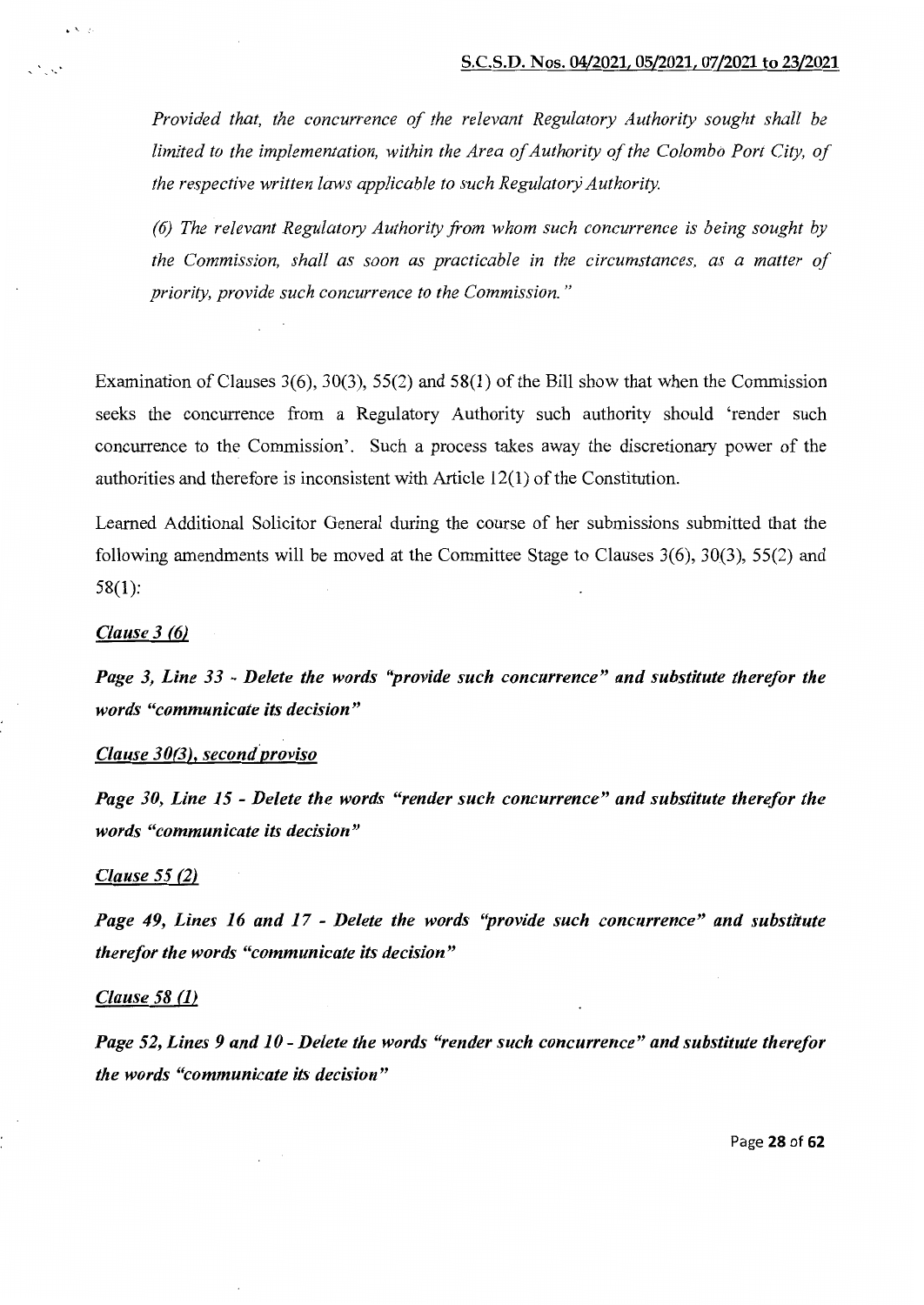*Provided that, the concurrence of the relevant Regulatory Authority sought shall be limited to the implementation, within the Area of Authority of the Colombo Port City, of the respective written laws applicable to such Regulatory Authority.* 

*(6) The relevant Regulatory Authority from whom such concurrence is being sought by the Commission, shall as soon as practicable in the circumstances, as a matter of priority, provide such concurrence to the Commission.* "

Examination of Clauses  $3(6)$ ,  $30(3)$ ,  $55(2)$  and  $58(1)$  of the Bill show that when the Commission seeks the concurrence from a Regulatory Authority such authority should 'render such concurrence to the Commission'. Such a process takes away the discretionary power of the authorities and therefore is inconsistent with Article 12(1) of the Constitution.

Learned Additional Solicitor General during the course of her submissions submitted that the following amendments will be moved at the Committee Stage to Clauses 3(6), 30(3), 55(2) and 58(1):

#### *Clause 3 (6)*

 $\bullet$   $\bullet$   $\circ$ 

e North

*Page 3, Line 33 -Delete the words ''provide such concurrence" and substitute therefor the words "communicate its decision"* 

#### *Clause 30(3), secondproviso*

*Page 30, Line 15- Delete the words "render such concurrence" and substitute therefor the words "communicate its decision"* 

#### *Clause* 55 *(2)*

*Page 49, Lines 16 and 17* - *Delete the words ''provide such concurrence" and substitute therefor the words "communicate its decision"* 

#### *Clause 58* (1)

*Page 52, Lines 9 and 10- Delete the words "render such concurrence" and substitute therefor the words "communicate its decision"* 

Page 28 of 62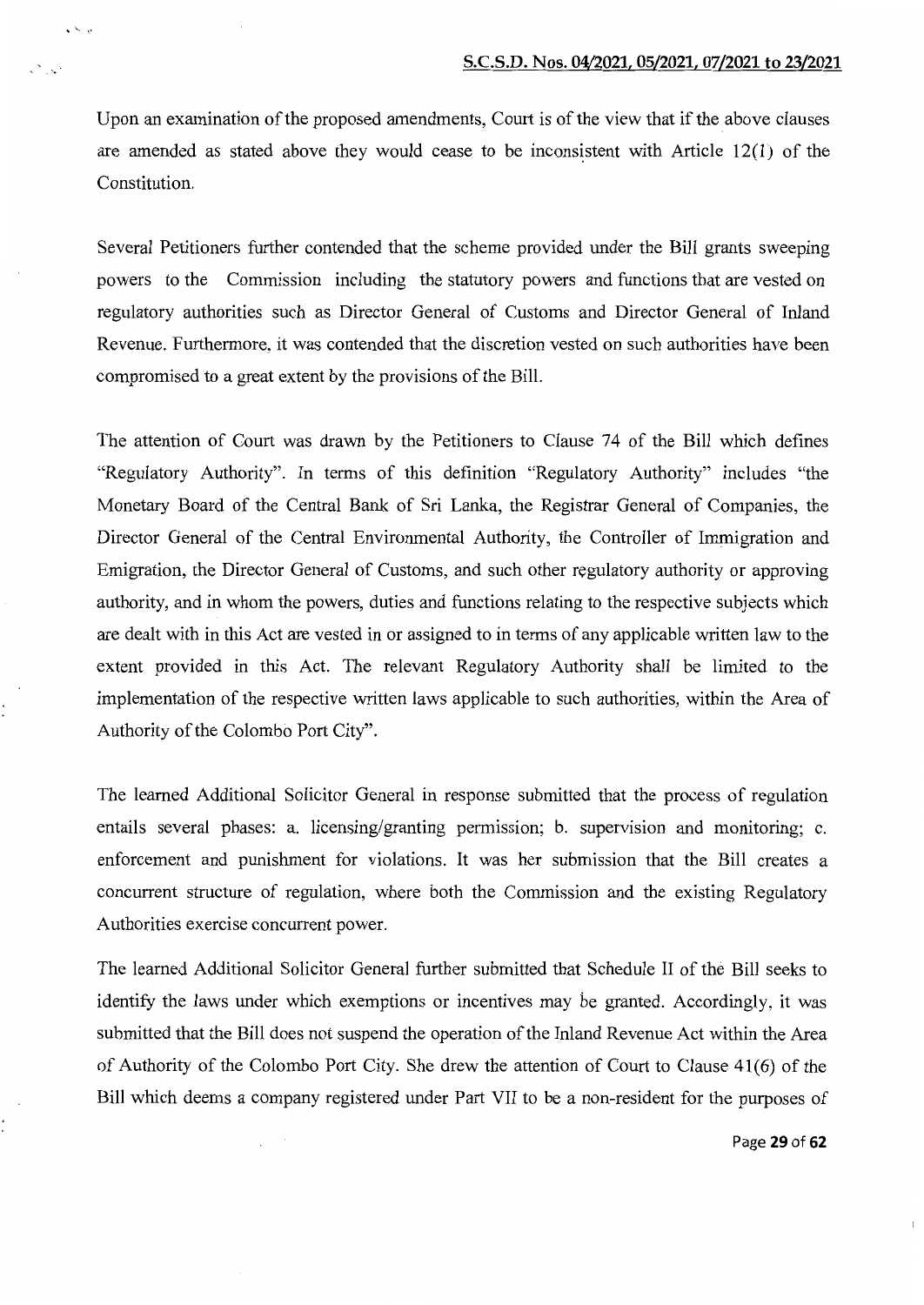Upon an examination of the proposed amendments, Court is of the view that if the above clauses are amended as stated above they would cease to be inconsistent with Article  $12(1)$  of the Constitution.

 $\ddot{\phantom{a}}$ 

Several Petitioners further contended that the scheme provided under the Bill grants sweeping powers to the Commission including the statutory powers and functions that are vested on regulatory authorities such as Director General of Customs and Director General of Inland Revenue. Furthermore, it was contended that the discretion vested on such authorities have been compromised to a great extent by the provisions of the Bill.

The attention of Court was drawn by the Petitioners to Clause 74 of the Bill which defines "Regulatory Authority". In terms of this definition "Regulatory Authority" includes "the Monetary Board of the Central Bank of Sri Lanka, the Registrar General of Companies, the Director General of the Central Environmental Authority, the Controller of Immigration and Emigration, the Director General of Customs, and such other regulatory authority or approving authority, and in whom the powers, duties and functions relating to the respective subjects which are dealt with in this Act are vested in or assigned to in terms of any applicable written law to the extent provided in this Act. The relevant Regulatory Authority shall be limited to the implementation of the respective written laws applicable to such authorities, within the Area of Authority of the Colombo Port City".

The learned Additional Solicitor General in response submitted that the process of regulation entails several phases: a. licensing/granting permission; b. supervision and monitoring; c. enforcement and punishment for violations. It was her submission that the Bill creates a concurrent structure of regulation, where both the Commission and the existing Regulatory Authorities exercise concurrent power.

The learned Additional Solicitor General further submitted that Schedule II of the Bill seeks to identify the laws under which exemptions or incentives may be granted. Accordingly, it was submitted that the Bill does not suspend the operation of the Inland Revenue Act within the Area of Authority of the Colombo Port City. She drew the attention of Court to Clause  $41(6)$  of the Bill which deems a company registered under Part VII to be a non-resident for the purposes of

Page 29 of 62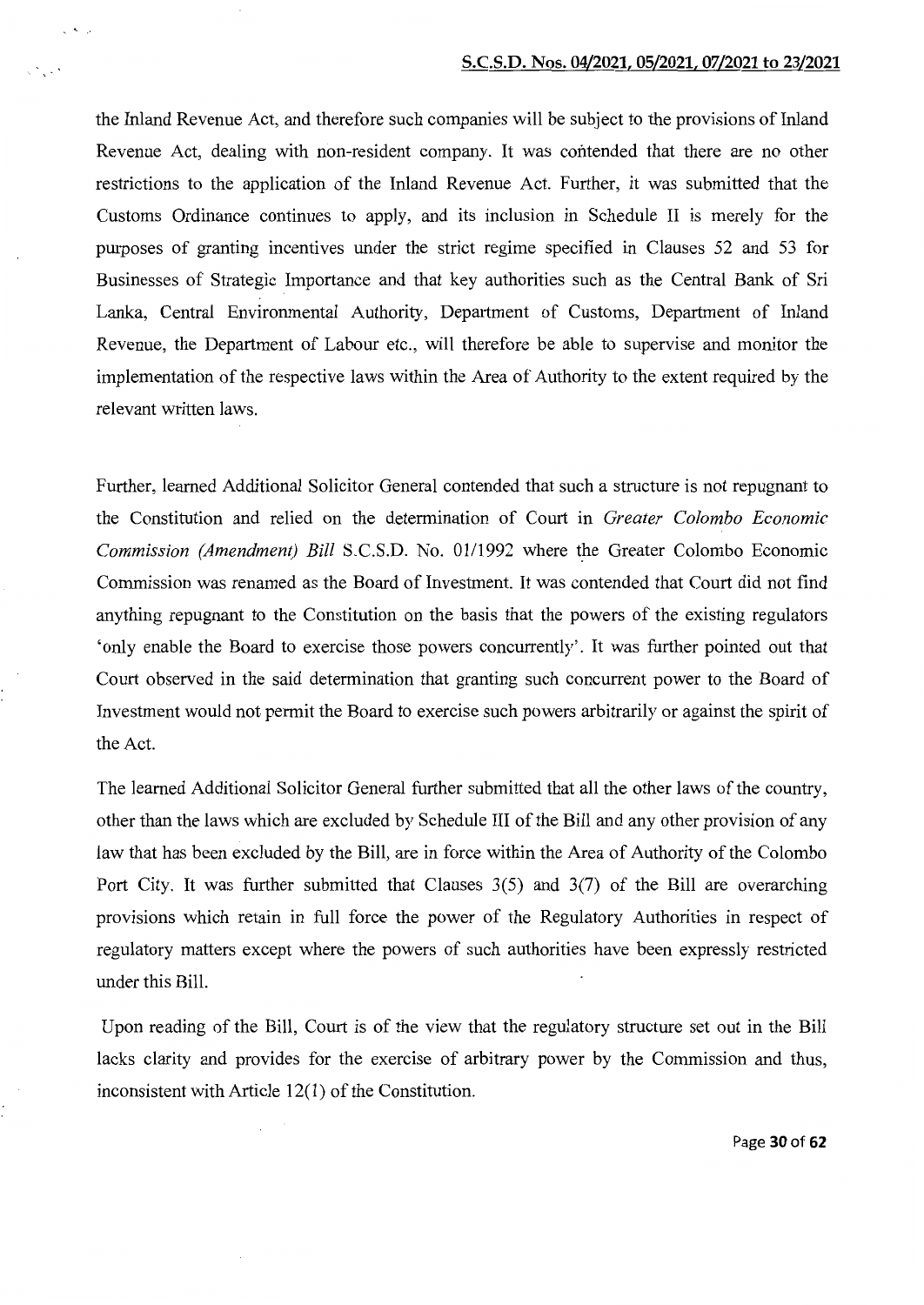the Inland Revenue Act, and therefore such companies will be subject to the provisions of Inland Revenue Act, dealing with non-resident company. It was contended that there are no other restrictions to the application of the Inland Revenue Act. Further, it was submitted that the Customs Ordinance continues to apply, and its inclusion in Schedule II is merely for the purposes of granting incentives under the strict regime specified in Clauses 52 and 53 for Businesses of Strategic Importance and that key authorities such as the Central Bank of Sri Lanka, Central Environmental Authority, Department of Customs, Department of Inland Revenue, the Department of Labour etc., will therefore be able to supervise and monitor the implementation of the respective laws within the Area of Authority to the extent required by the relevant written laws.

 $\zeta = 2\pi \pi / \sqrt{2}$ 

 $\zeta_{\rm c} \gtrsim \zeta \gamma^4$ 

Further, learned Additional Solicitor General contended that such a structure is not repugnant to the Constitution and relied on the determination of Court in *Greater Colombo Economic Commission (Amendment) Bill S.C.S.D. No. 01/1992 where the Greater Colombo Economic* Commission was renamed as the Board of Investment. It was contended that Court did not find anything repugnant to the Constitution on the basis that the powers of the existing regulators 'only enable the Board to exercise those powers concurrently'. It was further pointed out that Court observed in the said determination that granting such concurrent power to the Board of Investment would not permit the Board to exercise such powers arbitrarily or against the spirit of the Act.

The learned Additional Solicitor General further submitted that all the other laws of the country, other than the laws which are excluded by Schedule III of the Bill and any other provision of any law that has been excluded by the Bill, are in force within the Area of Authority of the Colombo Port City. It was further submitted that Clauses 3(5) and 3(7) of the Bill are overarching provisions which retain in full force the power of the Regulatory Authorities in respect of regulatory matters except where the powers of such authorities have been expressly restricted under this Bill.

Upon reading of the Bill, Court is of the view that the regulatory structure set out in the Bill lacks clarity and provides for the exercise of arbitrary power by the Commission and thus, inconsistent with Article 12(1) of the Constitution.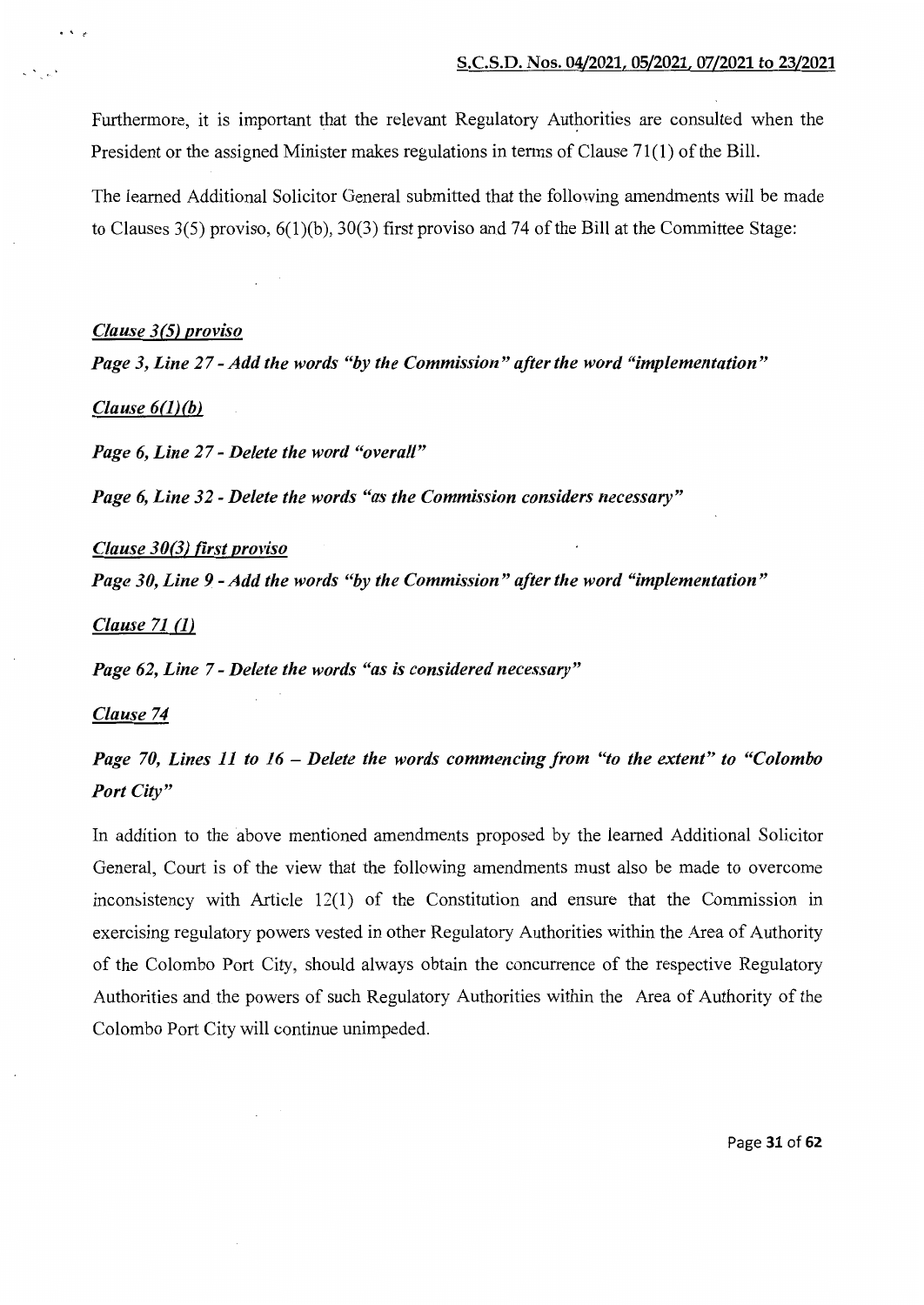Furthermore, it is important that the relevant Regulatory Authorities are consulted when the President or the assigned Minister makes regulations in terms of Clause  $71(1)$  of the Bill.

The learned Additional Solicitor General submitted that the following amendments will be made to Clauses 3(5) proviso, 6(1)(b), 30(3) first proviso and 74 of the Bill at the Committee Stage:

#### *Clause 3(5) proviso*

*Page 3, Line 27- Add the words "by the Commission" after the word "implementation"* 

# *Clause 6(1)(b)*

 $\bullet$   $\bullet$   $\bullet$ 

*Page 6, Line 27- Delete the word "overall"* 

*Page 6, Line 32- Delete the words "as the Commission considers necessary"* 

#### *Clause 30(3) first proviso*

*Page 30, Line 9 -Add the words "by the Commission" after the word "implementation"* 

*Clause 71 (1)* 

*Page 62, Line* 7- *Delete the words "as is considered necessary"* 

# *Clause 74*

# *Page 70, Lines 11 to 16* - *Delete the words commencing from "to the extent" to "Colombo Port City"*

In addition to the above mentioned amendments proposed by the learned Additional Solicitor General, Court is of the view that the following amendments must also be made to overcome inconsistency with Article  $12(1)$  of the Constitution and ensure that the Commission in exercising regulatory powers vested in other Regulatory Authorities within the Area of Authority of the Colombo Port City, should always obtain the concurrence of the respective Regulatory Authorities and the powers of such Regulatory Authorities within the Area of Authority of the Colombo Port City will continue unimpeded.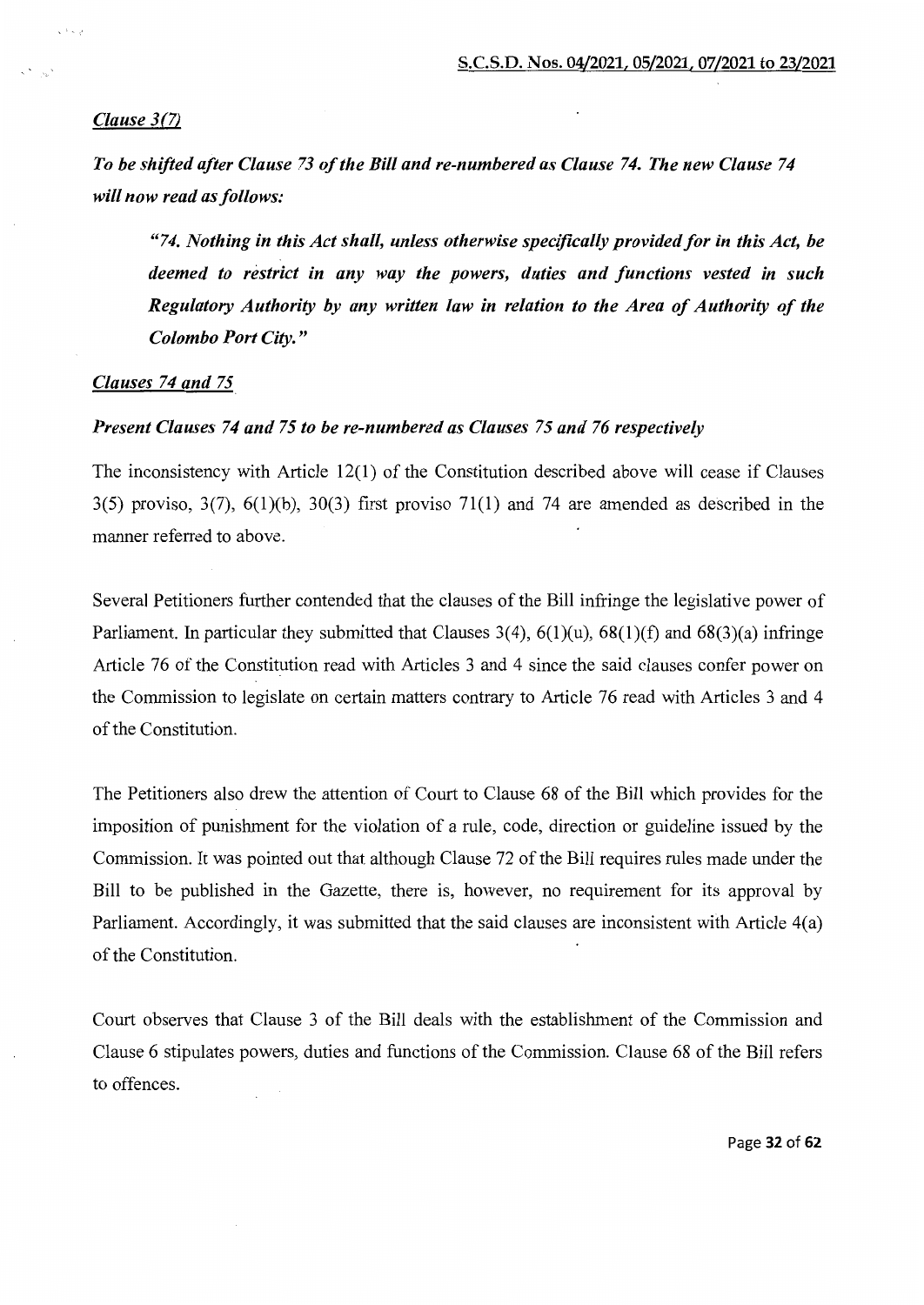# *Clause 3(7)*

*To be shifted after Clause 73 of the Bill and re-numbered as Clause 74. The new Clause 74 will now read as follows:* 

*"74. Nothing in this Act shall, unless otherwise specifically provided for in this Act, be deemed to restrict in any way the powers, duties and functions vested in such Regulatory Authority by any written law in relation to the Area of Authority of the Colombo Port City."* 

## *Clauses 74 and* 75

# *Present Clauses 74 and* 75 *to be re-numbered as Clauses* 75 *and 76 respectively*

The inconsistency with Article 12(1) of the Constitution described above will cease if Clauses  $3(5)$  proviso,  $3(7)$ ,  $6(1)(b)$ ,  $30(3)$  first proviso  $71(1)$  and 74 are amended as described in the manner referred to above.

Several Petitioners further contended that the clauses of the Bill infringe the legislative power of Parliament. In particular they submitted that Clauses  $3(4)$ ,  $6(1)(u)$ ,  $68(1)(f)$  and  $68(3)(a)$  infringe Article 76 of the Constitution read with Articles 3 and 4 since the said clauses confer power on the Commission to legislate on certain matters contrary to Article 76 read with Articles 3 and 4 of the Constitution.

The Petitioners also drew the attention of Court to Clause 68 of the Bill which provides for the imposition of punishment for the violation of a rule, code, direction or guideline issued by the Commission. It was pointed out that although Clause 72 of the Bill requires rules made under the Bill to be published in the Gazette, there is, however, no requirement for its approval by Parliament. Accordingly, it was submitted that the said clauses are inconsistent with Article 4(a) of the Constitution.

Court observes that Clause 3 of the Bill deals with the establishment of the Commission and Clause 6 stipulates powers, duties and functions of the Commission. Clause 68 of the Bill refers to offences.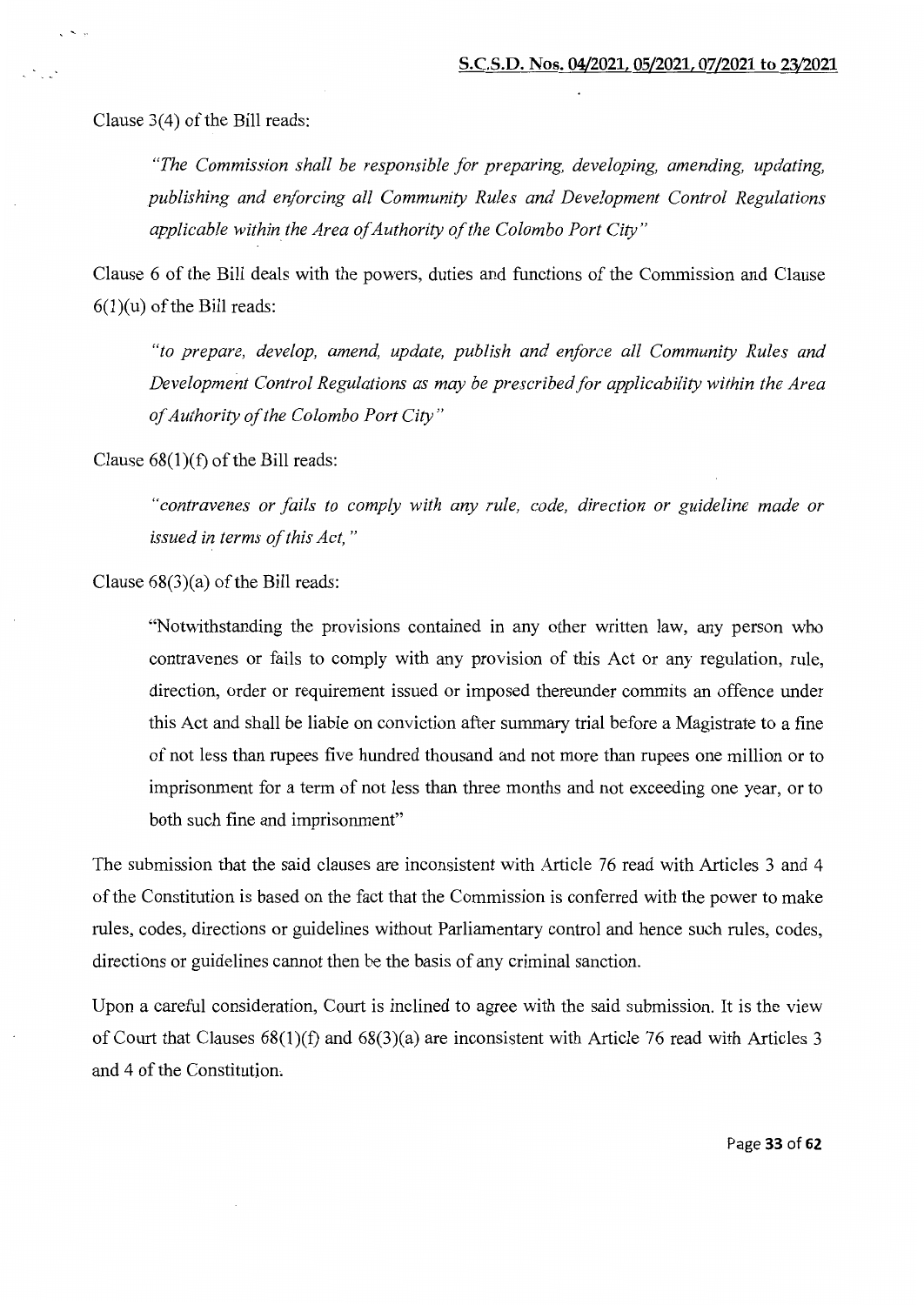Clause  $3(4)$  of the Bill reads:

 $\ddotsc$ 

*"The Commission shall be responsible for preparing, developing, amending, updating, publishing and enforcing all Community Rules and Development Control Regulations applicable within the Area of Authority of the Colombo Port City"* 

Clause 6 of the Bill deals with the powers, duties and functions of the Commission and Clause  $6(1)(u)$  of the Bill reads:

*"to prepare, develop, amend, update, publish and enforce all Community Rules and Development Control Regulations as may be prescribed for applicability within the Area of Authority of the Colombo Port City"* 

Clause  $68(1)(f)$  of the Bill reads:

*"contravenes or fails to comply with any rule, code, direction or guideline made or issued in terms of this Act,* "

Clause  $68(3)(a)$  of the Bill reads:

"Notwithstanding the provisions contained in any other written law, any person who contravenes or fails to comply with any provision of this Act or any regulation, rule, direction, order or requirement issued or imposed thereunder commits an offence under this Act and shall be liable on conviction after summary trial before a Magistrate to a fine of not less than rupees five hundred thousand and not more than rupees one million or to imprisonment for a term of not less than three months and not exceeding one year, or to both such fine and imprisonment"

The submission that the said clauses are inconsistent with Article 76 read with Articles 3 and 4 of the Constitution is based on the fact that the Commission is conferred with the power to make rules, codes, directions or guidelines without Parliamentary control and hence such rules, codes, directions or guidelines cannot then be the basis of any criminal sanction.

Upon a careful consideration, Court is inclined to agree with the said submission. It is the view of Court that Clauses 68(1)(f) and 68(3)(a) are inconsistent with Article 76 read with Articles 3 and 4 of the Constitution,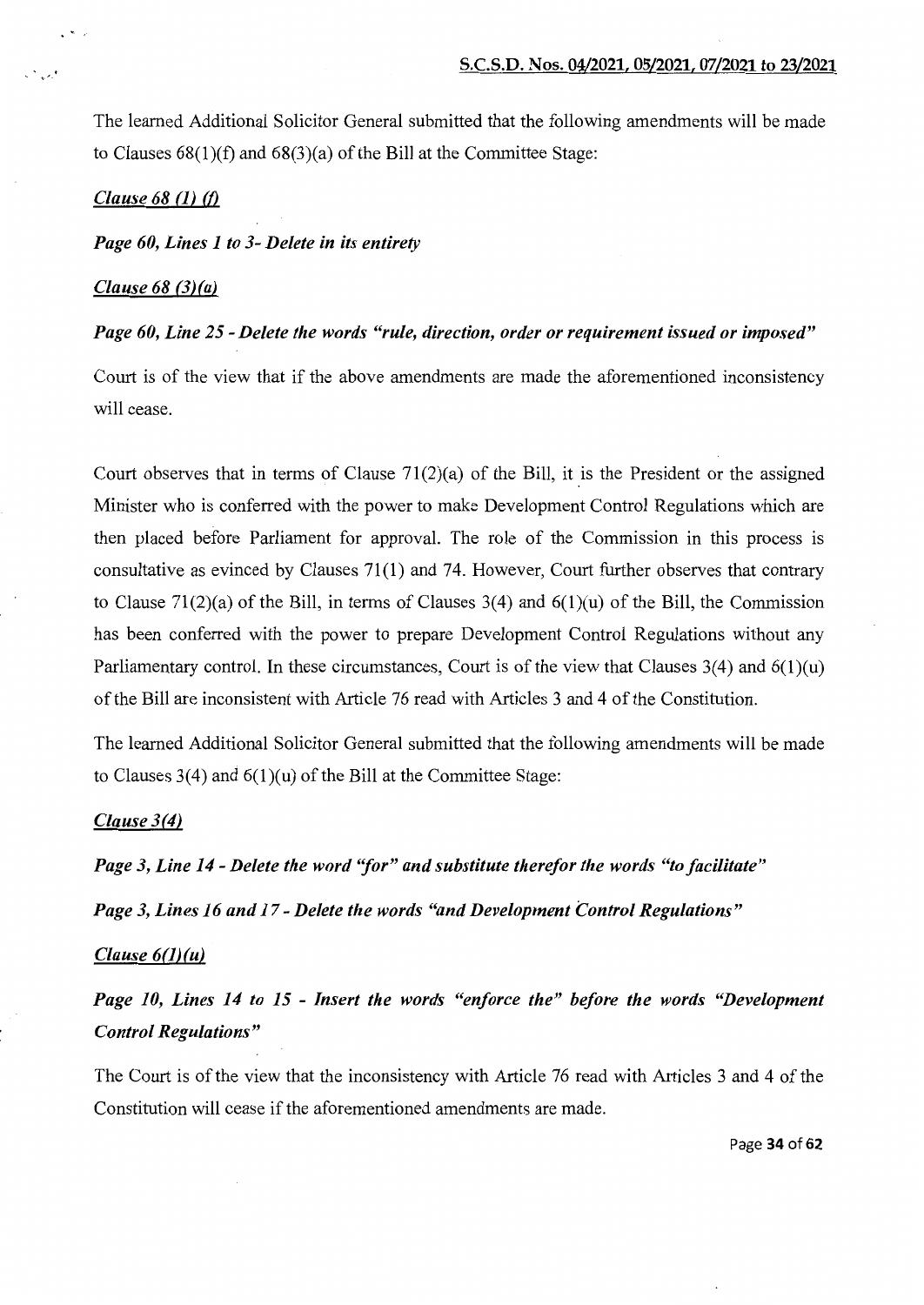The learned Additional Solicitor General submitted that the following amendments will be made to Clauses  $68(1)(f)$  and  $68(3)(a)$  of the Bill at the Committee Stage:

#### *Clause 68 (1) (f)*

.  $\mathcal{L}^{\bullet}$  is a set of  $\mathcal{L}^{\bullet}$ 

•.

#### *Page 60, Lines 1 to 3- Delete in its entirety*

## *Clause 68 (3) (a)*

#### *Page 60, Line 25- Delete the words "rule, direction, order or requirement issued or imposed"*

Court is of the view that if the above amendments are made the aforementioned inconsistency will cease.

Court observes that in terms of Clause  $71(2)(a)$  of the Bill, it is the President or the assigned Minister who is conferred with the power to make Development Control Regulations which are then placed before Parliament for approval. The role of the Commission in this process is consultative as evinced by Clauses 71(1) and 74. However, Court further observes that contrary to Clause 71(2)(a) of the Bill, in terms of Clauses 3(4) and  $6(1)(u)$  of the Bill, the Commission has been conferred with the power to prepare Development Control Regulations without any Parliamentary control. In these circumstances, Court is of the view that Clauses  $3(4)$  and  $6(1)(u)$ of the Bill are inconsistent with Article 76 read with Articles 3 and 4 of the Constitution.

The learned Additional Solicitor General submitted that the following amendments will be made to Clauses  $3(4)$  and  $6(1)(u)$  of the Bill at the Committee Stage:

# *Clause 3(4)*

*Page 3, Line 14- Delete the word ''for" and substitute therefor the words "to facilitate"* 

*Page 3, Lines 16 and 17- Delete the words "and Development Control Regulations"* 

### *Clause 6(1)(u)*

*Page 10, Lines 14 to 15* - *Insert the words "enforce the" before the words "Development Control Regulations"* 

The Court is of the view that the inconsistency with Article 76 read with Articles 3 and 4 of the Constitution will cease if the aforementioned amendments are made.

Page 34 of 62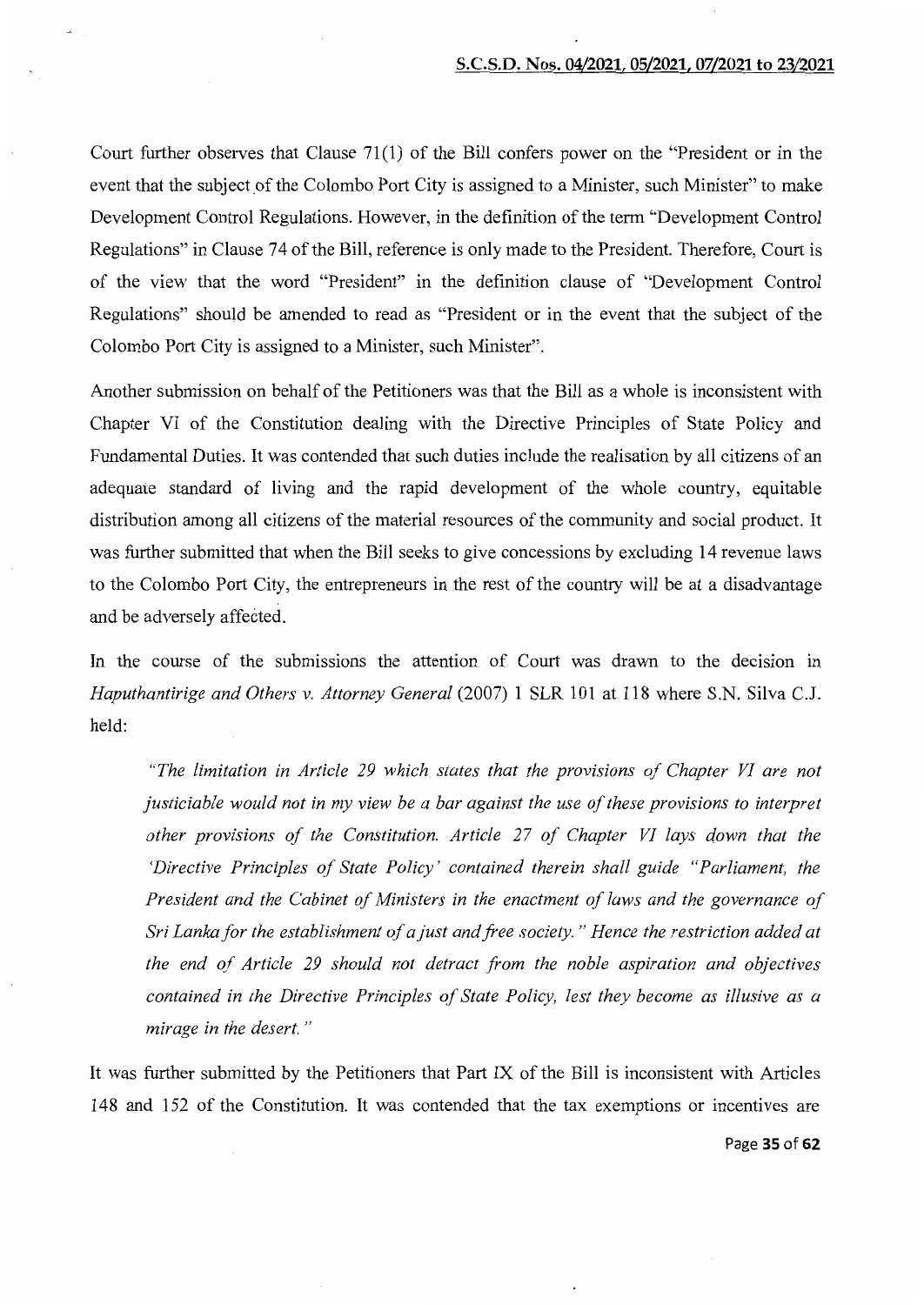Court further observes that Clause 71(1) of the Bill confers power on the "President or in the event that the subject of the Colombo Port City is assigned to a Minister, such Minister" to make Development Control Regulations. However, in the definition of the term "Development Control Regulations" in Clause 74 of the Bill, reference is only made to the President. Therefore, Court is of the view that the word "President" in the definition clause of "Development Control Regulations" should be amended to read as "President or in the event that the subject of the Colombo Port City is assigned to a Minister, such Minister".

Another submission on behalf of the Petitioners was that the Bill as a whole is inconsistent with Chapter VI of the Constitution dealing with the Directive Principles of State Policy and Fundamental Duties. It was contended that such duties include the realisation by all citizens of an adequate standard of living and the rapid development of the whole country, equitable distribution among all citizens of the material resources of the community and social product. It was further submitted that when the Bill seeks to give concessions by excluding 14 revenue laws to the Colombo Port City, the entrepreneurs in the rest of the country will be at a disadvantage and be adversely affected.

In the course of the submissions the attention of Court was drawn to the decision in *Haputhantirige and Others v. Attorney General* (2007) 1 SLR 101 at 118 where S.N. Silva C.J. held:

*"The limitation in Article 29 which states that the provisions of Chapter VI are not justiciable would not in my view be a bar against the use of these provisions to interpret other provisions of the Constitution. Article 27 of Chapter VI lays down that the 'Directive Principles of State Policy' contained therein shall guide "Parliament, the President and the Cabinet of Ministers in the enactment of laws and the governance of Sri Lanka for the establishment of a just and free society.* " *Hence the restriction added at the end of Article 29 should not detract from the noble aspiration and objectives contained in the Directive Principles of State Policy, lest they become as illusive as a mirage in the desert.* "

It was further submitted by the Petitioners that Part IX of the Bill is inconsistent with Articles 148 and 152 of the Constitution. It was contended that the tax exemptions or incentives are

Page 35 of 62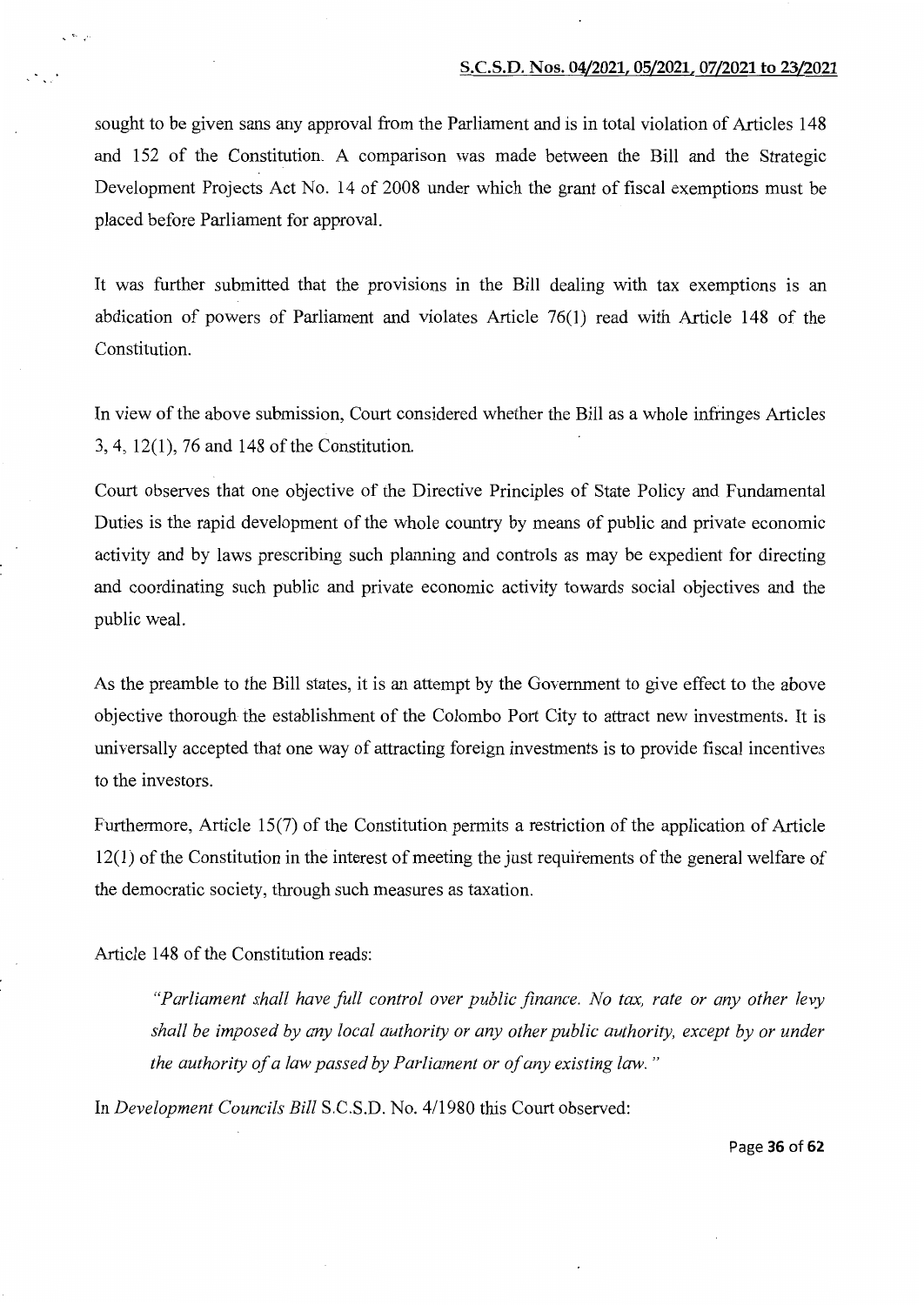sought to be given sans any approval from the Parliament and is in total violation of Articles 148 and 152 of the Constitution. A comparison was made between the Bill and the Strategic Development Projects Act No. 14 of 2008 under which the grant of fiscal exemptions must be placed before Parliament for approval.

It was further submitted that the provisions in the Bill dealing with tax exemptions is an abdication of powers of Parliament and violates Article 76(1) read with Article 148 of the Constitution.

In view of the above submission, Court considered whether the Bill as a whole infringes Articles  $3, 4, 12(1), 76$  and 148 of the Constitution.

Court observes that one objective of the Directive Principles of State Policy and Fundamental Duties is the rapid development of the whole country by means of public and private economic activity and by laws prescribing such planning and controls as may be expedient for directing and coordinating such public and private economic activity towards social objectives and the public weal.

As the preamble to the Bill states, it is an attempt by the Government to give effect to the above objective thorough the establishment of the Colombo Port City to attract new investments. It is universally accepted that one way of attracting foreign investments is to provide fiscal incentives to the investors.

Furthermore, Article 15(7) of the Constitution permits a restriction of the application of Article 12(1) of the Constitution in the interest of meeting the just requirements of the general welfare of the democratic society, through such measures as taxation.

Article 148 of the Constitution reads:

 $\sqrt{2}$ 

*"Parliament shall have full control over public finance. No tax, rate or any other levy shall be imposed by any local authority or any other public authority, except by or under the authority of a law passed by Parliament or of any existing law.* "

In *Development Councils Bill* S.C.S.D. No. 4/1980 this Court observed:

Page 36 of 62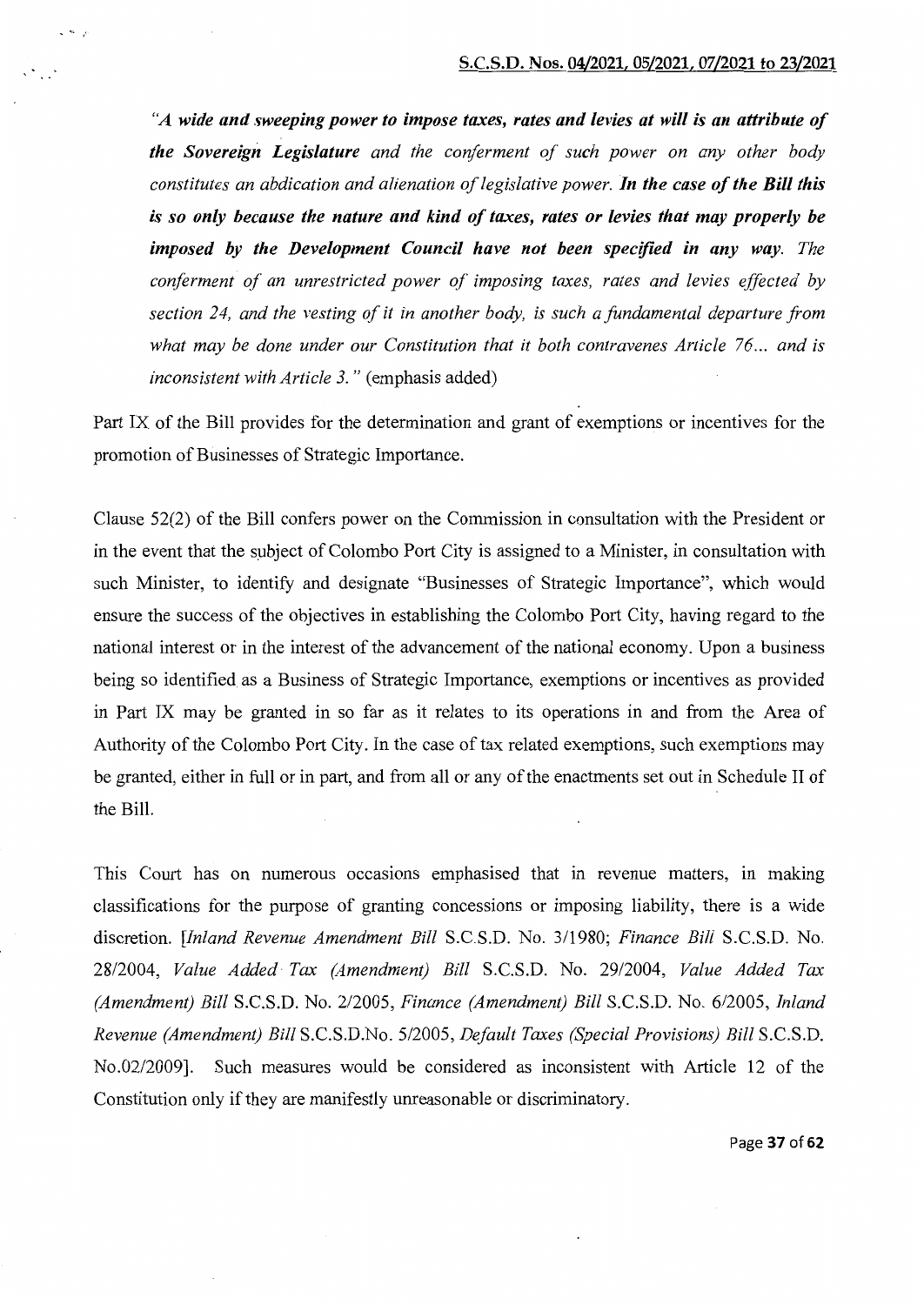*"A wide and sweeping power to impose taxes, rates and levies at will is an attribute of the Sovereign Legislature and the conferment of such power on any other body constitutes an abdication and alienation of legislative power. In the case of the Bill this is so only because the nature and kind of taxes, rates or levies that may properly be imposed by the Development Council have not been specified in any way. The conferment of an unrestricted power of imposing taxes, rates and levies effected by section 24, and the vesting of it in another body, is such a fundamental departure from what may be done under our Constitution that it both contravenes Article 76 ... and is inconsistent with Article 3.* " (emphasis added)

<sup>~</sup>

Part IX of the Bill provides for the determination and grant of exemptions or incentives for the promotion of Businesses of Strategic Importance.

Clause 52(2) of the Bill confers power on the Commission in consultation with the President or in the event that the subject of Colombo Port City is assigned to a Minister, in consultation with such Minister, to identify and designate "Businesses of Strategic Importance", which would ensure the success of the objectives in establishing the Colombo Port City, having regard to the national interest or in the interest of the advancement of the national economy. Upon a business being so identified as a Business of Strategic Importance, exemptions or incentives as provided in Part IX may be granted in so far as it relates to its operations in and from the Area of Authority of the Colombo Port City. In the case of tax related exemptions, such exemptions may be granted, either in full or in part, and from all or any of the enactments set out in Schedule II of the Bill.

This Court has on numerous occasions emphasised that in revenue matters, in making classifications for the purpose of granting concessions or imposing liability, there is a wide discretion. *[Inland Revenue Amendment Bill* S.C.S.D. No. 3/1980; *Finance Bill* S.C.S.D. No. 28/2004, *Value Added Tax (Amendment) Bill* S.C.S.D. No. 29/2004, *Value Added Tax (Amendment) Bill* S.C.S.D. No. 2/2005, *Finance (Amendment) Bill* S.C.S.D. No. 6/2005, *Inland Revenue (Amendment) Bill* S.C.S.D.No. 5/2005, *Default Taxes (Special Provisions) Bill* S.C.S.D. No.02/2009]. Such measures would be considered as inconsistent with Article 12 of the Constitution only if they are manifestly unreasonable or discriminatory.

Page 37 of 62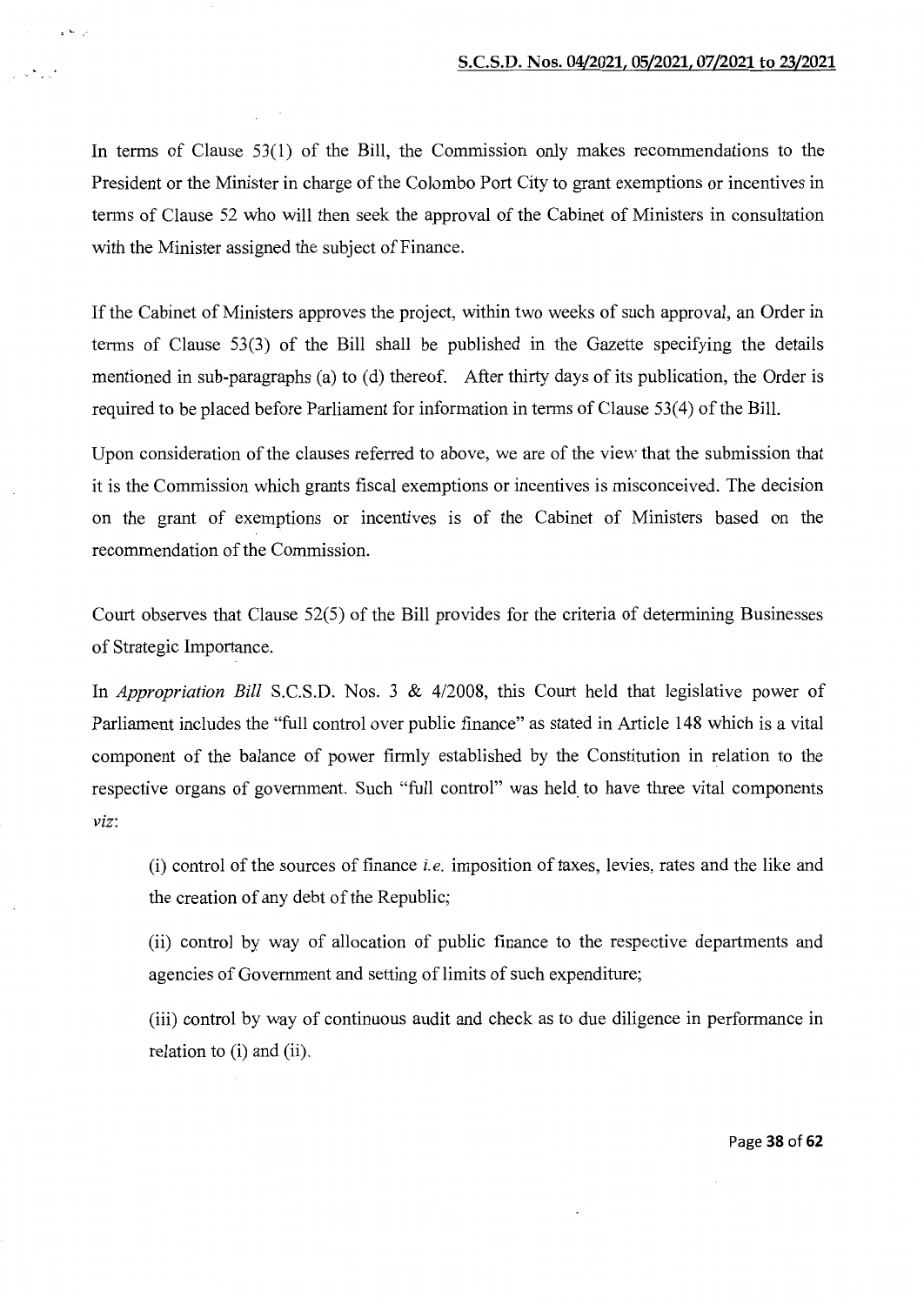In terms of Clause 53(1) of the Bill, the Commission only makes recommendations to the President or the Minister in charge of the Colombo Port City to grant exemptions or incentives in terms of Clause 52 who will then seek the approval of the Cabinet of Ministers in consultation with the Minister assigned the subject of Finance.

 $e^{-k_2}$ 

 $\mathbb{R}^{\infty}$  and

If the Cabinet of Ministers approves the project, within two weeks of such approval, an Order in terms of Clause 53(3) of the Bill shall be published in the Gazette specifying the details mentioned in sub-paragraphs (a) to (d) thereof. After thirty days of its publication, the Order is required to be placed before Parliament for information in terms of Clause 53(4) of the Bill.

Upon consideration of the clauses referred to above, we are of the view that the submission that it is the Commission which grants fiscal exemptions or incentives is misconceived. The decision on the grant of exemptions or incentives is of the Cabinet of Ministers based on the recommendation of the Commission.

Court observes that Clause 52(5) of the Bill provides for the criteria of determining Businesses of Strategic Importance.

In *Appropriation Bill* S.C.S.D. Nos. 3 & 4/2008, this Court held that legislative power of Parliament includes the "full control over public finance" as stated in Article 148 which is a vital component of the balance of power firmly established by the Constitution in relation to the respective organs of government. Such "full control" was held to have three vital components *viz:* 

(i) control of the sources of finance *i.e.* imposition of taxes, levies, rates and the like and the creation of any debt of the Republic;

(ii) control by way of allocation of public finance to the respective departments and agencies of Government and setting of limits of such expenditure;

(iii) control by way of continuous audit and check as to due diligence in performance in relation to (i) and (ii).

Page **38 of 62**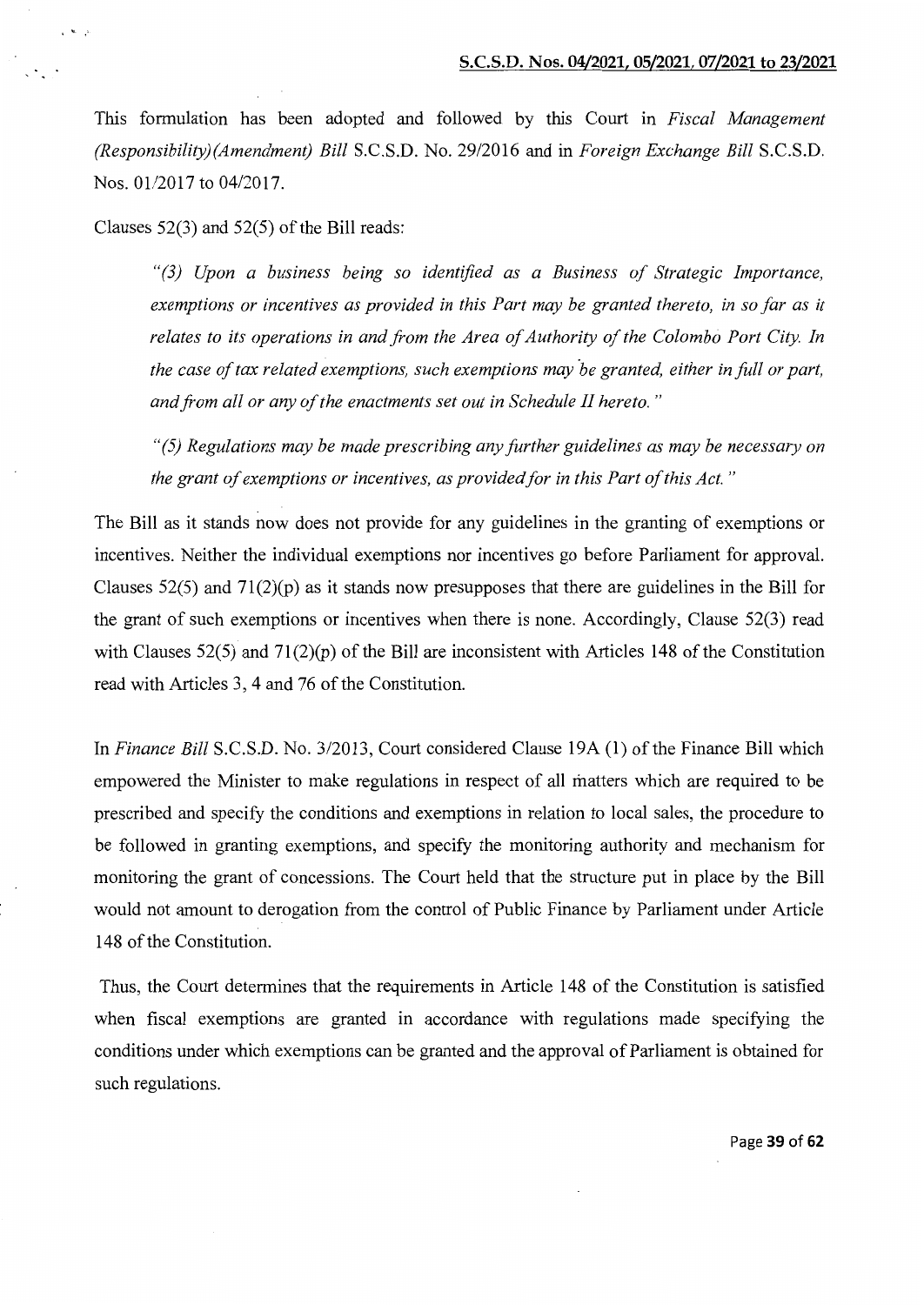This formulation has been adopted and followed by this Court in *Fiscal Management (Responsibility)(Amendment) Bill* S.C.S.D. No. 29/2016 and in *Foreign Exchange Bill* S.C.S.D. Nos. 01/2017 to 04/2017.

Clauses  $52(3)$  and  $52(5)$  of the Bill reads:

' <sup>~</sup>

*"(3) Upon a business being so identified as a Business of Strategic Importance, exemptions or incentives as provided in this Part may be granted thereto, in so far as it relates to its operations in and from the Area of Authority of the Colombo Port City. In the case of tax related exemptions, such exemptions may be granted, either in full or part, and from all or any of the enactments set out in Schedule II hereto.* "

*"(5) Regulations may be made prescribing any further guidelines as may be necessary on the grant of exemptions or incentives, as provided for in this Part of this Act.* "

The Bill as it stands now does not provide for any guidelines in the granting of exemptions or incentives. Neither the individual exemptions nor incentives go before Parliament for approval. Clauses 52(5) and 71(2)(p) as it stands now presupposes that there are guidelines in the Bill for the grant of such exemptions or incentives when there is none. Accordingly, Clause 52(3) read with Clauses 52(5) and 71(2)(p) of the Bill are inconsistent with Articles 148 of the Constitution read with Articles 3, 4 and 76 of the Constitution.

In *Finance Bill* S.C.S.D. No. 3/2013, Court considered Clause 19A (1) of the Finance Bill which empowered the Minister to make regulations in respect of all matters which are required to be prescribed and specify the conditions and exemptions in relation to local sales, the procedure to be followed in granting exemptions, and specify the monitoring authority and mechanism for monitoring the grant of concessions. The Court held that the structure put in place by the Bill would not amount to derogation from the control of Public Finance by Parliament under Article 148 of the Constitution.

Thus, the Court determines that the requirements in Article 148 of the Constitution is satisfied when fiscal exemptions are granted in accordance with regulations made specifying the conditions under which exemptions can be granted and the approval of Parliament is obtained for such regulations.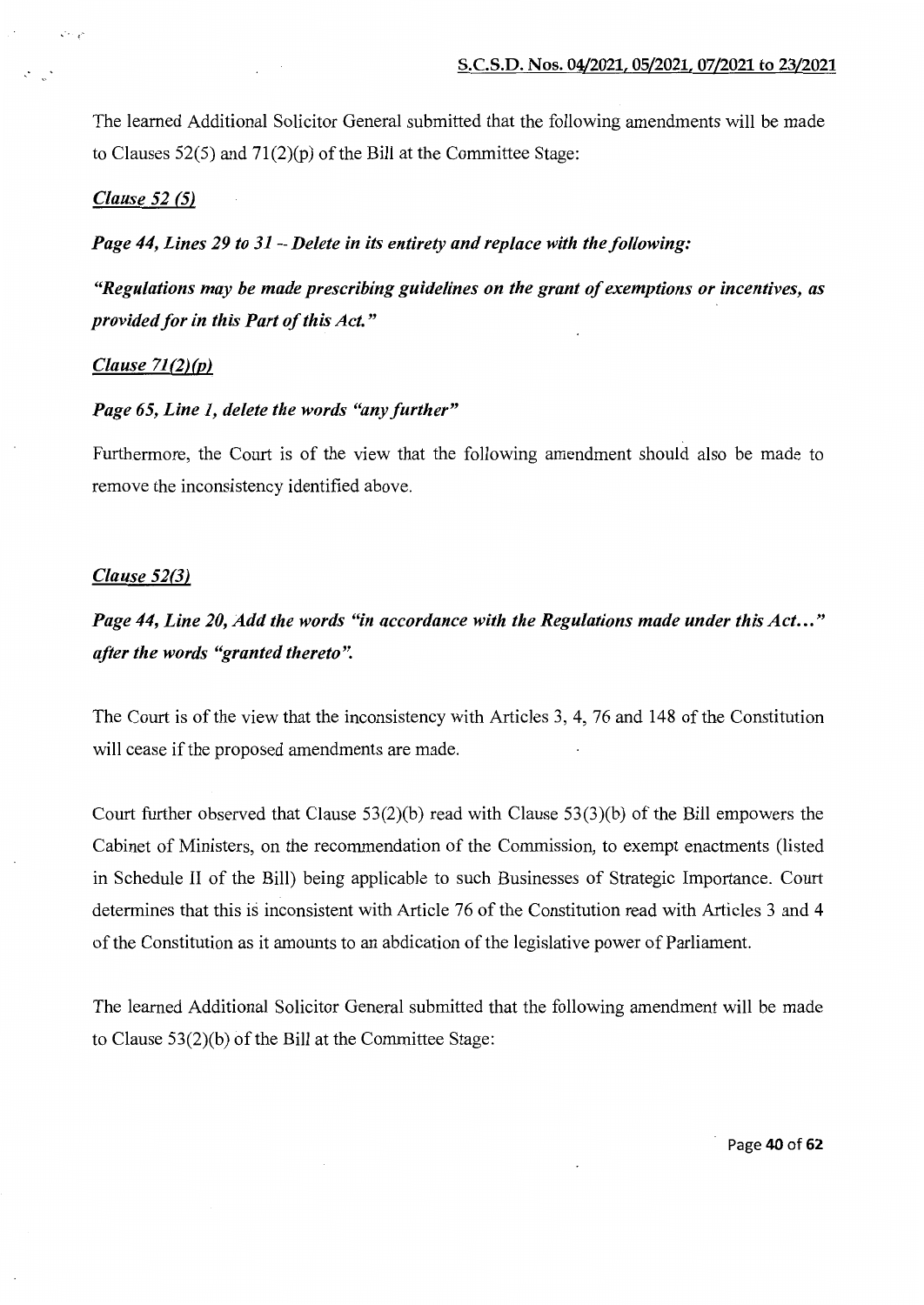The learned Additional Solicitor General submitted that the following amendments will be made to Clauses  $52(5)$  and  $71(2)(p)$  of the Bill at the Committee Stage:

# *Clause 52 (5)*

is the gr

*Page 44, Lines 29 to 31-Delete in its entirety and replace with the following:* 

*"Regulations may be made prescribing guidelines on the grant of exemptions or incentives, as provided for in this Part of this Act."* 

# *Clause 71(2)(p)*

# *Page 65, Line 1, delete the words "any further"*

Furthermore, the Court is of the view that the following amendment should also be made to remove the inconsistency identified above.

# *Clause 52(3)*

# *Page 44, Line 20, Add the words "in accordance with the Regulations made under this Act ... " after the words "granted thereto".*

The Court is of the view that the inconsistency with Articles 3, 4, 76 and 148 of the Constitution will cease if the proposed amendments are made.

Court further observed that Clause 53(2)(b) read with Clause 53(3)(b) of the Bill empowers the Cabinet of Ministers, on the recommendation of the Commission, to exempt enactments (listed in Schedule II of the Bill) being applicable to such Businesses of Strategic Importance. Court determines that this is inconsistent with Article 76 of the Constitution read with Articles 3 and 4 of the Constitution as it amounts to an abdication of the legislative power of Parliament.

The learned Additional Solicitor General submitted that the following amendment will be made to Clause  $53(2)(b)$  of the Bill at the Committee Stage: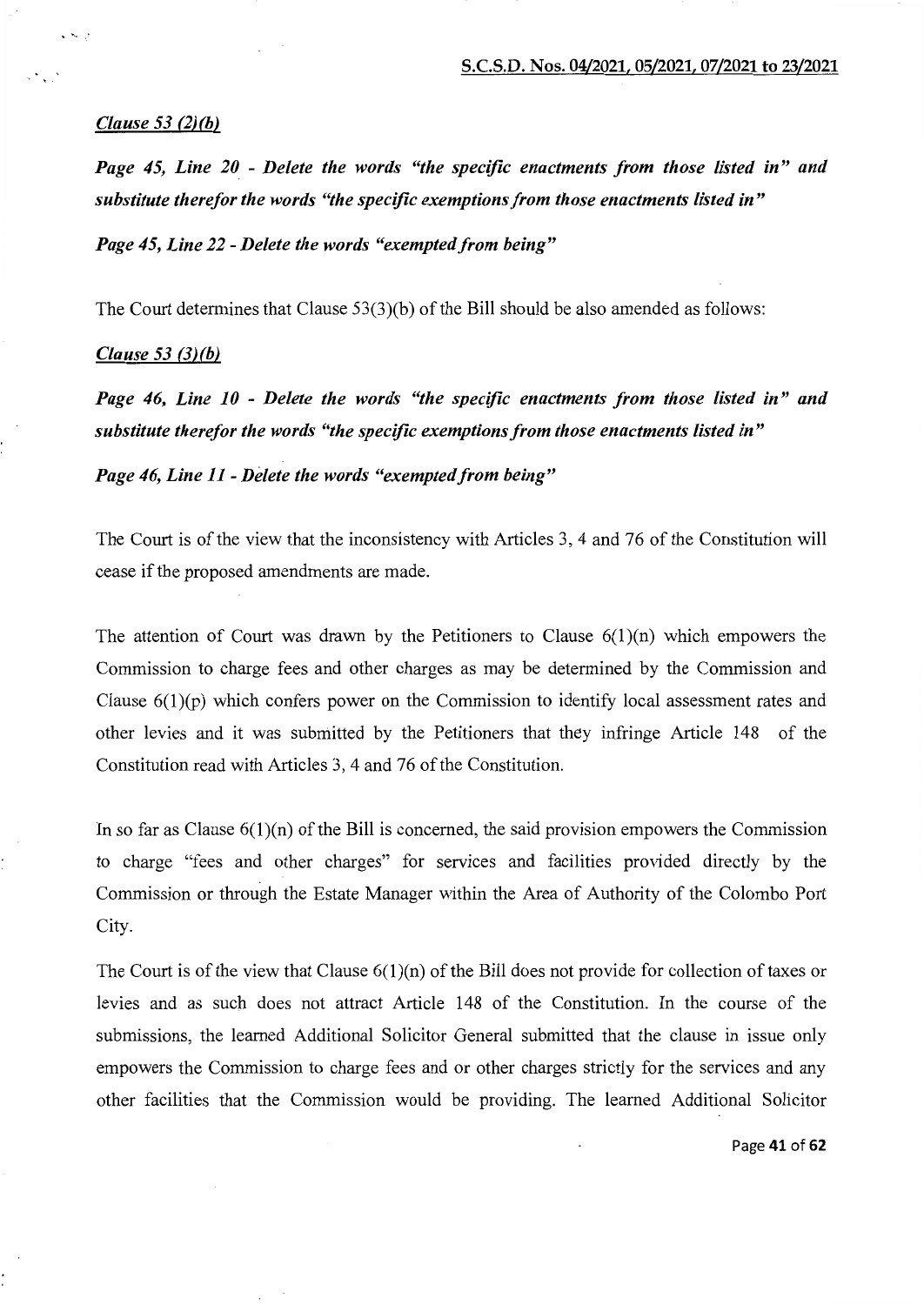# *Clause 53 (2)(b)*

 $\cdot$   $\sim$   $\cdot$ 

*Page 45, Line 20* - *Delete the words "the specific enactments from those listed in" and substitute therefor the words "the specific exemptions from those enactments listed in"* 

*Page 45, Line 22 -Delete the words "exempted from being"* 

The Court determines that Clause  $53(3)(b)$  of the Bill should be also amended as follows:

#### *Clause 53 {3)(b)*

*Page 46, Line 10* - *Delete the words "the specific enactments from those listed in" and substitute therefor the words "the specific exemptions from those enactments listed in"* 

*Page 46, Line 11* - *DeLete the words "exempted from being"* 

The Court is of the view that the inconsistency with Articles 3, 4 and 76 of the Constitution will cease if the proposed amendments are made.

The attention of Court was drawn by the Petitioners to Clause  $6(1)(n)$  which empowers the Commission to charge fees and other charges as may be determined by the Commission and Clause  $6(1)(p)$  which confers power on the Commission to identify local assessment rates and other levies and it was submitted by the Petitioners that they infringe Article 148 of the Constitution read with Articles 3, 4 and 76 of the Constitution.

In so far as Clause  $6(1)(n)$  of the Bill is concerned, the said provision empowers the Commission to charge "fees and other charges" for services and facilities provided directly by the Commission or through the Estate Manager within the Area of Authority of the Colombo Port City.

The Court is of the view that Clause  $6(1)(n)$  of the Bill does not provide for collection of taxes or levies and as such does not attract Article 148 of the Constitution. In the course of the submissions, the learned Additional Solicitor General submitted that the clause in issue only empowers the Commission to charge fees and or other charges strictly for the services and any other facilities that the Commission would be providing. The learned Additional Solicitor

Page 41 of 62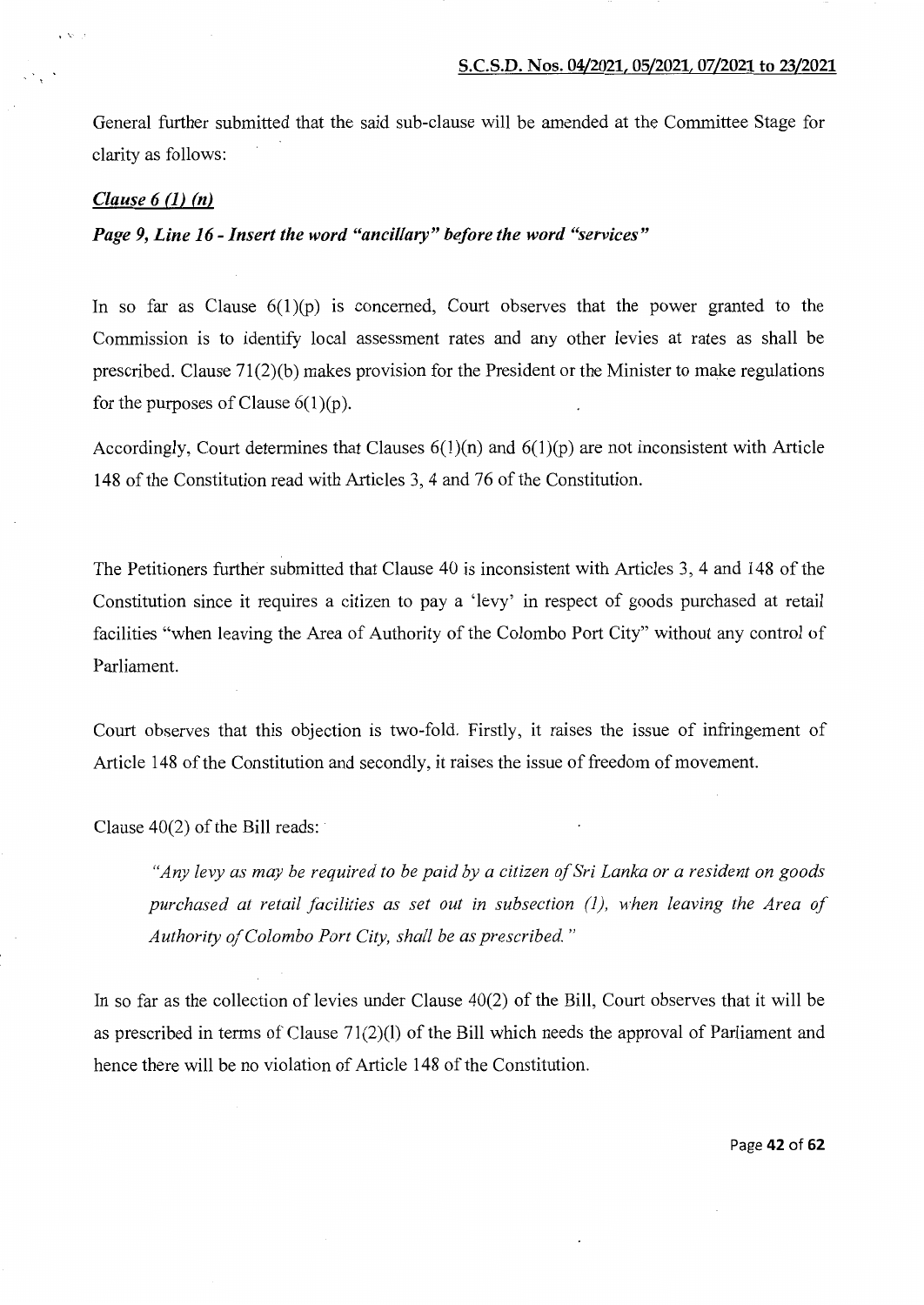General further submitted that the said sub-clause will be amended at the Committee Stage for clarity as follows:

#### *Clause 6* (1) *(n)*

いいい

# *Page 9, Line 16- Insert the word "ancillary" before the word "services"*

In so far as Clause  $6(1)(p)$  is concerned, Court observes that the power granted to the Commission is to identify local assessment rates and any other levies at rates as shall be prescribed. Clause  $71(2)(b)$  makes provision for the President or the Minister to make regulations for the purposes of Clause  $6(1)(p)$ .

Accordingly, Court determines that Clauses  $6(1)(n)$  and  $6(1)(p)$  are not inconsistent with Article 148 of the Constitution read with Articles 3, 4 and 76 of the Constitution.

The Petitioners further submitted that Clause 40 is inconsistent with Articles 3, 4 and 148 of the Constitution since it requires a citizen to pay a 'levy' in respect of goods purchased at retail facilities "when leaving the Area of Authority of the Colombo Port City" without any control of Parliament.

Court observes that this objection is two-fold. Firstly, it raises the issue of infringement of Article 148 of the Constitution and secondly, it raises the issue of freedom of movement.

Clause 40(2) of the Bill reads:

*"Any levy as may be required to be paid by a citizen of Sri Lanka or a resident on goods purchased at retail facilities as set out in subsection (1), when leaving the Area of Authority of Colombo Port City, shall be as prescribed."* 

In so far as the collection of levies under Clause 40(2) of the Bill, Court observes that it will be as prescribed in terms of Clause 71(2)(1) of the Bill which needs the approval of Parliament and hence there will be no violation of Article 148 of the Constitution.

Page 42 of 62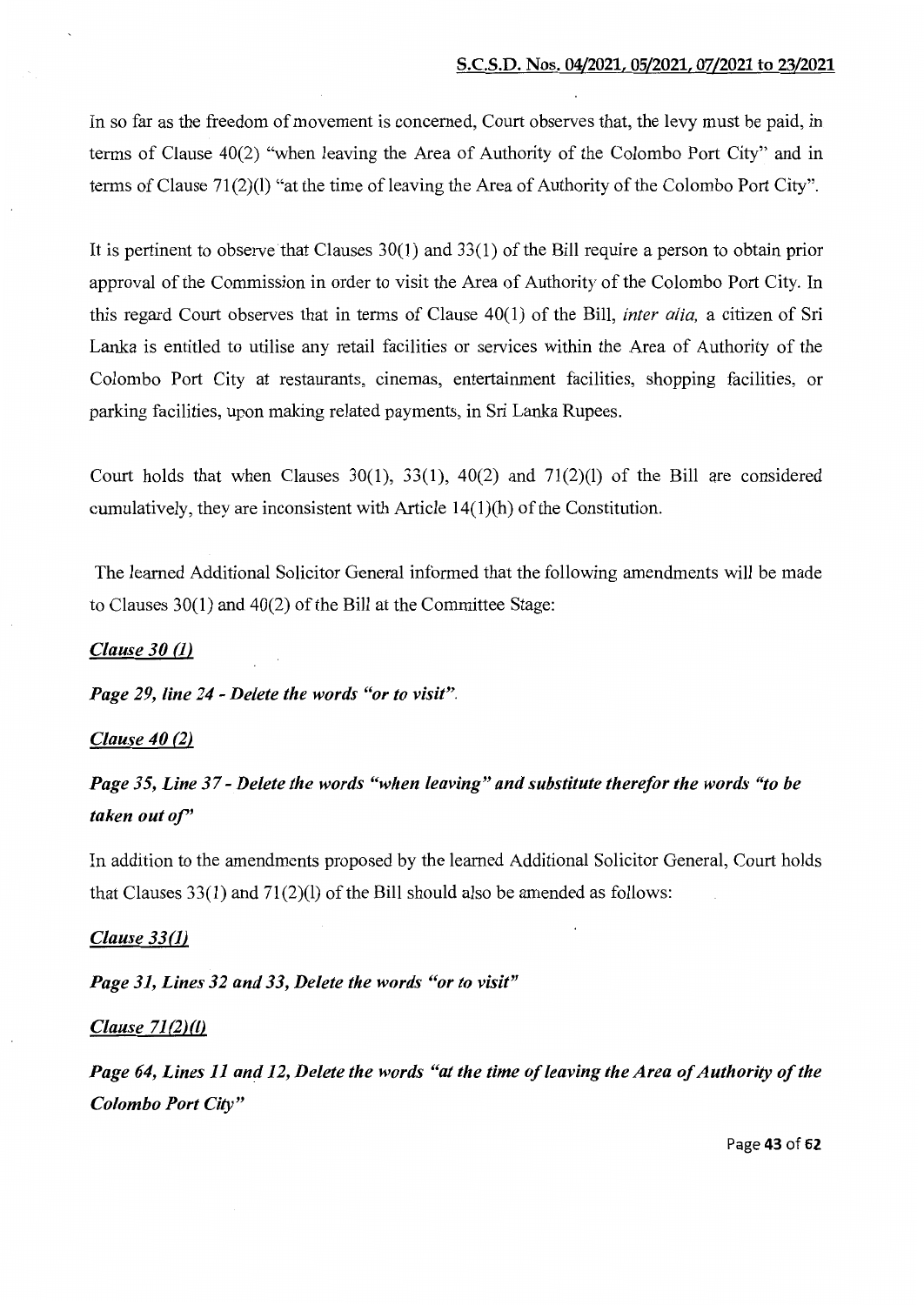In so far as the freedom of movement is concerned, Court observes that, the levy must be paid, in terms of Clause 40(2) "when leaving the Area of Authority of the Colombo Port City" and in terms of Clause  $71(2)(1)$  "at the time of leaving the Area of Authority of the Colombo Port City".

It is pertinent to observe that Clauses  $30(1)$  and  $33(1)$  of the Bill require a person to obtain prior approval of the Commission in order to visit the Area of Authority of the Colombo Port City. In this regard Court observes that in terms of Clause 40(1) of the Bill, *inter alia,* a citizen of Sri Lanka is entitled to utilise any retail facilities or services within the Area of Authority of the Colombo Port City at restaurants, cinemas, entertainment facilities, shopping facilities, or parking facilities, upon making related payments, in Sri Lanka Rupees.

Court holds that when Clauses  $30(1)$ ,  $33(1)$ ,  $40(2)$  and  $71(2)(1)$  of the Bill are considered cumulatively, they are inconsistent with Article 14(1)(h) of the Constitution.

The learned Additional Solicitor General informed that the following amendments will be made to Clauses  $30(1)$  and  $40(2)$  of the Bill at the Committee Stage:

# *Clause 30 (1)*

*Page 29, line 24- Delete the words "or to visit".* 

## *Clause 40* (2)

*Page 35, Line 37- Delete the words "when leaving" and substitute therefor the words "to be taken out of'* 

In addition to the amendments proposed by the learned Additional Solicitor General, Court holds that Clauses 33(1) and 71(2)(1) of the Bill should also be amended as follows:

### *Clause 33(1)*

*Page 31, Lines 32 and 33, Delete the words "or to visit"* 

#### *Clause 71 (2)(1)*

*Page 64, Lines 11 and 12, Delete the words "at the time of leaving the Area of Authority of the Colombo Port City"* 

Page 43 of 62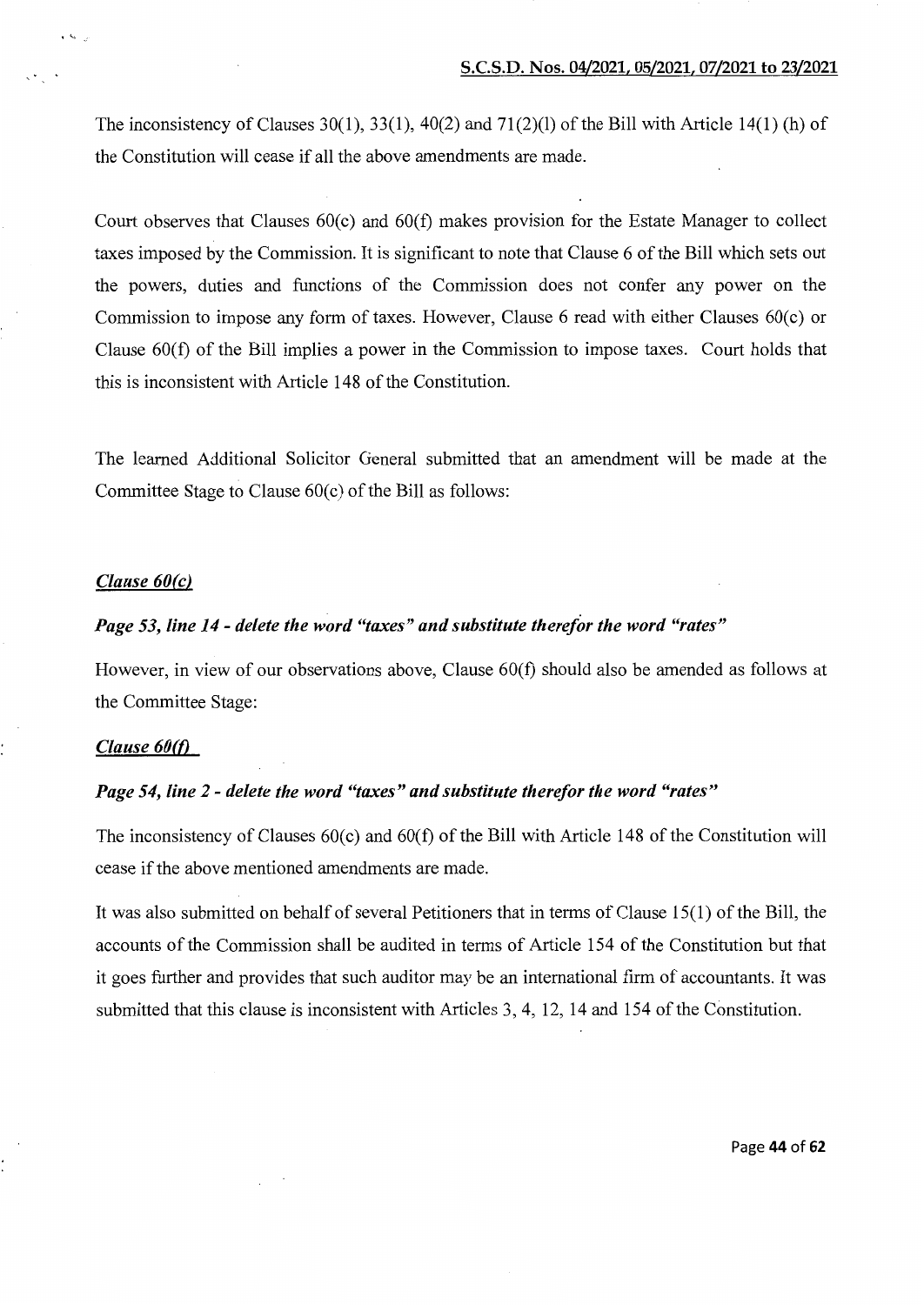The inconsistency of Clauses 30(1), 33(1), 40(2) and 71(2)(1) of the Bill with Article 14(1) (h) of the Constitution will cease if all the above amendments are made.

Court observes that Clauses 60(c) and 60(f) makes provision for the Estate Manager to collect taxes imposed by the Commission. It is significant to note that Clause 6 of the Bill which sets out the powers, duties and functions of the Commission does not confer any power on the Commission to impose any form of taxes. However, Clause 6 read with either Clauses  $60(c)$  or Clause 60(f) of the Bill implies a power in the Commission to impose taxes. Court holds that this is inconsistent with Article 148 of the Constitution.

The learned Additional Solicitor General submitted that an amendment will be made at the Committee Stage to Clause  $60(c)$  of the Bill as follows:

# *Clause 60(c)*

 $\zeta$ 

# *Page 53, line 14- delete the word "taxes" and substitute therefor the word "rates"*

However, in view of our observations above, Clause 60(f) should also be amended as follows at the Committee Stage:

# *Clause 60(0*

## *Page 54, line 2- delete the word "taxes" and substitute therefor the word "rates"*

The inconsistency of Clauses 60(c) and 60(f) of the Bill with Article 148 of the Constitution will cease if the above mentioned amendments are made.

It was also submitted on behalf of several Petitioners that in terms of Clause 15(1) of the Bill, the accounts of the Commission shall be audited in terms of Article 154 of the Constitution but that it goes further and provides that such auditor may be an international firm of accountants. It was submitted that this clause is inconsistent with Articles 3, 4, 12, 14 and 154 of the Constitution.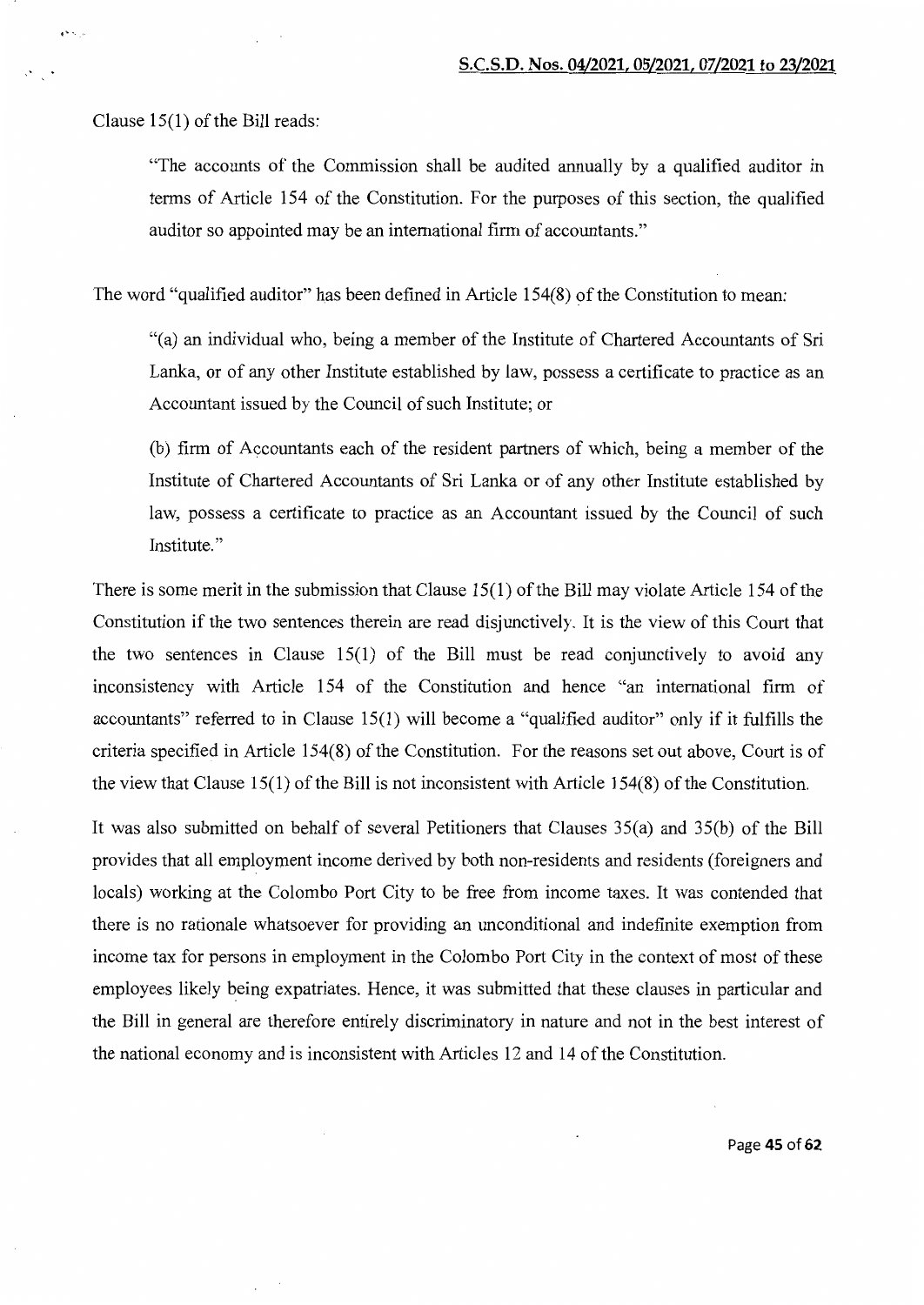Clause  $15(1)$  of the Bill reads:

 $e^{i\omega} \leq \omega$ 

"The accounts of the Commission shall be audited annually by a qualified auditor in terms of Article 154 of the Constitution. For the purposes of this section, the qualified auditor so appointed may be an international firm of accountants."

The word "qualified auditor" has been defined in Article 154(8) of the Constitution to mean:

"(a) an individual who, being a member of the Institute of Chartered Accountants of Sri Lanka, or of any other Institute established by law, possess a certificate to practice as an Accountant issued by the Council of such Institute; or

(b) firm of Accountants each of the resident partners of which, being a member of the Institute of Chartered Accountants of Sri Lanka or of any other Institute established by law, possess a certificate to practice as an Accountant issued by the Council of such Institute."

There is some merit in the submission that Clause  $15(1)$  of the Bill may violate Article 154 of the Constitution if the two sentences therein are read disjunctively. It is the view of this Court that the two sentences in Clause 15(1) of the Bill must be read conjunctively to avoid any inconsistency with Article 154 of the Constitution and hence "an international firm of accountants" referred to in Clause 15(1) will become a "qualified auditor" only if it fulfills the criteria specified in Article 154(8) of the Constitution. For the reasons set out above, Court is of the view that Clause 15(1) of the Bill is not inconsistent with Article 154(8) of the Constitution.

It was also submitted on behalf of several Petitioners that Clauses 35(a) and 35(b) of the Bill provides that all employment income derived by both non-residents and residents (foreigners and locals) working at the Colombo Port City to be free from income taxes. It was contended that there is no rationale whatsoever for providing an unconditional and indefinite exemption from income tax for persons in employment in the Colombo Port City in the context of most of these employees likely being expatriates. Hence, it was submitted that these clauses in particular and the Bill in general are therefore entirely discriminatory in nature and not in the best interest of the national economy and is inconsistent with Articles 12 and 14 of the Constitution.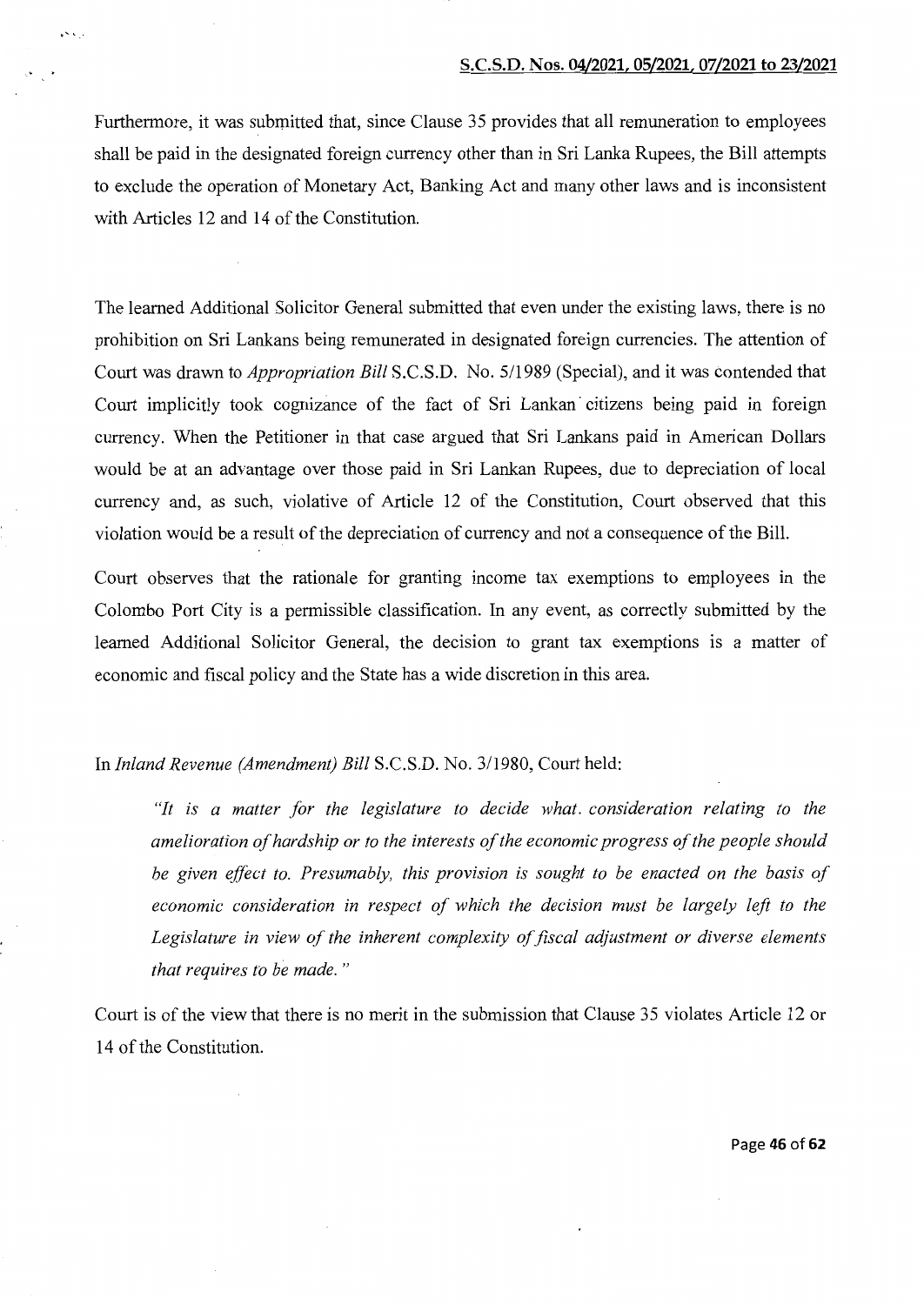Furthermore, it was submitted that, since Clause 35 provides that all remuneration to employees shall be paid in the designated foreign currency other than in Sri Lanka Rupees, the Bill attempts to exclude the operation of Monetary Act, Banking Act and many other laws and is inconsistent with Articles 12 and 14 of the Constitution.

 $\ddotsc$ 

The learned Additional Solicitor General submitted that even under the existing laws, there is no prohibition on Sri Lankans being remunerated in designated foreign currencies. The attention of Court was drawn to *Appropriation Bill* S.C.S.D. No. 5/1989 (Special), and it was contended that Court implicitly took cognizance of the fact of Sri Lankan· citizens being paid in foreign currency. When the Petitioner in that case argued that Sri Lankans paid in American Dollars would be at an advantage over those paid in Sri Lankan Rupees, due to depreciation of local currency and, as such, violative of Article 12 of the Constitution, Court observed that this violation would be a result of the depreciation of currency and not a consequence of the Bill.

Court observes that the rationale for granting income tax exemptions to employees in the Colombo Port City is a permissible classification. In any event, as correctly submitted by the learned Additional Solicitor General, the decision to grant tax exemptions is a matter of economic and fiscal policy and the State has a wide discretion in this area.

In *Inland Revenue (Amendment) Bill* S.C.S.D. No. 3/1980, Court held:

*"It is a matter for the legislature to decide what. consideration relating to the amelioration of hardship or to the interests of the economic progress of the people should be given effect to. Presumably, this provision is sought to be enacted on the basis of*  economic consideration in respect of which the decision must be largely left to the *Legislature in view of the inherent complexity of fiscal adjustment or diverse elements that requires to be made.* "

Court is of the view that there is no merit in the submission that Clause 35 violates Article 12 or 14 of the Constitution.

Page **46** of62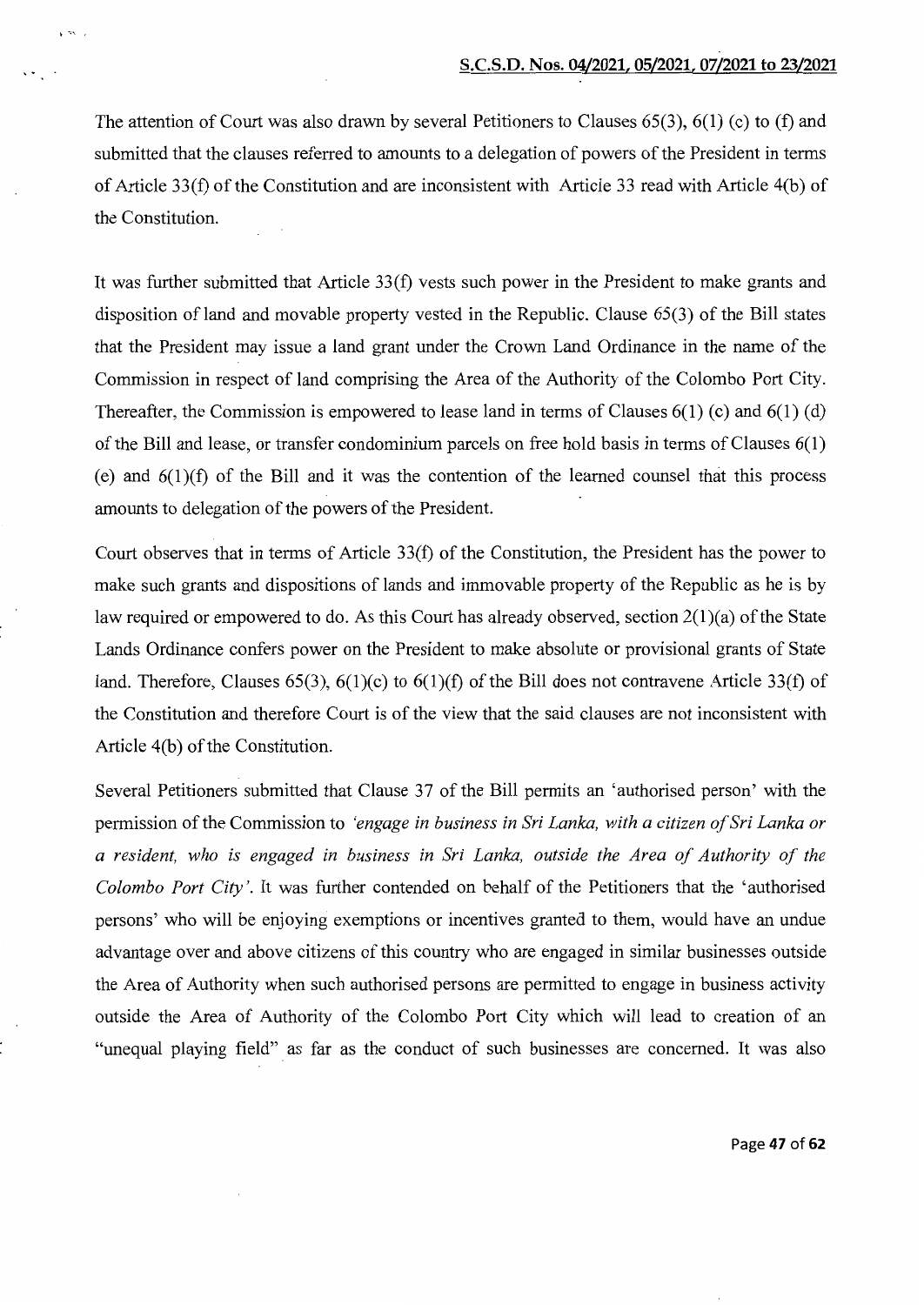The attention of Court was also drawn by several Petitioners to Clauses 65(3), 6(1) (c) to (f) and submitted that the clauses referred to amounts to a delegation of powers of the President in terms of Article 33(f) of the Constitution and are inconsistent with Article 33 read with Article 4(b) of the Constitution.

 $~\cdot~$  ,  $~\cdot~$ 

It was further submitted that Article 33(f) vests such power in the President to make grants and disposition of land and movable property vested in the Republic. Clause 65(3) of the Bill states that the President may issue a land grant under the Crown Land Ordinance in the name of the Commission in respect of land comprising the Area of the Authority of the Colombo Port City. Thereafter, the Commission is empowered to lease land in terms of Clauses 6(1) (c) and 6(1) (d) of the Bill and lease, or transfer condominium parcels on free hold basis in terms of Clauses 6(1) (e) and  $6(1)(f)$  of the Bill and it was the contention of the learned counsel that this process amounts to delegation of the powers of the President.

Court observes that in terms of Article 33(f) of the Constitution, the President has the power to make such grants and dispositions of lands and immovable property of the Republic as he is by law required or empowered to do. As this Court has already observed, section 2(1)(a) of the State Lands Ordinance confers power on the President to make absolute or provisional grants of State land. Therefore, Clauses 65(3),  $6(1)(c)$  to  $6(1)(f)$  of the Bill does not contravene Article 33(f) of the Constitution and therefore Court is of the view that the said clauses are not inconsistent with Article 4(b) of the Constitution.

Several Petitioners submitted that Clause 37 of the Bill permits an 'authorised person' with the permission of the Commission to *'engage in business in Sri Lanka, with a citizen of Sri Lanka or a resident, who is engaged in business in Sri Lanka, outside the Area of Authority of the Colombo Port City'.* It was further contended on behalf of the Petitioners that the 'authorised persons' who will be enjoying exemptions or incentives granted to them, would have an undue advantage over and above citizens of this country who are engaged in similar businesses outside the Area of Authority when such authorised persons are permitted to engage in business activity outside the Area of Authority of the Colombo Port City which will lead to creation of an "unequal playing field" as far as the conduct of such businesses are concerned. It was also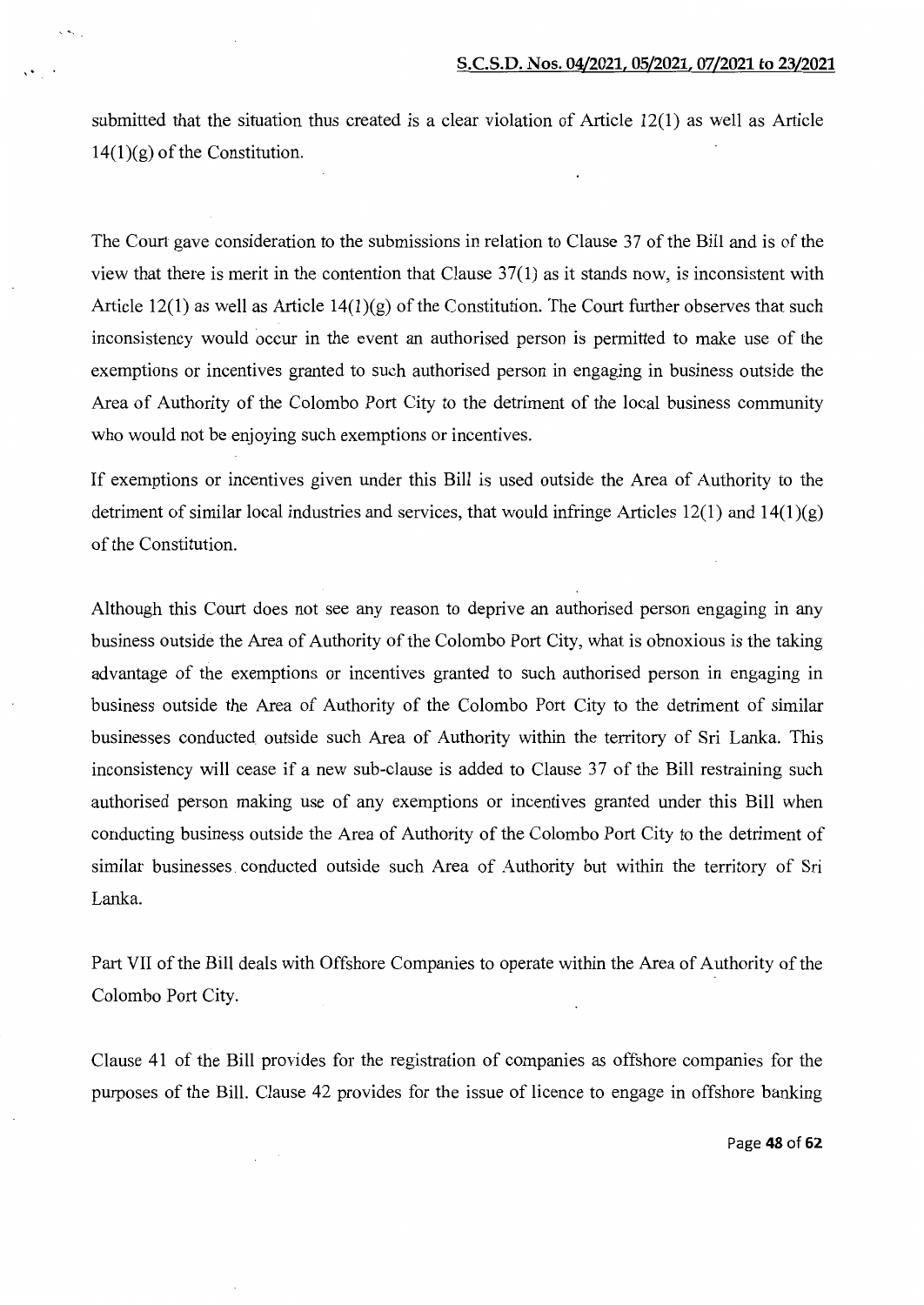submitted that the situation thus created is a clear violation of Article 12(1) as well as Article  $14(1)(g)$  of the Constitution.

The Court gave consideration to the submissions in relation to Clause 37 of the Bill and is of the view that there is merit in the contention that Clause 37(1) as it stands now, is inconsistent with Article 12(1) as well as Article 14(1)(g) of the Constitution. The Court further observes that such inconsistency would occur in the event an authorised person is permitted to make use of the exemptions or incentives granted to such authorised person in engaging in business outside the Area of Authority of the Colombo Port City to the detriment of the local business community who would not be enjoying such exemptions or incentives.

If exemptions or incentives given under this Bill is used outside the Area of Authority to the detriment of similar local industries and services, that would infringe Articles  $12(1)$  and  $14(1)(g)$ of the Constitution.

Although this Court does not see any reason to deprive an authorised person engaging in any business outside the Area of Authority of the Colombo Port City, what is obnoxious is the taking advantage of the exemptions or incentives granted to such authorised person in engaging in business outside the Area of Authority of the Colombo Port City to the detriment of similar businesses conducted outside such Area of Authority within the territory of Sri Lanka. This inconsistency will cease if a new sub-clause is added to Clause 37 of the Bill restraining such authorised person making use of any exemptions or incentives granted under this Bill when conducting business outside the Area of Authority of the Colombo Port City to the detriment of similar businesses conducted outside such Area of Authority but within the territory of Sri Lanka.

Part VII of the Bill deals with Offshore Companies to operate within the Area of Authority of the Colombo Port City.

Clause 41 of the Bill provides for the registration of companies as offshore companies for the purposes of the Bill. Clause 42 provides for the issue of licence to engage in offshore banking

Page **48 of62**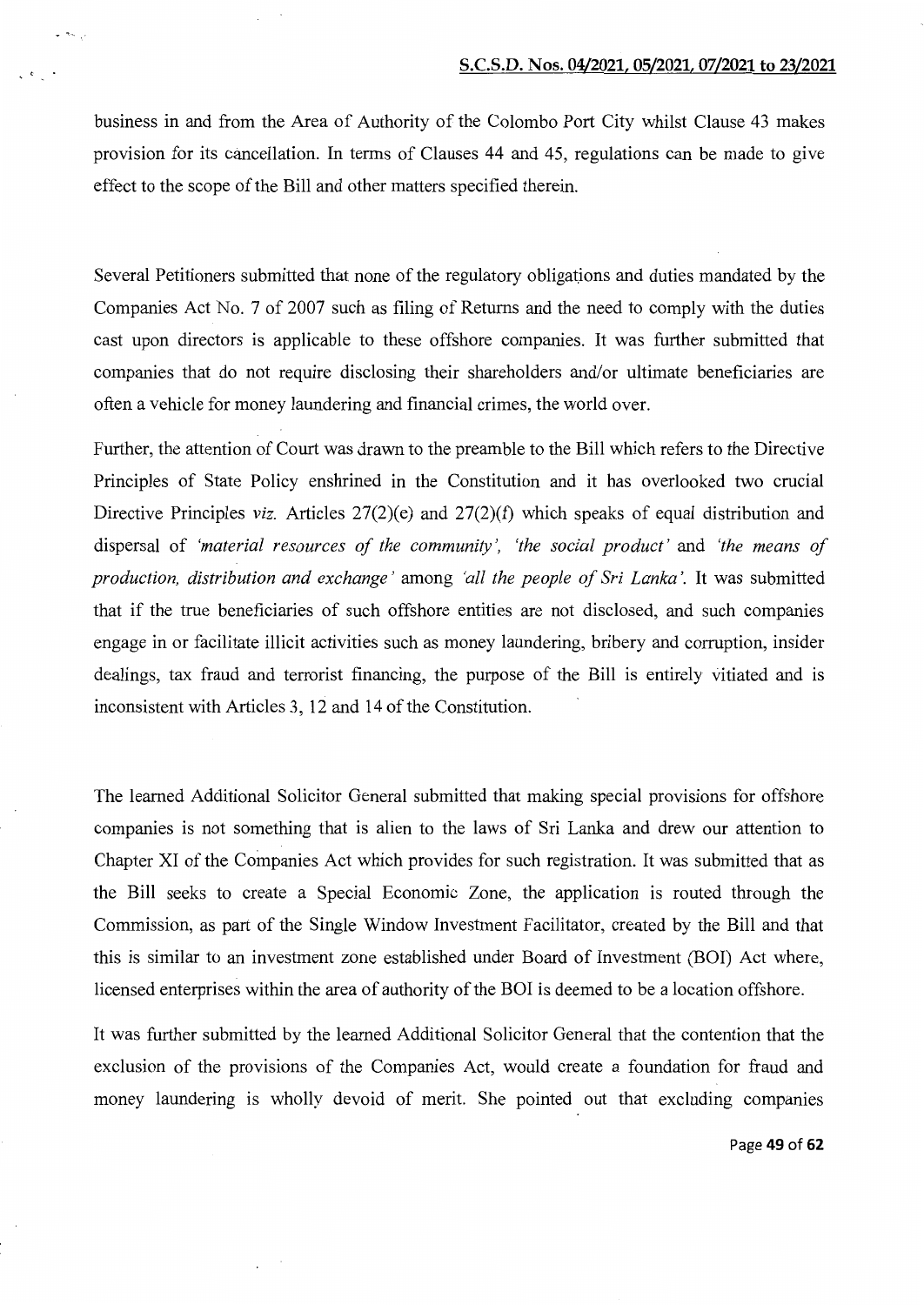business in and from the Area of Authority of the Colombo Port City whilst Clause 43 makes provision for its cancellation. In terms of Clauses 44 and 45, regulations can be made to give effect to the scope of the Bill and other matters specified therein.

 $. . . ,$ 

Several Petitioners submitted that none of the regulatory obligations and duties mandated by the Companies Act No. 7 of 2007 such as filing of Returns and the need to comply with the duties cast upon directors is applicable to these offshore companies. It was further submitted that companies that do not require disclosing their shareholders and/or ultimate beneficiaries are often a vehicle for money laundering and financial crimes, the world over.

Further, the attention of Court was drawn to the preamble to the Bill which refers to the Directive Principles of State Policy enshrined in the Constitution and it has overlooked two crucial Directive Principles *viz.* Articles 27(2)(e) and 27(2)(f) which speaks of equal distribution and dispersal of *'material resources of the community* ', *'the social product'* and *'the means of production, distribution and exchange* ' among *'all the people of Sri Lanka'.* It was submitted that if the true beneficiaries of such offshore entities are not disclosed, and such companies engage in or facilitate illicit activities such as money laundering, bribery and corruption, insider dealings, tax fraud and terrorist financing, the purpose of the Bill is entirely vitiated and is inconsistent with Articles 3, 12 and 14 of the Constitution.

The learned Additional Solicitor General submitted that making special provisions for offshore companies is not something that is alien to the laws of Sri Lanka and drew our attention to Chapter XI of the Companies Act which provides for such registration. It was submitted that as the Bill seeks to create a Special Economic Zone, the application is routed through the Commission, as part of the Single Window Investment Facilitator, created by the Bill and that this is similar to an investment zone established under Board of Investment (BOI) Act where, licensed enterprises within the area of authority of the BOI is deemed to be a location offshore.

It was further submitted by the learned Additional Solicitor General that the contention that the exclusion of the provisions of the Companies Act, would create a foundation for fraud and money laundering is wholly devoid of merit. She pointed out that excluding companies

Page 49 of 62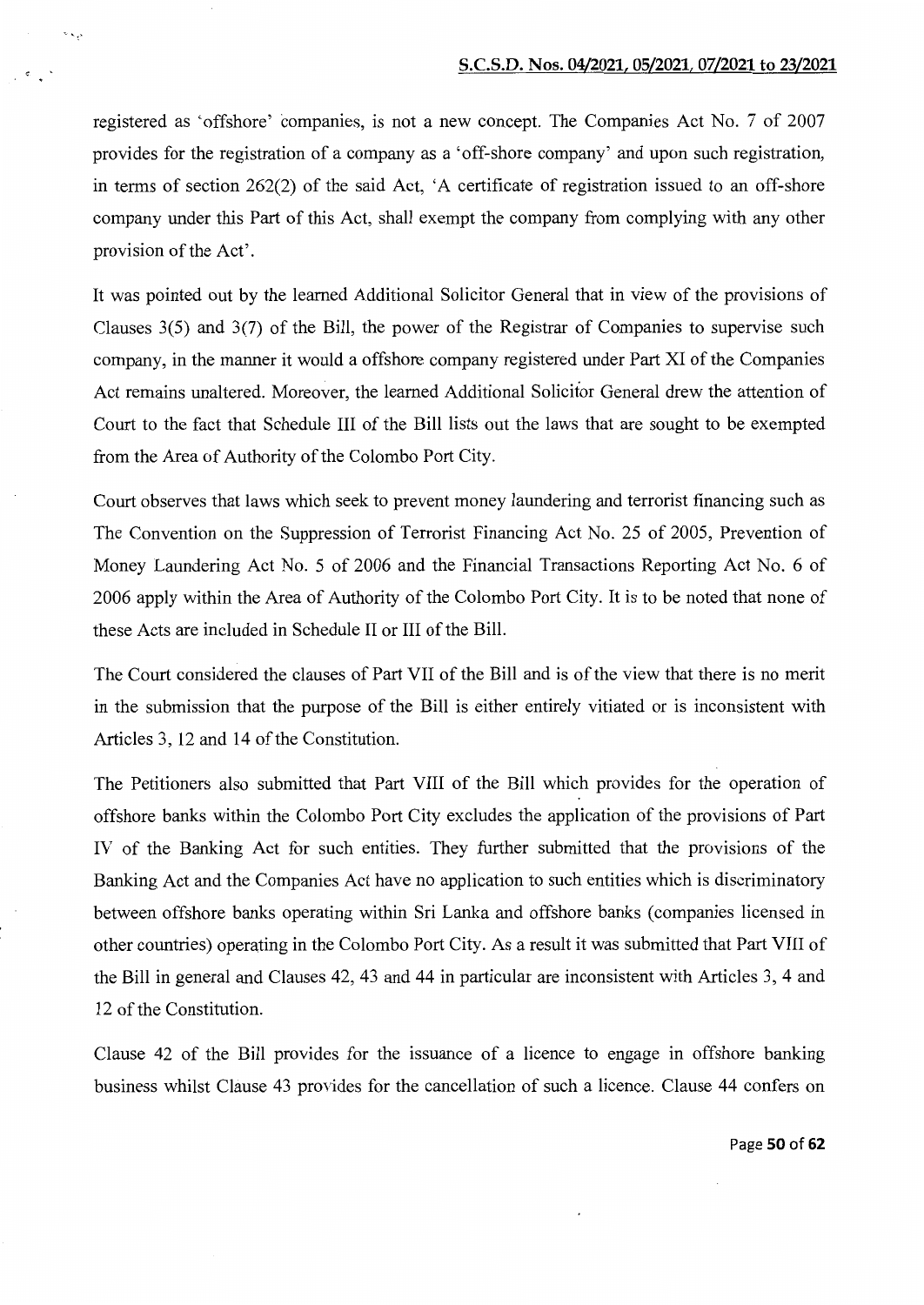registered as 'offshore' companies, is not a new concept. The Companies Act No. 7 of 2007 provides for the registration of a company as a 'off-shore company' and upon such registration, in terms of section 262(2) of the said Act, 'A certificate of registration issued to an off-shore company under this Part of this Act, shall exempt the company from complying with any other provision of the Act'.

 $-$ 

It was pointed out by the learned Additional Solicitor General that in view of the provisions of Clauses 3(5) and 3(7) of the Bill, the power of the Registrar of Companies to supervise such company, in the manner it would a offshore company registered under Part XI of the Companies Act remains unaltered. Moreover, the learned Additional Solicitor General drew the attention of Court to the fact that Schedule III of the Bill lists out the laws that are sought to be exempted from the Area of Authority of the Colombo Port City.

Court observes that laws which seek to prevent money laundering and terrorist financing such as The Convention on the Suppression of Terrorist Financing Act No. 25 of 2005, Prevention of Money Laundering Act No. 5 of 2006 and the Financial Transactions Reporting Act No. 6 of 2006 apply within the Area of Authority of the Colombo Port City. It is to be noted that none of these Acts are included in Schedule II or III of the Bill.

The Court considered the clauses of Part VII of the Bill and is of the view that there is no merit in the submission that the purpose of the Bill is either entirely vitiated or is inconsistent with Articles 3, 12 and 14 of the Constitution.

The Petitioners also submitted that Part VIII of the Bill which provides for the operation of offshore banks within the Colombo Port City excludes the application of the provisions of Part IV of the Banking Act for such entities. They further submitted that the provisions of the Banking Act and the Companies Act have no application to such entities which is discriminatory between offshore banks operating within Sri Lanka and offshore banks (companies licensed in other countries) operating in the Colombo Port City. As a result it was submitted that Part VIII of the Bill in general and Clauses 42, 43 and 44 in particular are inconsistent with Articles 3, 4 and 12 of the Constitution.

Clause 42 of the Bill provides for the issuance of a licence to engage in offshore banking business whilst Clause 43 provides for the cancellation of such a licence. Clause 44 confers on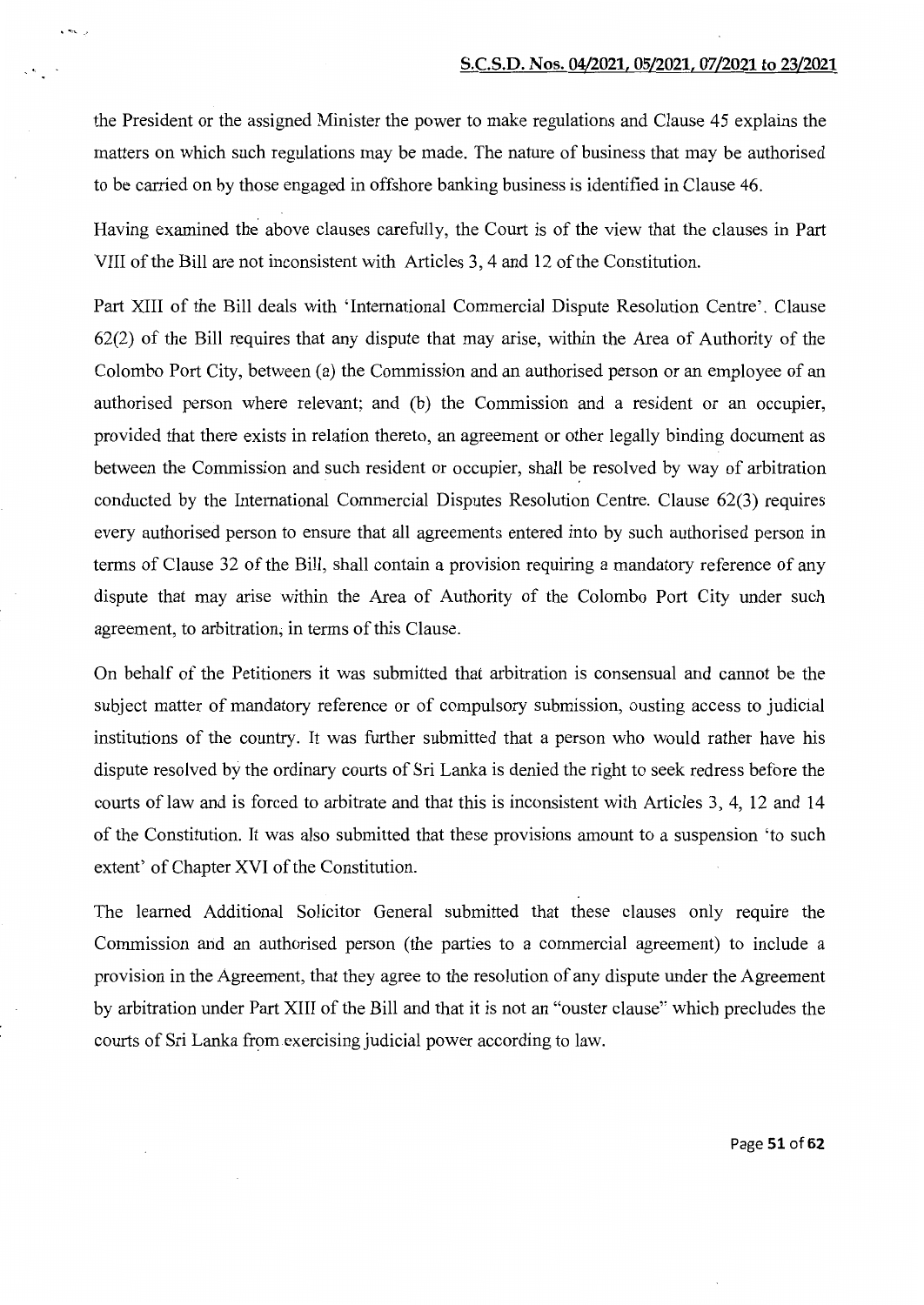the President or the assigned Minister the power to make regulations and Clause 45 explains the matters on which such regulations may be made. The nature of business that may be authorised to be carried on by those engaged in offshore banking business is identified in Clause 46.

 $\sqrt{2}$ 

Having examined the above clauses carefully, the Court is of the view that the clauses in Part VIII of the Bill are not inconsistent with Articles 3, 4 and 12 of the Constitution.

Part XIII of the Bill deals with 'International Commercial Dispute Resolution Centre'. Clause 62(2) of the Bill requires that any dispute that may arise, within the Area of Authority of the Colombo Port City, between (a) the Commission and an authorised person or an employee of an authorised person where relevant; and (b) the Commission and a resident or an occupier, provided that there exists in relation thereto, an agreement or other legally binding document as between the Commission and such resident or occupier, shall be resolved by way of arbitration conducted by the International Commercial Disputes Resolution Centre. Clause 62(3) requires every authorised person to ensure that all agreements entered into by such authorised person in terms of Clause 32 of the Bill, shall contain a provision requiring a mandatory reference of any dispute that may arise within the Area of Authority of the Colombo Port City under such agreement, to arbitration; in terms of this Clause.

On behalf of the Petitioners it was submitted that arbitration is consensual and cannot be the subject matter of mandatory reference or of compulsory submission, ousting access to judicial institutions of the country. It was further submitted that a person who would rather have his dispute resolved by the ordinary courts of Sri Lanka is denied the right to seek redress before the courts of law and is forced to arbitrate and that this is inconsistent with Articles 3, 4, 12 and 14 of the Constitution. It was also submitted that these provisions amount to a suspension 'to such extent' of Chapter XVI of the Constitution.

The learned Additional Solicitor General submitted that these clauses only require the Commission and an authorised person (the parties to a commercial agreement) to include a provision in the Agreement, that they agree to the resolution of any dispute under the Agreement by arbitration under Part XIII of the Bill and that it is not an "ouster clause" which precludes the courts of Sri Lanka from exercising judicial power according to law.

Page **51 of 62**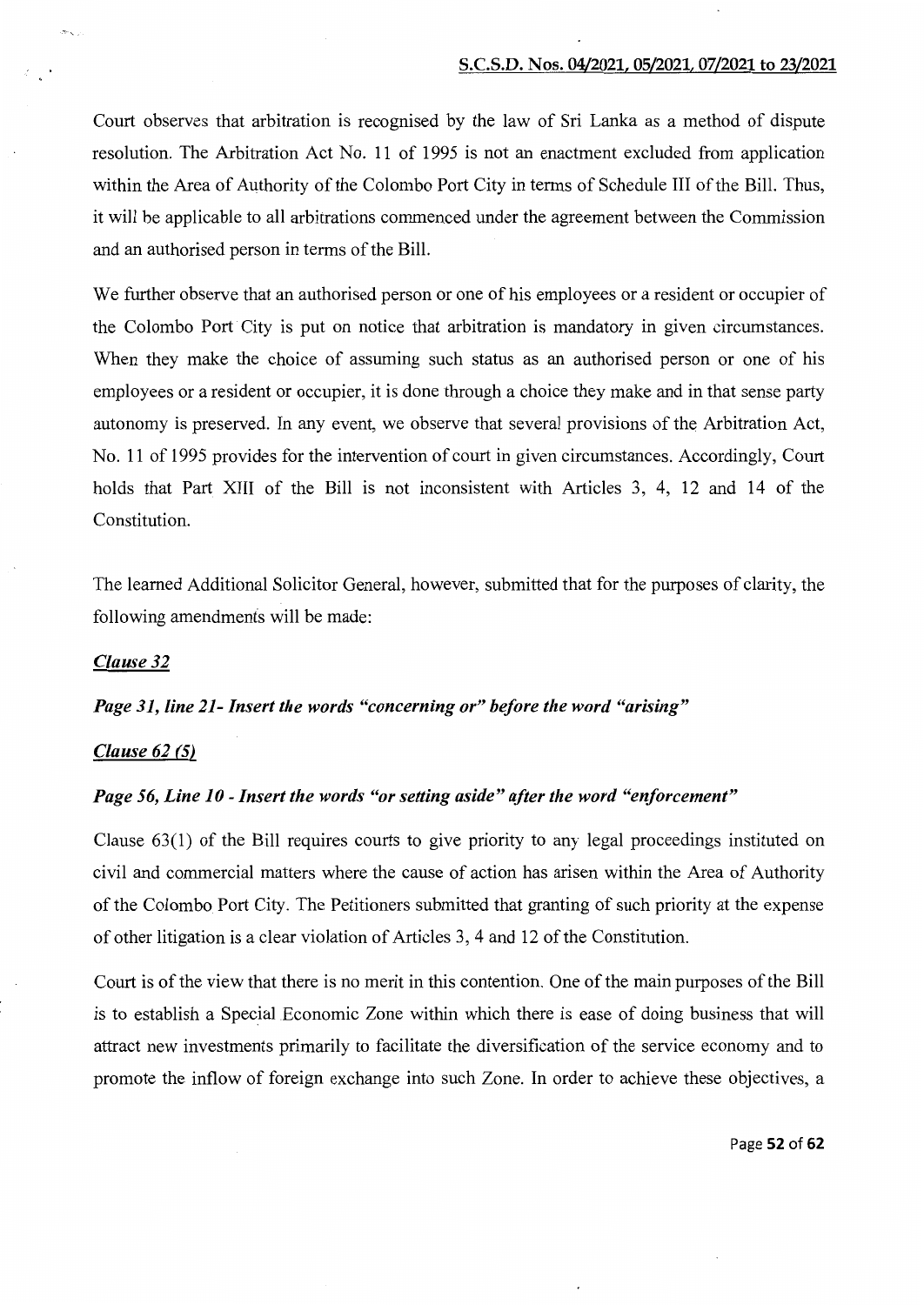Court observes that arbitration is recognised by the law of Sri Lanka as a method of dispute resolution. The Arbitration Act No. 11 of 1995 is not an enactment excluded from application within the Area of Authority of the Colombo Port City in terms of Schedule III of the Bill. Thus, it will be applicable to all arbitrations commenced under the agreement between the Commission and an authorised person in terms of the Bill.

We further observe that an authorised person or one of his employees or a resident or occupier of the Colombo Port City is put on notice that arbitration is mandatory in given circumstances. When they make the choice of assuming such status as an authorised person or one of his employees or a resident or occupier, it is done through a choice they make and in that sense party autonomy is preserved. In any event, we observe that several provisions of the Arbitration Act, No. 11 of 1995 provides for the intervention of court in given circumstances. Accordingly, Court holds that Part XIII of the Bill is not inconsistent with Articles 3, 4, 12 and 14 of the Constitution.

The learned Additional Solicitor General, however, submitted that for the purposes of clarity, the following amendments will be made:

# *Clause32*

#### *Page 31, line 21- Insert the words "concerning or" before the word "arising"*

## *Clause 62 (5)*

# *Page 56, Line 10- Insert the words "or setting aside" after the word "enforcement"*

Clause 63(1) of the Bill requires courts to give priority to any legal proceedings instituted on civil and commercial matters where the cause of action has arisen within the Area of Authority of the Colombo Port City. The Petitioners submitted that granting of such priority at the expense of other litigation is a clear violation of Articles 3, 4 and 12 of the Constitution.

Court is of the view that there is no merit in this contention. One of the main purposes of the Bill is to establish a Special Economic Zone within which there is ease of doing business that will attract new investments primarily to facilitate the diversification of the service economy and to promote the inflow of foreign exchange into such Zone. In order to achieve these objectives, a

Page 52 of 62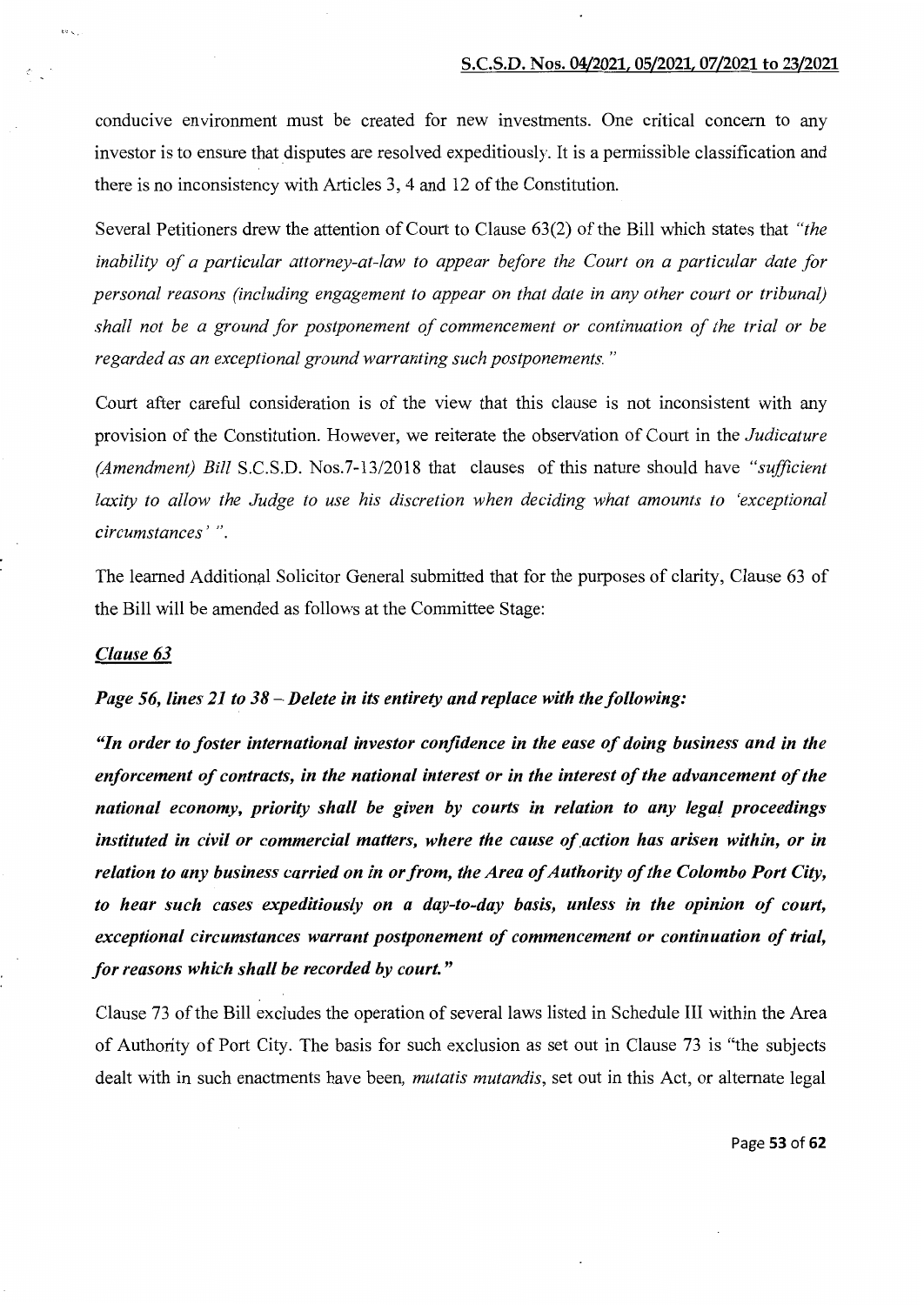conducive environment must be created for new investments. One critical concern to any investor is to ensure that disputes are resolved expeditiously. It is a permissible classification and there is no inconsistency with Articles 3, 4 and 12 of the Constitution.

Several Petitioners drew the attention of Court to Clause 63(2) of the Bill which states that *"the*  inability of a particular attorney-at-law to appear before the Court on a particular date for *personal reasons (including engagement to appear on that date in any other court or tribunal) shall not be a ground for postponement of commencement or continuation of the trial or be regarded as an exceptional ground warranting such postponements.* "

Court after careful consideration is of the view that this clause is not inconsistent with any provision of the Constitution. However, we reiterate the observation of Court in the *Judicature (Amendment) Bill* S.C.S.D. Nos.7-13/2018 that clauses of this nature should have *"sufficient laxity to allow the Judge to use his discretion when deciding what amounts to 'exceptional circumstances* ' ".

The learned Additional Solicitor General submitted that for the purposes of clarity, Clause 63 of the Bill will be amended as follows at the Committee Stage:

#### *Clause 63*

 $~\cdot$  .

## *Page 56, lines 21 to 38- Delete in its entirety and replace with the following:*

*"In order to foster international investor confidence in the ease of doing business and in the enforcement of contracts, in the national interest or in the interest of the advancement of the national economy, priority shall be given by courts in relation to any legal proceedings instituted in civil or commercial matters, where the cause of.action has arisen within, or in relation to any business carried on in or from, the Area of Authority of the Colombo Port City, to hear such cases expeditiously on a day-to-day basis, unless in the opinion of court, exceptional circumstances warrant postponement of commencement or continuation of trial, for reasons which shall be recorded by court."* 

Clause 73 of the Bill excludes the operation of several laws listed in Schedule III within the Area of Authority of Port City. The basis for such exclusion as set out in Clause 73 is "the subjects dealt with in such enactments have been, *mutatis mutandis,* set out in this Act, or alternate legal

Page 53 of 62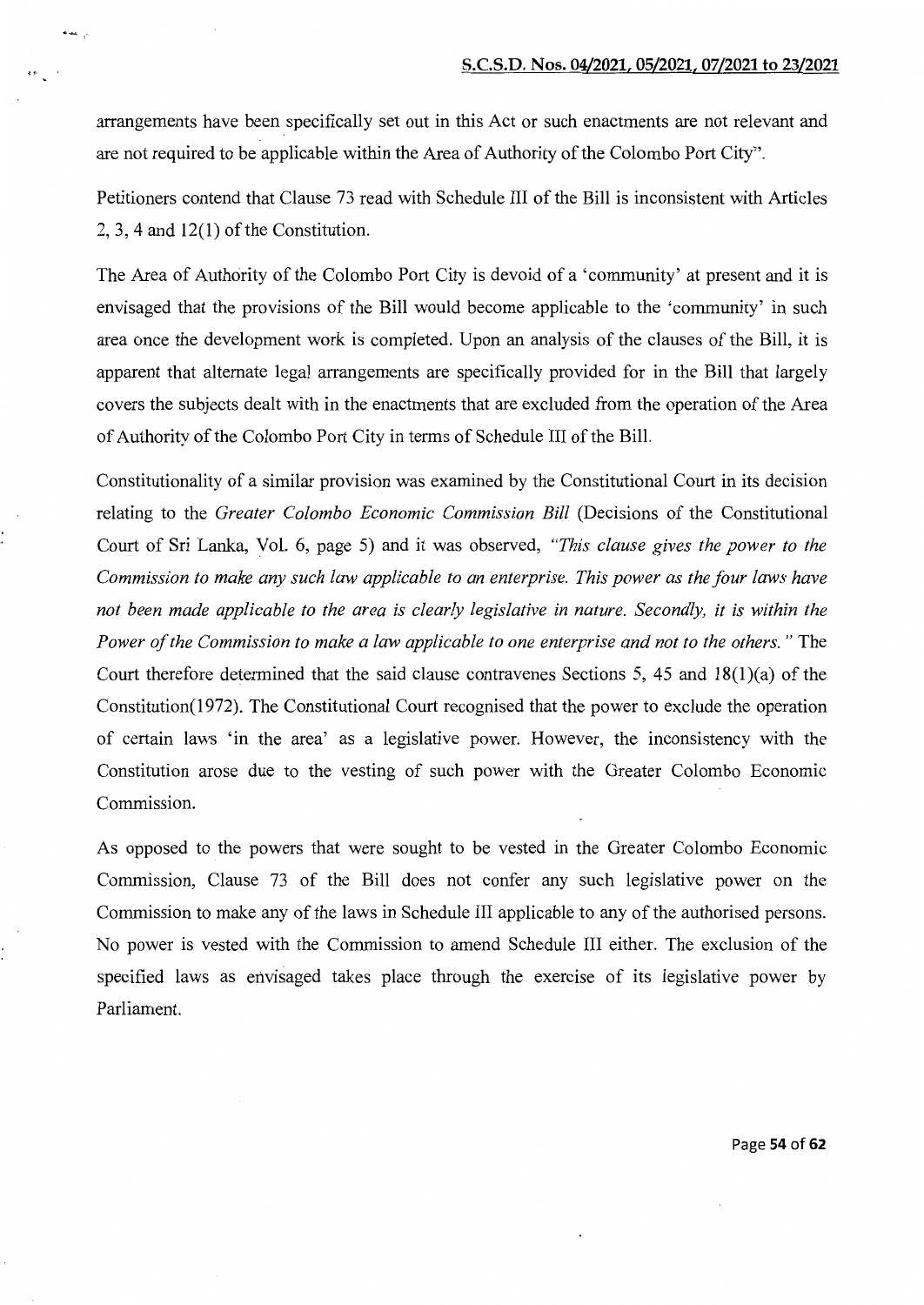arrangements have been specifically set out in this Act or such enactments are not relevant and are not required to be applicable within the Area of Authority of the Colombo Port City".

·-

Petitioners contend that Clause 73 read with Schedule III of the Bill is inconsistent with Articles  $2, 3, 4$  and  $12(1)$  of the Constitution.

The Area of Authority of the Colombo Port City is devoid of a 'community' at present and it is envisaged that the provisions of the Bill would become applicable to the 'community' in such area once the development work is completed. Upon an analysis of the clauses of the Bill, it is apparent that alternate legal arrangements are specifically provided for in the Bill that largely covers the subjects dealt with in the enactments that are excluded from the operation of the Area of Authority of the Colombo Port City in terms of Schedule III of the Bill.

Constitutionality of a similar provision was examined by the Constitutional Court in its decision relating to the *Greater Colombo Economic Commission Bill* (Decisions of the Constitutional Court of Sri Lanka, Vol. 6, page 5) and it was observed, *"This clause gives the power to the Commission to make any such law applicable to an enterprise. This power as the four laws have not been made applicable to the area is clearly legislative in nature. Secondly, it is within the Power of the Commission to make a law applicable to one enterprise and not to the others.* " The Court therefore determined that the said clause contravenes Sections 5, 45 and 18(1)(a) of the Constitution(1972). The Constitutional Court recognised that the power to exclude the operation of certain laws 'in the area' as a legislative power. However, the inconsistency with the Constitution arose due to the vesting of such power with the Greater Colombo Economic Commission.

As opposed to the powers that were sought to be vested in the Greater Colombo Economic Commission, Clause 73 of the Bill does not confer any such legislative power on the Commission to make any of the laws in Schedule III applicable to any of the authorised persons. No power is vested with the Commission to amend Schedule III either. The exclusion of the specified laws as envisaged takes place through the exercise of its legislative power by Parliament.

Page **54 of 62**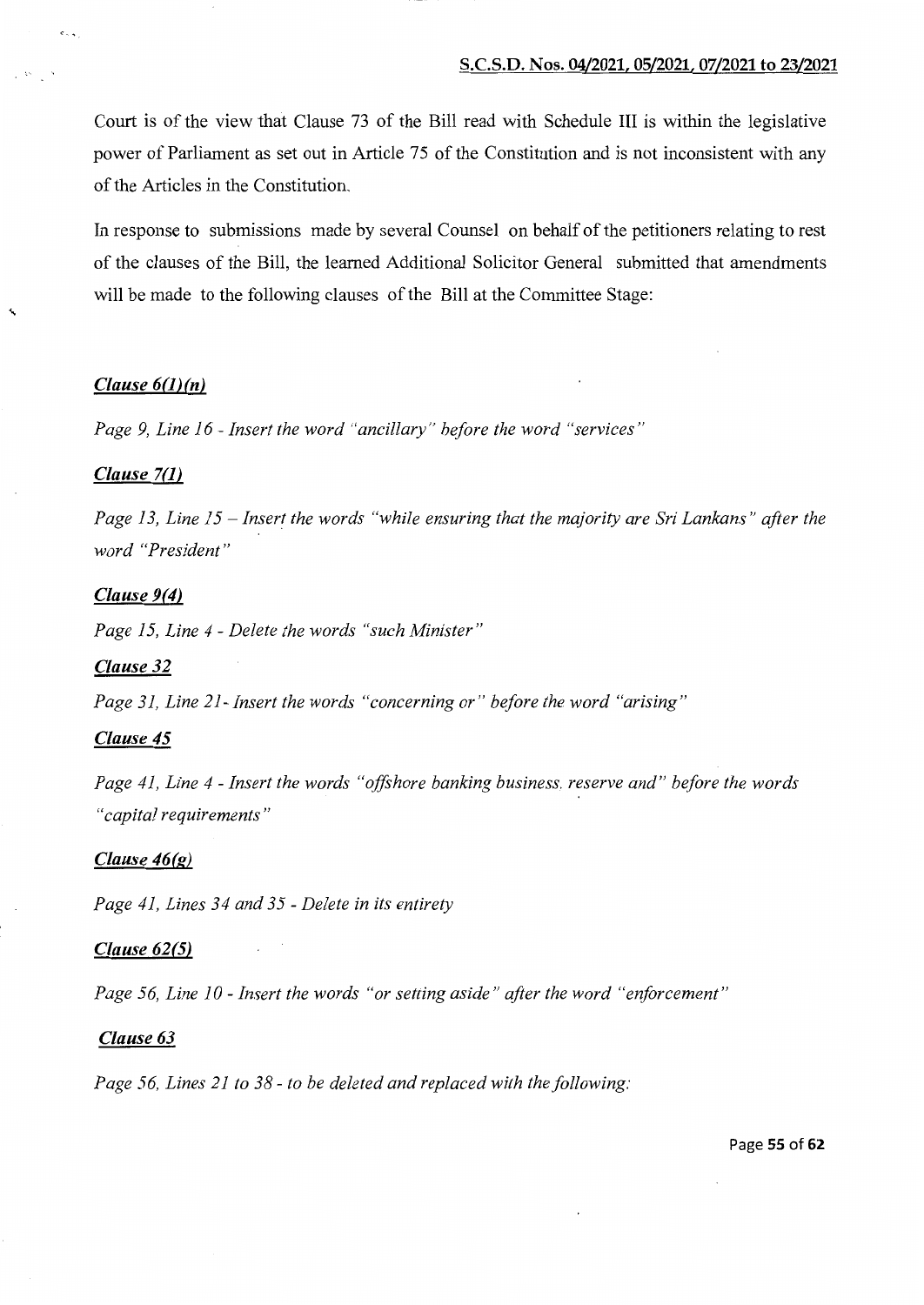Court is of the view that Clause 73 of the Bill read with Schedule III is within the legislative power of Parliament as set out in Article 75 of the Constitution and is not inconsistent with any of the Articles in the Constitution.

In response to submissions made by several Counsel on behalf of the petitioners relating to rest of the clauses of the Bill, the learned Additional Solicitor General submitted that amendments will be made to the following clauses of the Bill at the Committee Stage:

# *Clause 6(1)(n)*

 $\cdot \cdot$ 

<..

*Page 9, Line 16- Insert the word "ancillary" before the word "services"* 

# *Clause 7(1)*

*Page 13, Line 15- Insert the words "while ensuring that the majority are Sri Lankans" after the word "President"* 

# *Clause 9(4)*

*Page 15, Line 4* - *Delete the words "such Minister"* 

## *Clause 32*

*Page 31, Line 21- Insert the words "concerning or" before the word "arising"* 

# *Clause 45*

*Page 41, Line 4- Insert the words "offshore banking business, reserve and" before the words "capital requirements"* 

#### *Clause 46(g)*

*Page 41, Lines 34 and 35- Delete in its entirety* 

### *Clause 62(5)*

*Page 56, Line 10- Insert the words "or setting aside" after the word "enforcement"* 

### *Clause 63*

*Page 56, Lines 21 to 38- to be deleted and replaced with the following:*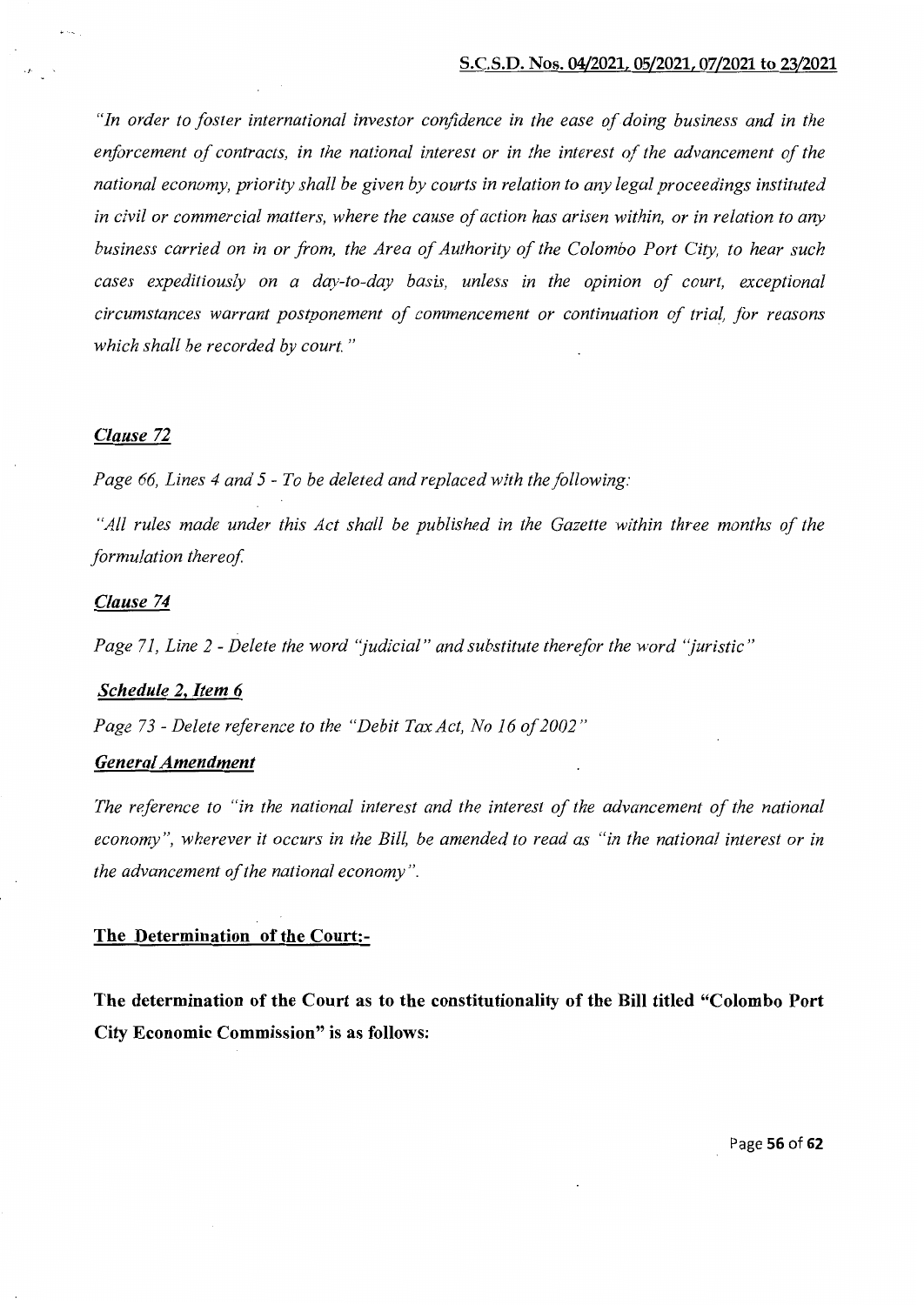*"In order to foster international investor confidence in the ease of doing business and in the*  enforcement of contracts, in the national interest or in the interest of the advancement of the *national economy, priority shall be given by courts in relation to any legal proceedings instituted in civil or commercial matters, where the cause of action has arisen within, or in relation to any business carried on in or from, the Area of Authority of the Colombo Port City, to hear such cases expeditiously on a day-to-day basis, unless in the opinion of court, exceptional circumstances warrant postponement of commencement or continuation of trial, for reasons which shall be recorded by court.* "

# *Clause 72*

*Page 66, Lines 4 and 5* - *To be deleted and replaced with the following:* 

*"All rules made under this Act shall be published in the Gazette within three months of the formulation thereof* 

### *Clause 74*

*Page 71, Line 2* - *Delete the word "judicial" and substitute therefor the word "juristic"* 

## *Schedule 2. Item 6*

Page 73 - Delete reference to the "Debit Tax Act, No 16 of 2002"

# *General Amendment*

*The reference to "in the national interest and the interest of the advancement of the national economy", wherever it occurs in the Bill, be amended to read as "in the national interest or in the advancement of the national economy".* 

# **The Determination of the Court:-**

**The determination of the Court as to the constitutionality of the Bill titled "Colombo Port City Economic Commission" is as follows:** 

Page **56 of 62**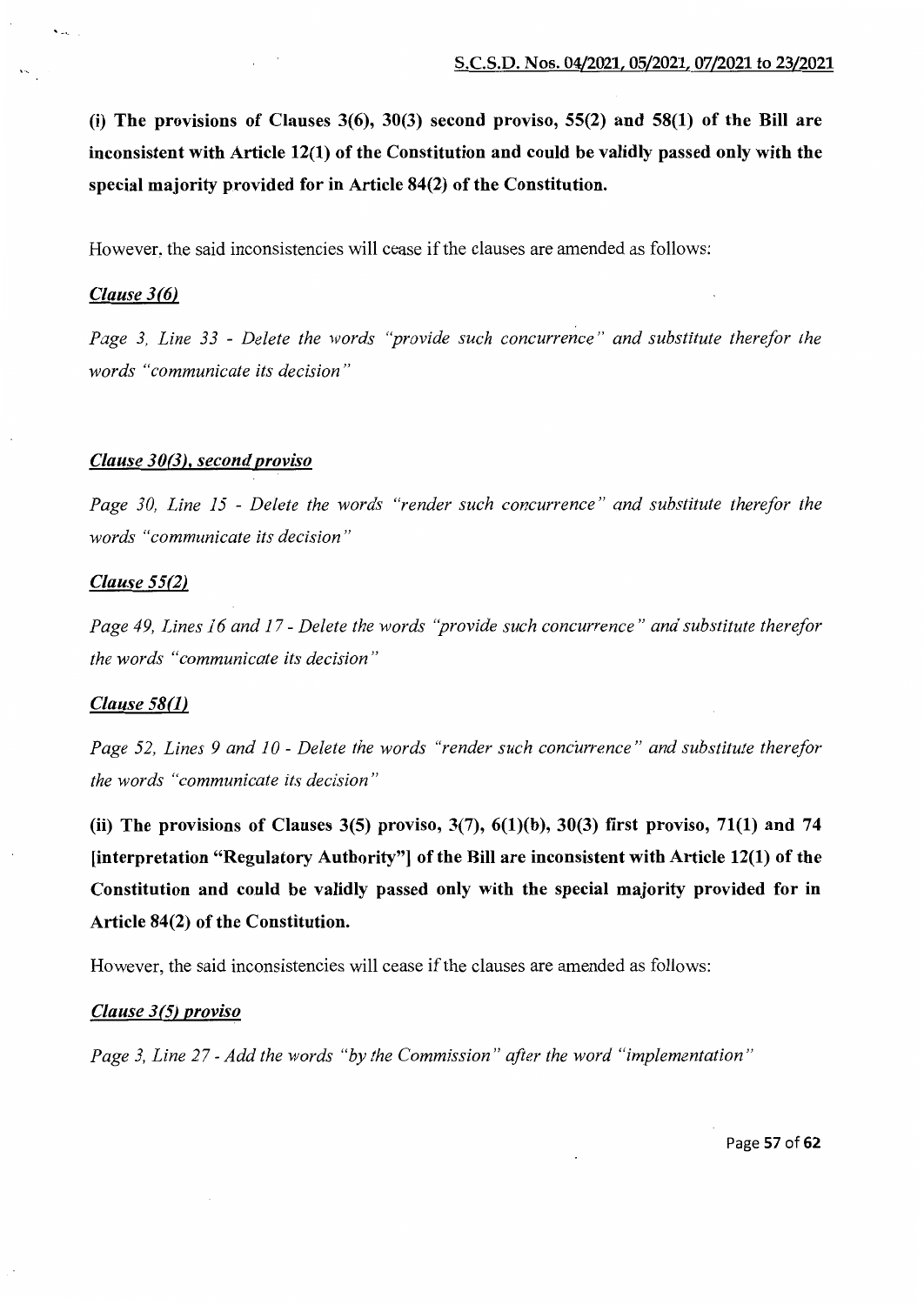(i) The provisions of Clauses  $3(6)$ ,  $30(3)$  second proviso,  $55(2)$  and  $58(1)$  of the Bill are inconsistent with Article 12(1) of the Constitution and could be validly passed only with the special majority provided for in Article 84(2) of the Constitution.

However, the said inconsistencies will cease if the clauses are amended as follows:

# *Clause 3(6)*

 $\mathbf{r}$ 

*Page 3, Line 33* - *Delete the words "provide such concurrence" and substitute therefor the words "communicate its decision"* 

# *Clause 30(3), second proviso*

*Page 30, Line 15* - *Delete the words "render such concurrence" and substitute therefor the words "communicate its decision"* 

### *Clause 55(2)*

*Page 49, Lines 16 and 17- Delete the words "provide such concurrence" and substitute therefor the words "communicate its decision"* 

#### *Clause 58(1)*

*Page 52, Lines 9 and 10 - Delete the words "render such concurrence" and substitute therefor the words "communicate its decision"* 

(ii) The provisions of Clauses 3(5) proviso,  $3(7)$ ,  $6(1)(b)$ ,  $30(3)$  first proviso, 71(1) and 74 [interpretation "Regulatory Authority"] of the Bill are inconsistent with Article 12(1) of the Constitution and could be validly passed only with the special majority provided for in Article 84(2) of the Constitution.

However, the said inconsistencies will cease if the clauses are amended as follows:

# *Clause 3(5) proviso*

*Page 3, Line 27- Add the words "by the Commission" after the word "implementation"* 

Page 57 of 62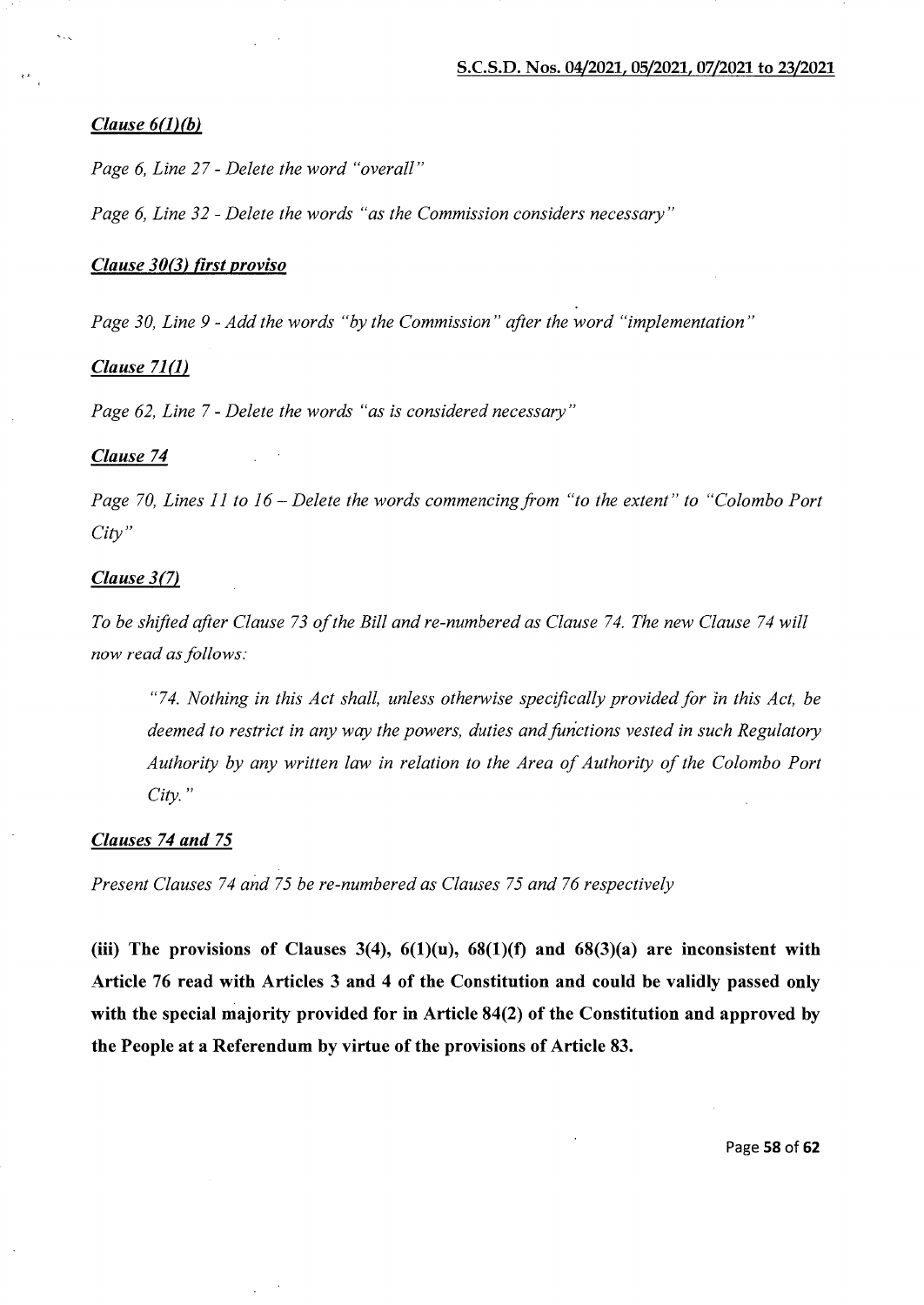# *Clause 6(1)(b)*

*Page 6, Line 27- Delete the word "overall"* 

*Page 6, Line 32- Delete the words "as the Commission considers necessary"* 

# *Clause 30(3) first proviso*

*Page 30, Line 9- Add the words "by the Commission" after the word "implementation"* 

#### *Clause 71(1)*

*Page 62, Line* 7- *Delete the words "as is considered necessary"* 

#### *Clause 74*

*Page 70, Lines 11 to 16- Delete the words commencing from "to the extent" to "Colombo Port City"* 

# *Clause 3(7)*

*To be shifted after Clause 73 of the Bill and re-numbered as Clause 74. The new Clause 74 will now read as follows:* 

"7 *4. Nothing in this Act shall, unless otherwise specifically provided for in this Act, be deemed to restrict in any way the powers, duties and functions vested in such Regulatory Authority by any written law in relation to the Area of Authority of the Colombo Port City."* 

# *Clauses 74 and* 75

*Present Clauses 74 and 75 be re-numbered as Clauses 75 and 76 respectively* 

(iii) The provisions of Clauses 3(4),  $6(1)(u)$ ,  $68(1)(f)$  and  $68(3)(a)$  are inconsistent with Article 76 read with Articles 3 and 4 of the Constitution and could be validly passed only with the special majority provided for in Article 84(2) of the Constitution and approved by the People at a Referendum by virtue of the provisions of Article 83.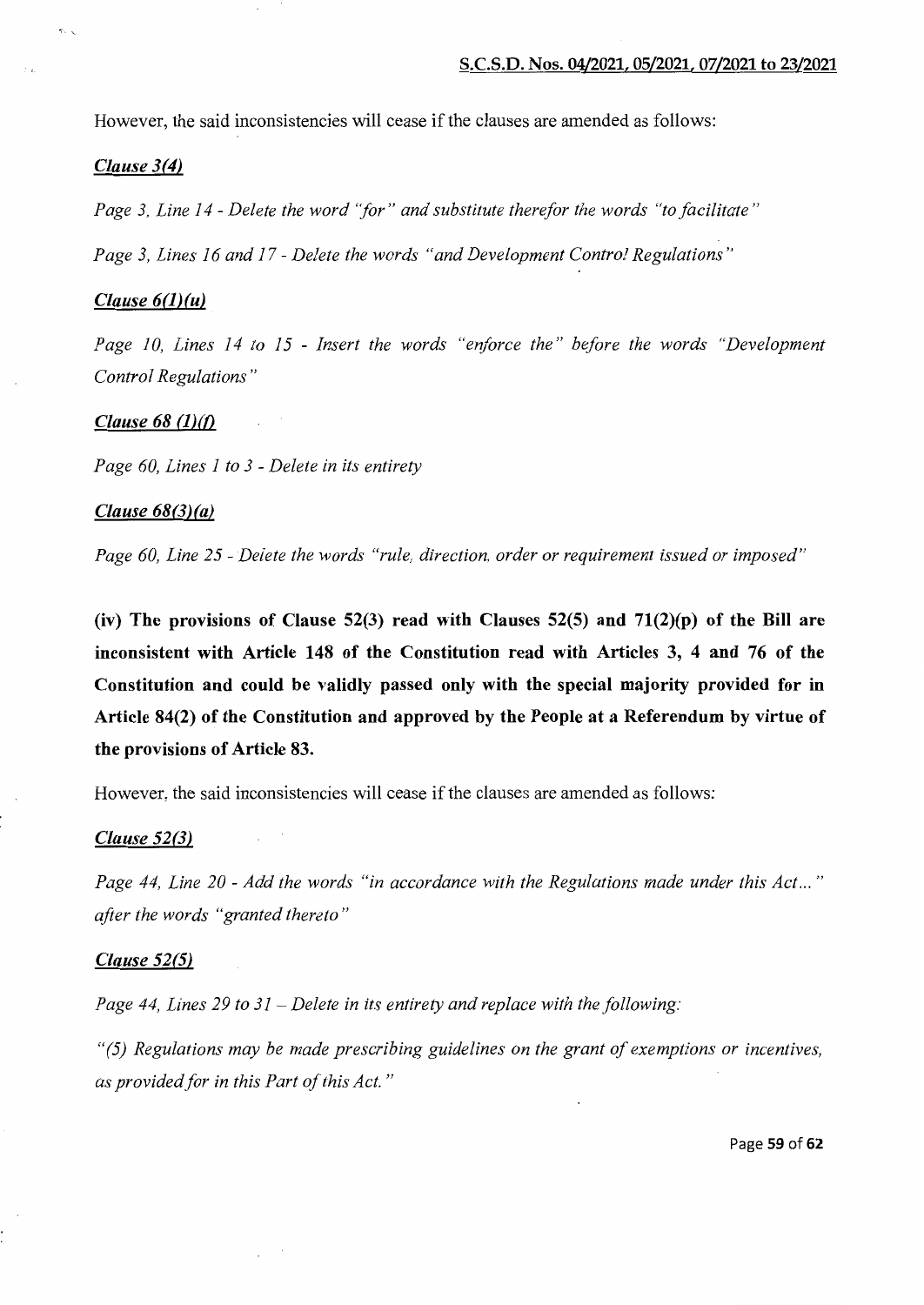However, the said inconsistencies will cease if the clauses are amended as follows:

# *Clause 3(4)*

*Page 3, Line I4* - *Delete the word "for" and substitute therefor the words "to facilitate"* 

*Page 3, Lines I6 and I7- Delete the words "and Development Control Regulations"* 

# *Clause 6(1)(u)*

Page 10, Lines 14 to 15 - *Insert the words* "enforce the" before the words "Development *Control Regulations"* 

# *Clause 68* **(1)(0**

*Page 60, Lines* I *to 3* - *Delete in its entirety* 

# *Clause 68(3)(a)*

*Page 60, Line* 25- *Delete the words "rule, direction, order or requirement issued or imposed"* 

**(iv) The provisions of Clause 52(3) read with Clauses 52(5) and 71(2)(p) of the Bill are inconsistent with Article 148 of the Constitution read with Articles 3, 4 and 76 of the Constitution and could be validly passed only with the special majority provided for in Article 84(2) of the Constitution and approved by the People at a Referendum by virtue of the provisions of Article 83.** 

However, the said inconsistencies will cease if the clauses are amended as follows:

## *Clause 52(3)*

*Page 44, Line 20- Add the words "in accordance with the Regulations made under this Act ... " after the words "granted thereto* "

## *Clause 52(5)*

*Page 44, Lines 29 to 3I -Delete in its entirety and replace with the following:* 

*"(5) Regulations may be made prescribing guidelines on the grant of exemptions or incentives, as provided for in this Part of this Act."*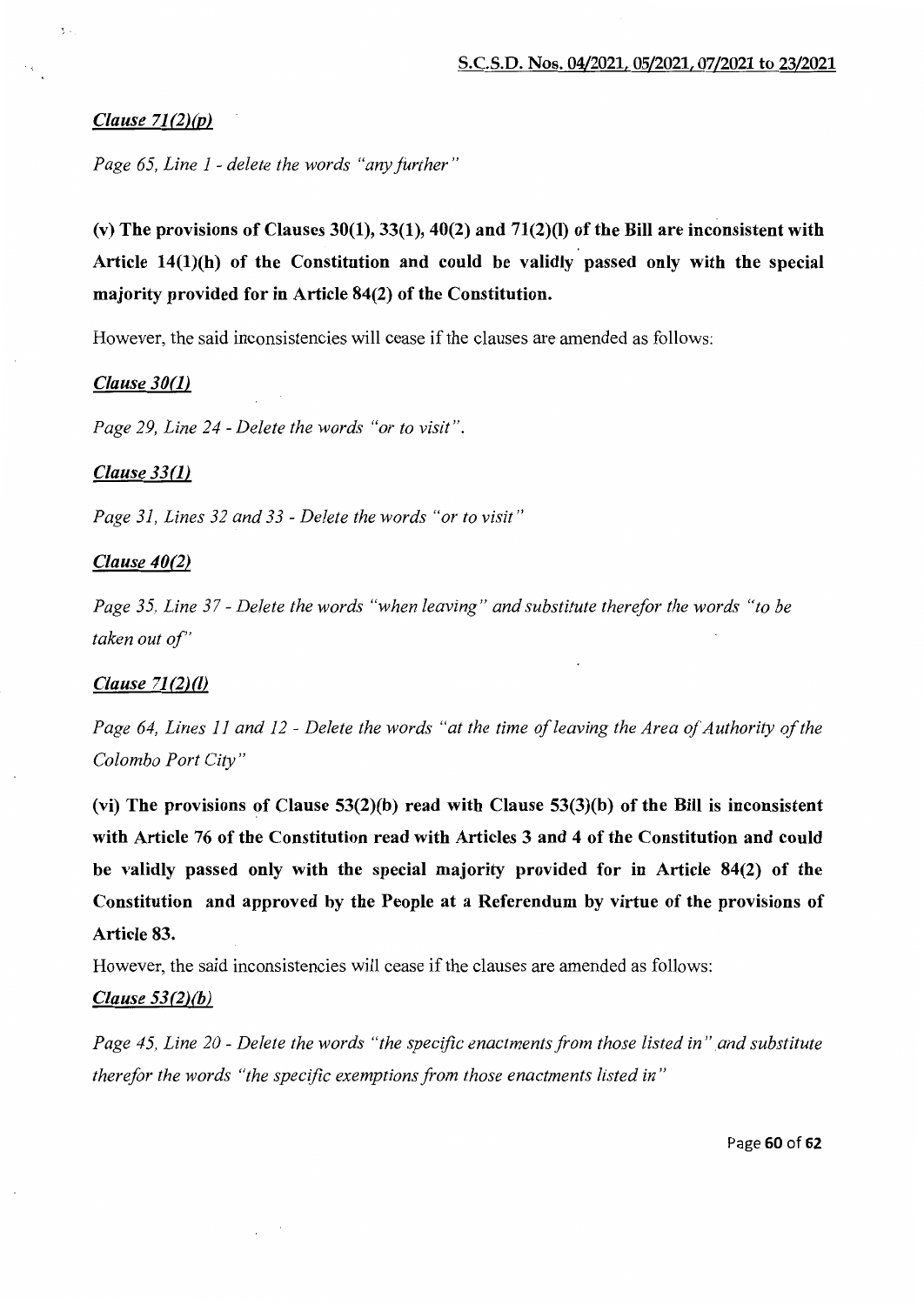# *Clause 71 (2)(p)*

3.4

*Page 65, Line I -delete the words "any further"* 

(v) The provisions of Clauses 30(1), 33(1), 40(2) and 71(2)(l) of the Bill are inconsistent with Article 14(1)(h) of the Constitution and could be validly passed only with the special majority provided for in Article 84(2) of the Constitution.

However, the said inconsistencies will cease if the clauses are amended as follows:

## *Clause 30(1)*

*Page 29, Line 24- Delete the words "or to visit".* 

#### *Clause 33(1)*

*Page 31, Lines 32 and 33- Delete the words "or to visit"* 

#### *Clause 40(2)*

*Page 35, Line 37- Delete the words "when leaving" and substitute therefor the words "to be taken out of'* 

# *Clause 71 (2)(1)*

Page 64, Lines 11 and 12 - Delete the words "at the time of leaving the Area of Authority of the *Colombo Port City"* 

(vi) The provisions of Clause  $53(2)(b)$  read with Clause  $53(3)(b)$  of the Bill is inconsistent with Article 76 of the Constitution read with Articles 3 and 4 of the Constitution and could be validly passed only with the special majority provided for in Article 84(2) of the Constitution and approved by the People at a Referendum by virtue of the provisions of Article 83.

However, the said inconsistencies will cease if the clauses are amended as follows:

# *Clause 53(2)(b)*

*Page 45, Line 20 - Delete the words "the specific enactments from those listed in" and substitute therefor the words "the specific exemptions from those enactments listed in"* 

Page 60 of 62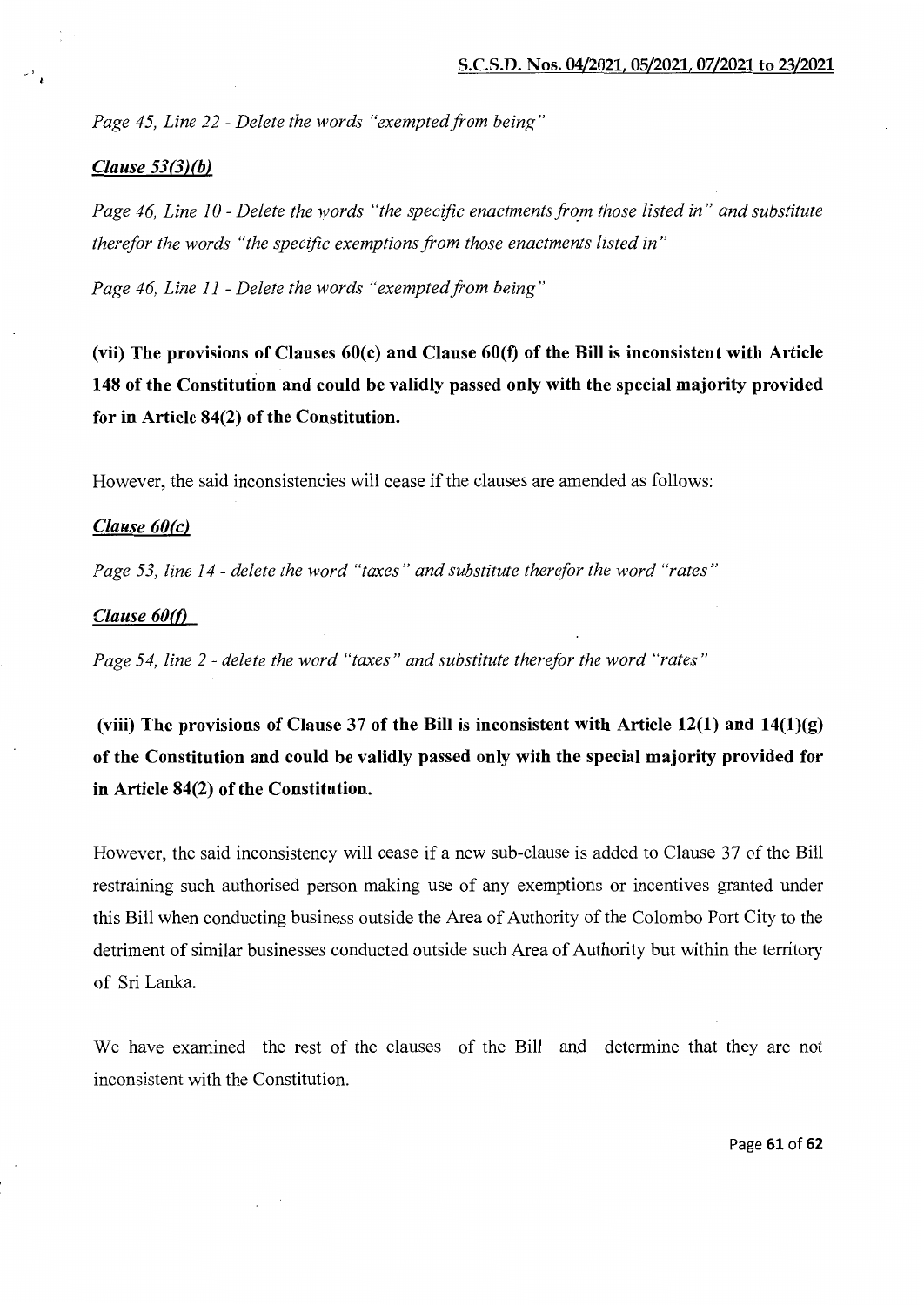*Page 45, Line 22- Delete the words "exempted from being"* 

#### *Clause 53(3)(b)*

Page 46, Line 10 - Delete the words "the specific enactments from those listed in" and substitute *therefor the words "the specific exemptions from those enactments listed in"* 

*Page 46, Line II- Delete the words "exemptedfrom being"* 

(vii) The provisions of Clauses 60(c) and Clause 60(f) of the Bill is inconsistent with Article 148 of the Constitution and could be validly passed only with the special majority provided for in Article 84(2) of the Constitution.

However, the said inconsistencies will cease if the clauses are amended as follows:

# *Clause 60(c)*

*Page 53, line I4- delete the word "taxes" and substitute therefor the word "rates"* 

#### *Clause 60(0*

*Page 54, line 2 -delete the word "taxes" and substitute therefor the word "rates"* 

(viii) The provisions of Clause 37 of the Bill is inconsistent with Article  $12(1)$  and  $14(1)(g)$ of the Constitution and could be validly passed only with the special majority provided for in Article 84(2) of the Constitution.

However, the said inconsistency will cease if a new sub-clause is added to Clause 37 of the Bill restraining such authorised person making use of any exemptions or incentives granted under this Bill when conducting business outside the Area of Authority of the Colombo Port City to the detriment of similar businesses conducted outside such Area of Authority but within the territory of Sri Lanka.

We have examined the rest of the clauses of the Bill and determine that they are not inconsistent with the Constitution.